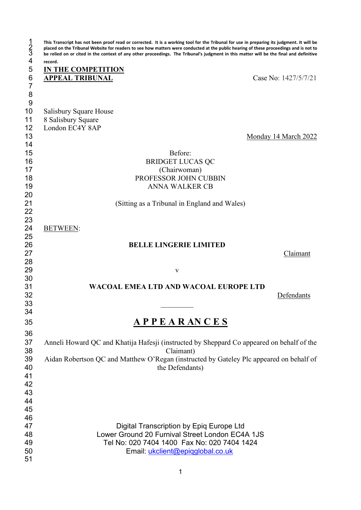| $\frac{1}{3}$  | This Transcript has not been proof read or corrected. It is a working tool for the Tribunal for use in preparing its judgment. It will be<br>placed on the Tribunal Website for readers to see how matters were conducted at the public hearing of these proceedings and is not to<br>be relied on or cited in the context of any other proceedings. The Tribunal's judgment in this matter will be the final and definitive |                      |
|----------------|------------------------------------------------------------------------------------------------------------------------------------------------------------------------------------------------------------------------------------------------------------------------------------------------------------------------------------------------------------------------------------------------------------------------------|----------------------|
| 4              | record.                                                                                                                                                                                                                                                                                                                                                                                                                      |                      |
| 5              | <b>IN THE COMPETITION</b>                                                                                                                                                                                                                                                                                                                                                                                                    |                      |
| $6\phantom{a}$ | <b>APPEAL TRIBUNAL</b>                                                                                                                                                                                                                                                                                                                                                                                                       | Case No: 1427/5/7/21 |
| $\overline{7}$ |                                                                                                                                                                                                                                                                                                                                                                                                                              |                      |
| 8              |                                                                                                                                                                                                                                                                                                                                                                                                                              |                      |
| 9              |                                                                                                                                                                                                                                                                                                                                                                                                                              |                      |
| 10             | Salisbury Square House                                                                                                                                                                                                                                                                                                                                                                                                       |                      |
| 11             | 8 Salisbury Square                                                                                                                                                                                                                                                                                                                                                                                                           |                      |
| 12             | London EC4Y 8AP                                                                                                                                                                                                                                                                                                                                                                                                              |                      |
| 13             |                                                                                                                                                                                                                                                                                                                                                                                                                              | Monday 14 March 2022 |
| 14             |                                                                                                                                                                                                                                                                                                                                                                                                                              |                      |
| 15             | Before:                                                                                                                                                                                                                                                                                                                                                                                                                      |                      |
| 16             | <b>BRIDGET LUCAS QC</b>                                                                                                                                                                                                                                                                                                                                                                                                      |                      |
| 17             | (Chairwoman)                                                                                                                                                                                                                                                                                                                                                                                                                 |                      |
| 18             | PROFESSOR JOHN CUBBIN                                                                                                                                                                                                                                                                                                                                                                                                        |                      |
| 19             | <b>ANNA WALKER CB</b>                                                                                                                                                                                                                                                                                                                                                                                                        |                      |
| 20             |                                                                                                                                                                                                                                                                                                                                                                                                                              |                      |
| 21             | (Sitting as a Tribunal in England and Wales)                                                                                                                                                                                                                                                                                                                                                                                 |                      |
| 22             |                                                                                                                                                                                                                                                                                                                                                                                                                              |                      |
| 23<br>24       |                                                                                                                                                                                                                                                                                                                                                                                                                              |                      |
|                | <b>BETWEEN:</b>                                                                                                                                                                                                                                                                                                                                                                                                              |                      |
| 25<br>26       | <b>BELLE LINGERIE LIMITED</b>                                                                                                                                                                                                                                                                                                                                                                                                |                      |
| 27             |                                                                                                                                                                                                                                                                                                                                                                                                                              |                      |
| 28             |                                                                                                                                                                                                                                                                                                                                                                                                                              | Claimant             |
| 29             |                                                                                                                                                                                                                                                                                                                                                                                                                              |                      |
| 30             | V                                                                                                                                                                                                                                                                                                                                                                                                                            |                      |
| 31             | <b>WACOAL EMEA LTD AND WACOAL EUROPE LTD</b>                                                                                                                                                                                                                                                                                                                                                                                 |                      |
| 32             |                                                                                                                                                                                                                                                                                                                                                                                                                              | Defendants           |
| 33             |                                                                                                                                                                                                                                                                                                                                                                                                                              |                      |
| 34             |                                                                                                                                                                                                                                                                                                                                                                                                                              |                      |
|                |                                                                                                                                                                                                                                                                                                                                                                                                                              |                      |
| 35             | <u>APPEARANCES</u>                                                                                                                                                                                                                                                                                                                                                                                                           |                      |
| 36             |                                                                                                                                                                                                                                                                                                                                                                                                                              |                      |
| 37             | Anneli Howard QC and Khatija Hafesji (instructed by Sheppard Co appeared on behalf of the                                                                                                                                                                                                                                                                                                                                    |                      |
| 38             | Claimant)                                                                                                                                                                                                                                                                                                                                                                                                                    |                      |
| 39             | Aidan Robertson QC and Matthew O'Regan (instructed by Gateley Plc appeared on behalf of                                                                                                                                                                                                                                                                                                                                      |                      |
| 40             | the Defendants)                                                                                                                                                                                                                                                                                                                                                                                                              |                      |
| 41             |                                                                                                                                                                                                                                                                                                                                                                                                                              |                      |
| 42             |                                                                                                                                                                                                                                                                                                                                                                                                                              |                      |
| 43             |                                                                                                                                                                                                                                                                                                                                                                                                                              |                      |
| 44             |                                                                                                                                                                                                                                                                                                                                                                                                                              |                      |
| 45             |                                                                                                                                                                                                                                                                                                                                                                                                                              |                      |
| 46             |                                                                                                                                                                                                                                                                                                                                                                                                                              |                      |
| 47             | Digital Transcription by Epiq Europe Ltd                                                                                                                                                                                                                                                                                                                                                                                     |                      |
| 48             | Lower Ground 20 Furnival Street London EC4A 1JS                                                                                                                                                                                                                                                                                                                                                                              |                      |
| 49             | Tel No: 020 7404 1400 Fax No: 020 7404 1424                                                                                                                                                                                                                                                                                                                                                                                  |                      |
| 50             | Email: ukclient@epiqglobal.co.uk                                                                                                                                                                                                                                                                                                                                                                                             |                      |
| 51             |                                                                                                                                                                                                                                                                                                                                                                                                                              |                      |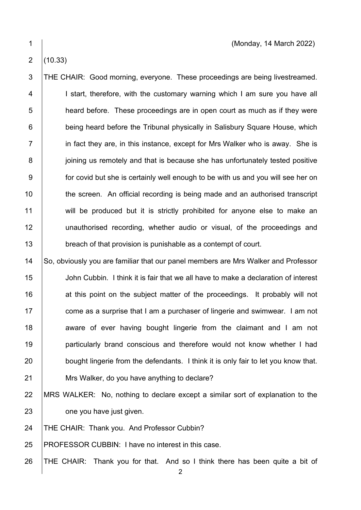## $2 | (10.33)$

3 THE CHAIR: Good morning, everyone. These proceedings are being livestreamed. 4 | I start, therefore, with the customary warning which I am sure you have all 5 **heard before.** These proceedings are in open court as much as if they were 6 **being heard before the Tribunal physically in Salisbury Square House, which** 7 **i** in fact they are, in this instance, except for Mrs Walker who is away. She is 8 **juling** us remotely and that is because she has unfortunately tested positive 9 **for covid but she is certainly well enough to be with us and you will see her on** 10 the screen. An official recording is being made and an authorised transcript 11 will be produced but it is strictly prohibited for anyone else to make an 12 | unauthorised recording, whether audio or visual, of the proceedings and 13 **breach of that provision is punishable as a contempt of court.** 

14 So, obviously you are familiar that our panel members are Mrs Walker and Professor John Cubbin. I think it is fair that we all have to make a declaration of interest 16 16 at this point on the subject matter of the proceedings. It probably will not  $\parallel$  come as a surprise that I am a purchaser of lingerie and swimwear. I am not **aware of ever having bought lingerie from the claimant and I am not particularly brand conscious and therefore would not know whether I had** 20 bought lingerie from the defendants. I think it is only fair to let you know that. **Mrs Walker, do you have anything to declare?** 

## 22 MRS WALKER: No, nothing to declare except a similar sort of explanation to the 23 **one you have just given.**

24 | THE CHAIR: Thank you. And Professor Cubbin?

25 PROFESSOR CUBBIN: I have no interest in this case.

26 THE CHAIR: Thank you for that. And so I think there has been quite a bit of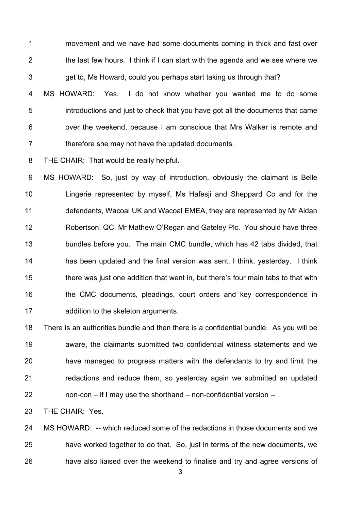**1** movement and we have had some documents coming in thick and fast over  $\parallel$  the last few hours. I think if I can start with the agenda and we see where we  $\vert$  get to, Ms Howard, could you perhaps start taking us through that? 4 MS HOWARD: Yes. I do not know whether you wanted me to do some 5 introductions and just to check that you have got all the documents that came

**6** over the weekend, because I am conscious that Mrs Walker is remote and **therefore she may not have the updated documents.** 

8 | THE CHAIR: That would be really helpful.

9 MS HOWARD: So, just by way of introduction, obviously the claimant is Belle 10 | Lingerie represented by myself, Ms Hafesji and Sheppard Co and for the 11 defendants, Wacoal UK and Wacoal EMEA, they are represented by Mr Aidan **Robertson, QC, Mr Mathew O'Regan and Gateley Plc. You should have three bundles before you. The main CMC bundle, which has 42 tabs divided, that has been updated and the final version was sent, I think, yesterday.** I think 15 there was just one addition that went in, but there's four main tabs to that with 16 the CMC documents, pleadings, court orders and key correspondence in **dege-** addition to the skeleton arguments.

 There is an authorities bundle and then there is a confidential bundle. As you will be 19 aware, the claimants submitted two confidential witness statements and we **have managed to progress matters with the defendants to try and limit the Fig. 21** redactions and reduce them, so vesterday again we submitted an updated | non-con – if I may use the shorthand – non-confidential version --

**THE CHAIR: Yes.** 

24 | MS HOWARD: -- which reduced some of the redactions in those documents and we **have worked together to do that.** So, just in terms of the new documents, we **have also liaised over the weekend to finalise and try and agree versions of**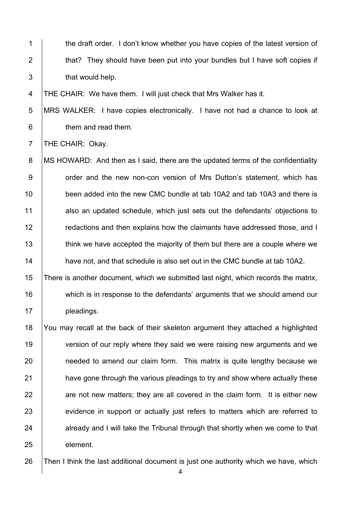1 the draft order. I don't know whether you have copies of the latest version of 2 that? They should have been put into your bundles but I have soft copies if 3 **that would help.** 

4 | THE CHAIR: We have them. I will just check that Mrs Walker has it.

5 MRS WALKER: I have copies electronically. I have not had a chance to look at 6 **b** them and read them.

7 | THE CHAIR: Okay.

8 | MS HOWARD: And then as I said, there are the updated terms of the confidentiality 9 | order and the new non-con version of Mrs Dutton's statement, which has 10 **been added into the new CMC bundle at tab 10A2 and tab 10A3 and there is** 11 also an updated schedule, which just sets out the defendants' objections to 12 **Fig. 2** redactions and then explains how the claimants have addressed those, and I 13 think we have accepted the majority of them but there are a couple where we 14 **have not, and that schedule is also set out in the CMC bundle at tab 10A2.** 

15 There is another document, which we submitted last night, which records the matrix, 16 which is in response to the defendants' arguments that we should amend our 17 | pleadings.

18 You may recall at the back of their skeleton argument they attached a highlighted 19 version of our reply where they said we were raising new arguments and we 20 **needed to amend our claim form.** This matrix is quite lengthy because we 21 **have gone through the various pleadings to try and show where actually these**  $22$  are not new matters; they are all covered in the claim form. It is either new 23 evidence in support or actually just refers to matters which are referred to 24 already and I will take the Tribunal through that shortly when we come to that 25 element.

26 Then I think the last additional document is just one authority which we have, which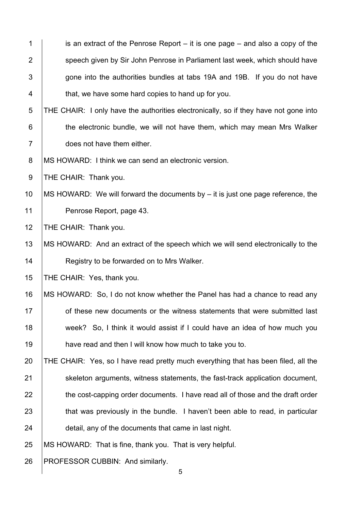| $\mathbf 1$    | is an extract of the Penrose Report $-$ it is one page $-$ and also a copy of the    |
|----------------|--------------------------------------------------------------------------------------|
| $\overline{2}$ | speech given by Sir John Penrose in Parliament last week, which should have          |
| 3              | gone into the authorities bundles at tabs 19A and 19B. If you do not have            |
| 4              | that, we have some hard copies to hand up for you.                                   |
| 5              | THE CHAIR: I only have the authorities electronically, so if they have not gone into |
| $6\phantom{1}$ | the electronic bundle, we will not have them, which may mean Mrs Walker              |
| $\overline{7}$ | does not have them either.                                                           |
| 8              | MS HOWARD: I think we can send an electronic version.                                |
| $9\,$          | THE CHAIR: Thank you.                                                                |
| 10             | MS HOWARD: We will forward the documents by $-$ it is just one page reference, the   |
| 11             | Penrose Report, page 43.                                                             |
| 12             | THE CHAIR: Thank you.                                                                |
| 13             | MS HOWARD: And an extract of the speech which we will send electronically to the     |
| 14             | Registry to be forwarded on to Mrs Walker.                                           |
| 15             | THE CHAIR: Yes, thank you.                                                           |
| 16             | MS HOWARD: So, I do not know whether the Panel has had a chance to read any          |
| 17             | of these new documents or the witness statements that were submitted last            |
| 18             | week? So, I think it would assist if I could have an idea of how much you            |
| 19             | have read and then I will know how much to take you to.                              |
| 20             | THE CHAIR: Yes, so I have read pretty much everything that has been filed, all the   |
| 21             | skeleton arguments, witness statements, the fast-track application document,         |
| 22             | the cost-capping order documents. I have read all of those and the draft order       |
| 23             | that was previously in the bundle. I haven't been able to read, in particular        |
| 24             | detail, any of the documents that came in last night.                                |
| 25             | MS HOWARD: That is fine, thank you. That is very helpful.                            |
| 26             | PROFESSOR CUBBIN: And similarly.<br>5                                                |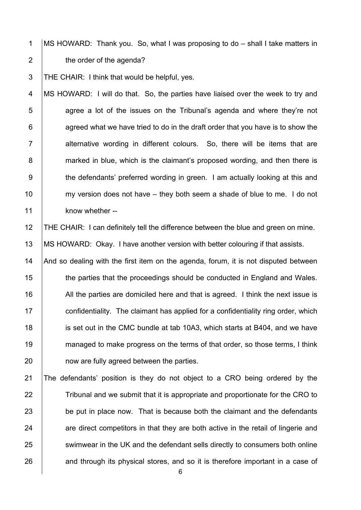1 MS HOWARD: Thank you. So, what I was proposing to do – shall I take matters in 2 **the order of the agenda?** 

3 THE CHAIR: I think that would be helpful, yes.

4 MS HOWARD: I will do that. So, the parties have liaised over the week to try and  $5$  | agree a lot of the issues on the Tribunal's agenda and where they're not  $6$  | agreed what we have tried to do in the draft order that you have is to show the  $7$  | alternative wording in different colours. So, there will be items that are 8 marked in blue, which is the claimant's proposed wording, and then there is 9 the defendants' preferred wording in green. I am actually looking at this and 10  $\parallel$  my version does not have – they both seem a shade of blue to me. I do not 11 know whether --

12 THE CHAIR: I can definitely tell the difference between the blue and green on mine. 13 | MS HOWARD: Okay. I have another version with better colouring if that assists.

14  $\parallel$  And so dealing with the first item on the agenda, forum, it is not disputed between 15 the parties that the proceedings should be conducted in England and Wales. 16 All the parties are domiciled here and that is agreed. I think the next issue is  $17$  confidentiality. The claimant has applied for a confidentiality ring order, which 18 **ignor** is set out in the CMC bundle at tab 10A3, which starts at B404, and we have 19 managed to make progress on the terms of that order, so those terms, I think 20 **how are fully agreed between the parties.** 

21 The defendants' position is they do not object to a CRO being ordered by the 22 Tribunal and we submit that it is appropriate and proportionate for the CRO to 23 be put in place now. That is because both the claimant and the defendants 24 are direct competitors in that they are both active in the retail of lingerie and 25 Summwear in the UK and the defendant sells directly to consumers both online 26 and through its physical stores, and so it is therefore important in a case of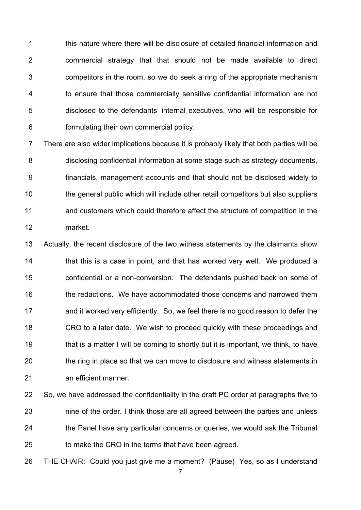1 this nature where there will be disclosure of detailed financial information and 2 **commercial strategy that that should not be made available to direct**  $3$   $\vert$  competitors in the room, so we do seek a ring of the appropriate mechanism 4 to ensure that those commercially sensitive confidential information are not 5 disclosed to the defendants' internal executives, who will be responsible for 6 **formulating their own commercial policy.** 

7 There are also wider implications because it is probably likely that both parties will be 8 disclosing confidential information at some stage such as strategy documents, 9 financials, management accounts and that should not be disclosed widely to 10 the general public which will include other retail competitors but also suppliers 11 and customers which could therefore affect the structure of competition in the 12 market.

13 Actually, the recent disclosure of the two witness statements by the claimants show 14 **that this is a case in point, and that has worked very well.** We produced a 15 **confidential or a non-conversion.** The defendants pushed back on some of 16 **the redactions.** We have accommodated those concerns and narrowed them 17 and it worked very efficiently. So, we feel there is no good reason to defer the 18 CRO to a later date. We wish to proceed quickly with these proceedings and 19 that is a matter I will be coming to shortly but it is important, we think, to have 20 the ring in place so that we can move to disclosure and witness statements in 21 an efficient manner.

22  $\vert$  So, we have addressed the confidentiality in the draft PC order at paragraphs five to 23 nine of the order. I think those are all agreed between the parties and unless 24 the Panel have any particular concerns or queries, we would ask the Tribunal 25 **to make the CRO in the terms that have been agreed.** 

26 THE CHAIR: Could you just give me a moment? (Pause) Yes, so as I understand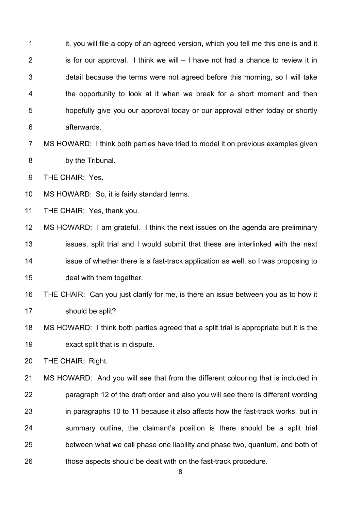| $\mathbf 1$    | it, you will file a copy of an agreed version, which you tell me this one is and it    |
|----------------|----------------------------------------------------------------------------------------|
| $\overline{2}$ | is for our approval. I think we will $-1$ have not had a chance to review it in        |
| 3              | detail because the terms were not agreed before this morning, so I will take           |
| 4              | the opportunity to look at it when we break for a short moment and then                |
| 5              | hopefully give you our approval today or our approval either today or shortly          |
| $\,6$          | afterwards.                                                                            |
| $\overline{7}$ | MS HOWARD: I think both parties have tried to model it on previous examples given      |
| 8              | by the Tribunal.                                                                       |
| $9\,$          | THE CHAIR: Yes.                                                                        |
| 10             | MS HOWARD: So, it is fairly standard terms.                                            |
| 11             | THE CHAIR: Yes, thank you.                                                             |
| 12             | MS HOWARD: I am grateful. I think the next issues on the agenda are preliminary        |
| 13             | issues, split trial and I would submit that these are interlinked with the next        |
| 14             | issue of whether there is a fast-track application as well, so I was proposing to      |
| 15             | deal with them together.                                                               |
| 16             | THE CHAIR: Can you just clarify for me, is there an issue between you as to how it     |
| 17             | should be split?                                                                       |
| 18             | MS HOWARD: I think both parties agreed that a split trial is appropriate but it is the |
| 19             | exact split that is in dispute.                                                        |
| 20             | THE CHAIR: Right.                                                                      |
| 21             | MS HOWARD: And you will see that from the different colouring that is included in      |
| 22             | paragraph 12 of the draft order and also you will see there is different wording       |
| 23             | in paragraphs 10 to 11 because it also affects how the fast-track works, but in        |
| 24             | summary outline, the claimant's position is there should be a split trial              |
| 25             | between what we call phase one liability and phase two, quantum, and both of           |
| 26             | those aspects should be dealt with on the fast-track procedure.                        |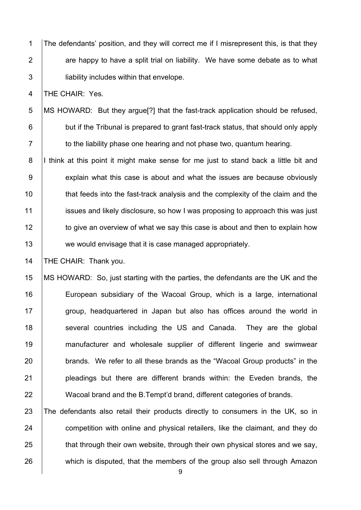1 The defendants' position, and they will correct me if I misrepresent this, is that they 2  $\parallel$  are happy to have a split trial on liability. We have some debate as to what 3 **Superify includes within that envelope.** 

4 THE CHAIR: Yes.

5 MS HOWARD: But they argue[?] that the fast-track application should be refused, 6 **but if the Tribunal is prepared to grant fast-track status, that should only apply**  $7 \mid$  to the liability phase one hearing and not phase two, quantum hearing.

8 I think at this point it might make sense for me just to stand back a little bit and 9 explain what this case is about and what the issues are because obviously 10 that feeds into the fast-track analysis and the complexity of the claim and the 11 issues and likely disclosure, so how I was proposing to approach this was just 12 to give an overview of what we say this case is about and then to explain how 13 we would envisage that it is case managed appropriately.

14 | THE CHAIR: Thank you.

 MS HOWARD: So, just starting with the parties, the defendants are the UK and the **European subsidiary of the Wacoal Group, which is a large, international**  $\parallel$  group, headquartered in Japan but also has offices around the world in 18 Several countries including the US and Canada. They are the global manufacturer and wholesale supplier of different lingerie and swimwear **brands.** We refer to all these brands as the "Wacoal Group products" in the **pleadings but there are different brands within: the Eveden brands, the** 22 Wacoal brand and the B.Tempt'd brand, different categories of brands.

 The defendants also retail their products directly to consumers in the UK, so in **competition with online and physical retailers, like the claimant, and they do**  that through their own website, through their own physical stores and we say, 26 which is disputed, that the members of the group also sell through Amazon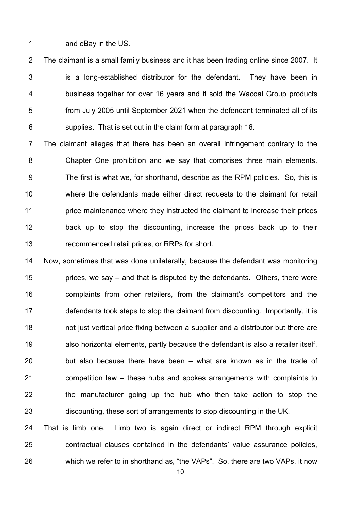1 and eBay in the US.

2 The claimant is a small family business and it has been trading online since 2007. It 3 is a long-established distributor for the defendant. They have been in 4 **business together for over 16 years and it sold the Wacoal Group products** 5 from July 2005 until September 2021 when the defendant terminated all of its  $6$   $\vert$  supplies. That is set out in the claim form at paragraph 16.

7 The claimant alleges that there has been an overall infringement contrary to the 8 Chapter One prohibition and we say that comprises three main elements. 9 The first is what we, for shorthand, describe as the RPM policies. So, this is 10 where the defendants made either direct requests to the claimant for retail 11 **price maintenance where they instructed the claimant to increase their prices** 12 **back up to stop the discounting, increase the prices back up to their** 13 **The Step Ferry recommended retail prices, or RRPs for short.** 

 Now, sometimes that was done unilaterally, because the defendant was monitoring **prices, we say – and that is disputed by the defendants. Others, there were complaints from other retailers, from the claimant's competitors and the** 17 defendants took steps to stop the claimant from discounting. Importantly, it is **18** not just vertical price fixing between a supplier and a distributor but there are 19 also horizontal elements, partly because the defendant is also a retailer itself, but also because there have been – what are known as in the trade of **competition law – these hubs and spokes arrangements with complaints to the manufacturer going up the hub who then take action to stop the** 23 discounting, these sort of arrangements to stop discounting in the UK. That is limb one. Limb two is again direct or indirect RPM through explicit

25 contractual clauses contained in the defendants' value assurance policies, 26 which we refer to in shorthand as, "the VAPs". So, there are two VAPs, it now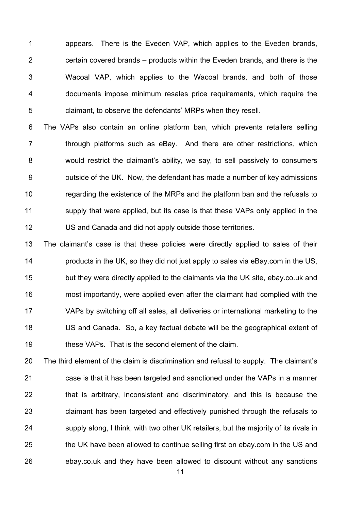1 appears. There is the Eveden VAP, which applies to the Eveden brands, 2  $\parallel$  certain covered brands – products within the Eveden brands, and there is the 3 Wacoal VAP, which applies to the Wacoal brands, and both of those 4 **documents impose minimum resales price requirements, which require the** 5 **claimant, to observe the defendants' MRPs when they resell.** 

6 The VAPs also contain an online platform ban, which prevents retailers selling  $7$   $\vert$  through platforms such as eBay. And there are other restrictions, which 8 would restrict the claimant's ability, we say, to sell passively to consumers 9 **J** outside of the UK. Now, the defendant has made a number of key admissions 10 The regarding the existence of the MRPs and the platform ban and the refusals to 11 Supply that were applied, but its case is that these VAPs only applied in the 12 | US and Canada and did not apply outside those territories.

 The claimant's case is that these policies were directly applied to sales of their **products in the UK, so they did not just apply to sales via eBay.com in the US, but they were directly applied to the claimants via the UK site, ebay.co.uk and most importantly, were applied even after the claimant had complied with the**  VAPs by switching off all sales, all deliveries or international marketing to the US and Canada. So, a key factual debate will be the geographical extent of **these VAPs.** That is the second element of the claim.

20 The third element of the claim is discrimination and refusal to supply. The claimant's 21 **case is that it has been targeted and sanctioned under the VAPs in a manner**  $22$   $\parallel$  that is arbitrary, inconsistent and discriminatory, and this is because the 23 **claimant has been targeted and effectively punished through the refusals to** 24 Supply along, I think, with two other UK retailers, but the majority of its rivals in 25 the UK have been allowed to continue selling first on ebay.com in the US and 26 ebay.co.uk and they have been allowed to discount without any sanctions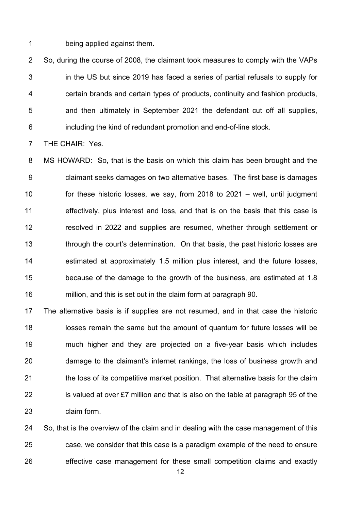1 being applied against them.

 $\vert$  So, during the course of 2008, the claimant took measures to comply with the VAPs **in the US but since 2019 has faced a series of partial refusals to supply for Fig. 2** certain brands and certain types of products, continuity and fashion products, **1** and then ultimately in September 2021 the defendant cut off all supplies, **including the kind of redundant promotion and end-of-line stock.** 

7 **THE CHAIR: Yes.** 

8 | MS HOWARD: So, that is the basis on which this claim has been brought and the **claimant seeks damages on two alternative bases.** The first base is damages for these historic losses, we say, from 2018 to 2021 – well, until judgment 11 effectively, plus interest and loss, and that is on the basis that this case is **Fig.** resolved in 2022 and supplies are resumed, whether through settlement or 13 through the court's determination. On that basis, the past historic losses are **estimated at approximately 1.5 million plus interest, and the future losses, because of the damage to the growth of the business, are estimated at 1.8 million, and this is set out in the claim form at paragraph 90.** 

17 The alternative basis is if supplies are not resumed, and in that case the historic 18 **let in Sengton is set in the same but the amount of quantum for future losses will be** 19 much higher and they are projected on a five-year basis which includes 20 damage to the claimant's internet rankings, the loss of business growth and 21 **the loss of its competitive market position.** That alternative basis for the claim 22 is valued at over £7 million and that is also on the table at paragraph 95 of the 23 **claim form.** 

24  $\vert$  So, that is the overview of the claim and in dealing with the case management of this 25 case, we consider that this case is a paradigm example of the need to ensure 26 effective case management for these small competition claims and exactly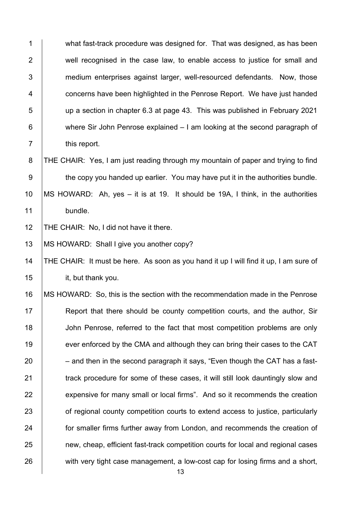1 what fast-track procedure was designed for. That was designed, as has been 2 well recognised in the case law, to enable access to justice for small and 3 medium enterprises against larger, well-resourced defendants. Now, those 4 **Fig. 2** concerns have been highlighted in the Penrose Report. We have just handed 5 up a section in chapter 6.3 at page 43. This was published in February 2021 6 where Sir John Penrose explained – I am looking at the second paragraph of 7 this report. 8 | THE CHAIR: Yes, I am just reading through my mountain of paper and trying to find  $9 \mid$  the copy you handed up earlier. You may have put it in the authorities bundle. 10 MS HOWARD: Ah, yes – it is at 19. It should be 19A, I think, in the authorities 11 bundle. 12 THE CHAIR: No, I did not have it there. 13 | MS HOWARD: Shall I give you another copy? 14 THE CHAIR: It must be here. As soon as you hand it up I will find it up, I am sure of 15 it, but thank you.

 MS HOWARD: So, this is the section with the recommendation made in the Penrose **Report that there should be county competition courts, and the author, Sir John Penrose, referred to the fact that most competition problems are only** 19 ever enforced by the CMA and although they can bring their cases to the CAT – and then in the second paragraph it says, "Even though the CAT has a fast-**track procedure for some of these cases, it will still look dauntingly slow and** 22 expensive for many small or local firms". And so it recommends the creation **of regional county competition courts to extend access to justice, particularly for smaller firms further away from London**, and recommends the creation of **new, cheap, efficient fast-track competition courts for local and regional cases** 26 with very tight case management, a low-cost cap for losing firms and a short,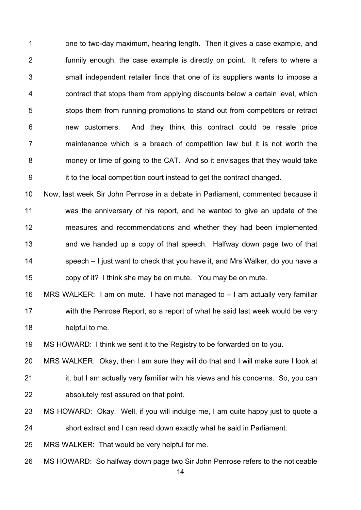1 one to two-day maximum, hearing length. Then it gives a case example, and 2 **funnily enough, the case example is directly on point.** It refers to where a 3 Sumbles 1 small independent retailer finds that one of its suppliers wants to impose a 4 **Fig. 2** contract that stops them from applying discounts below a certain level, which 5 stops them from running promotions to stand out from competitors or retract 6 **new customers.** And they think this contract could be resale price  $7$  | maintenance which is a breach of competition law but it is not worth the 8 **money or time of going to the CAT.** And so it envisages that they would take 9 it to the local competition court instead to get the contract changed.

10 Now, last week Sir John Penrose in a debate in Parliament, commented because it 11 was the anniversary of his report, and he wanted to give an update of the 12 measures and recommendations and whether they had been implemented 13 and we handed up a copy of that speech. Halfway down page two of that 14 Speech – I just want to check that you have it, and Mrs Walker, do you have a 15 **copy of it?** I think she may be on mute. You may be on mute.

16 MRS WALKER: I am on mute. I have not managed to – I am actually very familiar 17 With the Penrose Report, so a report of what he said last week would be very 18 **helpful to me.** 

19 MS HOWARD: I think we sent it to the Registry to be forwarded on to you.

20 MRS WALKER: Okay, then I am sure they will do that and I will make sure I look at 21 **it, but I am actually very familiar with his views and his concerns. So, you can** 22 **b** absolutely rest assured on that point.

23 | MS HOWARD: Okay. Well, if you will indulge me, I am quite happy just to quote a 24 Short extract and I can read down exactly what he said in Parliament.

25 MRS WALKER: That would be very helpful for me.

26 MS HOWARD: So halfway down page two Sir John Penrose refers to the noticeable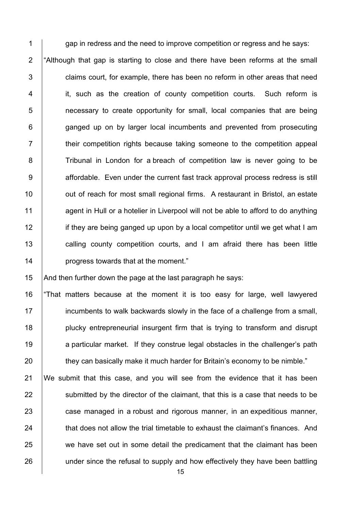1 gap in redress and the need to improve competition or regress and he says: 2  $\vert$  "Although that gap is starting to close and there have been reforms at the small  $3$   $\vert$  claims court, for example, there has been no reform in other areas that need 4 it, such as the creation of county competition courts. Such reform is 5 **1** necessary to create opportunity for small, local companies that are being 6 **ganged up on by larger local incumbents and prevented from prosecuting** 7 T their competition rights because taking someone to the competition appeal 8 Tribunal in London for a breach of competition law is never going to be 9 affordable. Even under the current fast track approval process redress is still 10 | out of reach for most small regional firms. A restaurant in Bristol, an estate 11 agent in Hull or a hotelier in Liverpool will not be able to afford to do anything 12 if they are being ganged up upon by a local competitor until we get what I am 13 **calling county competition courts, and I am afraid there has been little** 14 **progress towards that at the moment.**"

15  $\vert$  And then further down the page at the last paragraph he says:

16 "That matters because at the moment it is too easy for large, well lawyered 17 **incumbents to walk backwards slowly in the face of a challenge from a small,** 18 **plucky entrepreneurial insurgent firm that is trying to transform and disrupt** 19 a particular market. If they construe legal obstacles in the challenger's path 20 they can basically make it much harder for Britain's economy to be nimble."

21 We submit that this case, and you will see from the evidence that it has been 22  $\vert$  submitted by the director of the claimant, that this is a case that needs to be 23 **case managed in a robust and rigorous manner, in an expeditious manner,** 24 that does not allow the trial timetable to exhaust the claimant's finances. And 25 we have set out in some detail the predicament that the claimant has been 26 under since the refusal to supply and how effectively they have been battling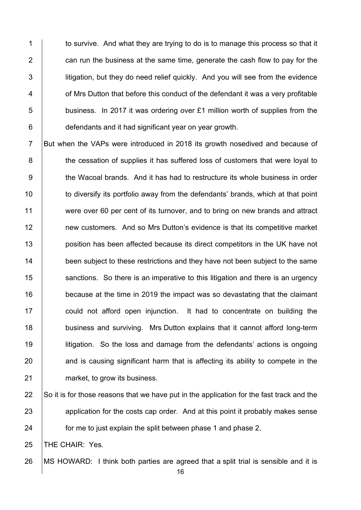1 to survive. And what they are trying to do is to manage this process so that it  $\parallel$  can run the business at the same time, generate the cash flow to pay for the **i** litigation, but they do need relief quickly. And you will see from the evidence **1** of Mrs Dutton that before this conduct of the defendant it was a very profitable | business. In 2017 it was ordering over £1 million worth of supplies from the **defendants and it had significant year on year growth.** 

7 But when the VAPs were introduced in 2018 its growth nosedived and because of **the cessation of supplies it has suffered loss of customers that were loyal to** 9 the Wacoal brands. And it has had to restructure its whole business in order 10 to diversify its portfolio away from the defendants' brands, which at that point 11 were over 60 per cent of its turnover, and to bring on new brands and attract **new customers.** And so Mrs Dutton's evidence is that its competitive market **position has been affected because its direct competitors in the UK have not been subject to these restrictions and they have not been subject to the same** 15 Sanctions. So there is an imperative to this litigation and there is an urgency **because at the time in 2019 the impact was so devastating that the claimant could not afford open injunction.** It had to concentrate on building the **business and surviving.** Mrs Dutton explains that it cannot afford long-term **litigation.** So the loss and damage from the defendants' actions is ongoing and is causing significant harm that is affecting its ability to compete in the **market, to grow its business.** 

22  $\vert$  So it is for those reasons that we have put in the application for the fast track and the 23 application for the costs cap order. And at this point it probably makes sense **forme to just explain the split between phase 1 and phase 2.** 

25 | THE CHAIR: Yes.

MS HOWARD: I think both parties are agreed that a split trial is sensible and it is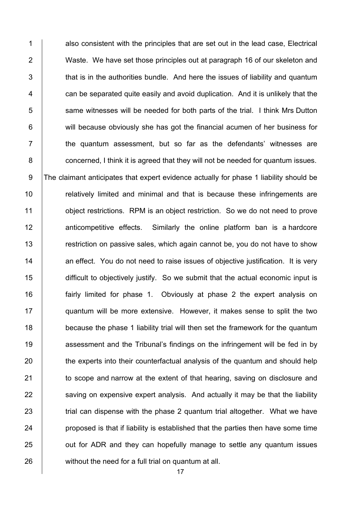1 also consistent with the principles that are set out in the lead case. Electrical 2 Waste. We have set those principles out at paragraph 16 of our skeleton and  $\vert$  that is in the authorities bundle. And here the issues of liability and quantum  $\parallel$  can be separated quite easily and avoid duplication. And it is unlikely that the 5 Sume witnesses will be needed for both parts of the trial. I think Mrs Dutton **will because obviously she has got the financial acumen of her business for**   $\vert$  the quantum assessment, but so far as the defendants' witnesses are **concerned, I think it is agreed that they will not be needed for quantum issues.** 9 The claimant anticipates that expert evidence actually for phase 1 liability should be **Fig.** relatively limited and minimal and that is because these infringements are **budge object restrictions.** RPM is an object restriction. So we do not need to prove **A anticompetitive effects.** Similarly the online platform ban is a hardcore 13 The striction on passive sales, which again cannot be, you do not have to show **an effect.** You do not need to raise issues of objective justification. It is very 15 difficult to objectively justify. So we submit that the actual economic input is **fairly limited for phase 1.** Obviously at phase 2 the expert analysis on quantum will be more extensive. However, it makes sense to split the two 18 because the phase 1 liability trial will then set the framework for the quantum **assessment and the Tribunal's findings on the infringement will be fed in by** 20 the experts into their counterfactual analysis of the quantum and should help **to scope and narrow at the extent of that hearing, saving on disclosure and**  saving on expensive expert analysis. And actually it may be that the liability 23 The trial can dispense with the phase 2 quantum trial altogether. What we have **proposed is that if liability is established that the parties then have some time J** out for ADR and they can hopefully manage to settle any quantum issues 26 without the need for a full trial on quantum at all.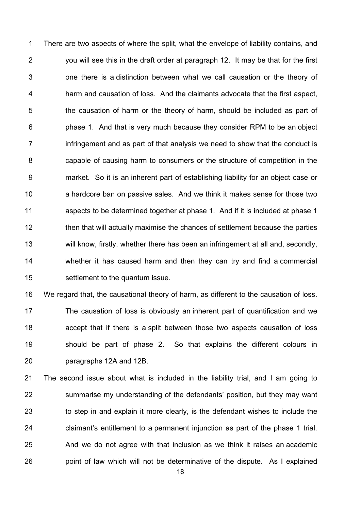1 There are two aspects of where the split, what the envelope of liability contains, and 2  $\parallel$  you will see this in the draft order at paragraph 12. It may be that for the first 3 **1** one there is a distinction between what we call causation or the theory of 4 **harm and causation of loss. And the claimants advocate that the first aspect,** 5 the causation of harm or the theory of harm, should be included as part of 6 **phase 1.** And that is very much because they consider RPM to be an object  $7 \mid$  infringement and as part of that analysis we need to show that the conduct is 8 **capable of causing harm to consumers or the structure of competition in the** 9 market. So it is an inherent part of establishing liability for an object case or 10 a hardcore ban on passive sales. And we think it makes sense for those two 11 aspects to be determined together at phase 1. And if it is included at phase 1 12 then that will actually maximise the chances of settlement because the parties 13 will know, firstly, whether there has been an infringement at all and, secondly, 14 whether it has caused harm and then they can try and find a commercial 15 **SECO** settlement to the quantum issue.

16 We regard that, the causational theory of harm, as different to the causation of loss. 17 The causation of loss is obviously an inherent part of quantification and we 18 accept that if there is a split between those two aspects causation of loss 19 Should be part of phase 2. So that explains the different colours in 20 paragraphs 12A and 12B.

21 The second issue about what is included in the liability trial, and I am going to 22 Summarise my understanding of the defendants' position, but they may want 23 to step in and explain it more clearly, is the defendant wishes to include the 24 claimant's entitlement to a permanent injunction as part of the phase 1 trial.  $25$   $\parallel$  And we do not agree with that inclusion as we think it raises an academic 26 **point of law which will not be determinative of the dispute.** As I explained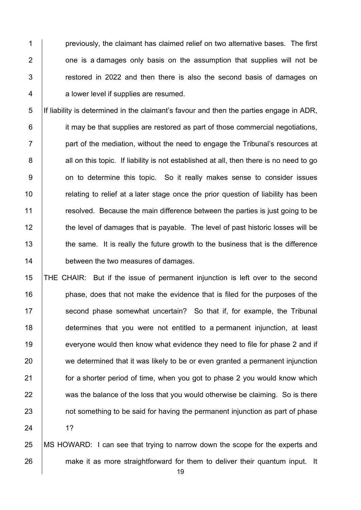**previously, the claimant has claimed relief on two alternative bases. The first**   $\vert$  one is a damages only basis on the assumption that supplies will not be  $\vert$  restored in 2022 and then there is also the second basis of damages on 4 a lower level if supplies are resumed.

5 If liability is determined in the claimant's favour and then the parties engage in ADR, 6 **iddical is under** it may be that supplies are restored as part of those commercial negotiations,  $7$  | part of the mediation, without the need to engage the Tribunal's resources at 8 all on this topic. If liability is not established at all, then there is no need to go 9 | on to determine this topic. So it really makes sense to consider issues 10 **Fig.** relating to relief at a later stage once the prior question of liability has been 11 **1** resolved. Because the main difference between the parties is just going to be 12 the level of damages that is payable. The level of past historic losses will be 13 the same. It is really the future growth to the business that is the difference 14 **between the two measures of damages.** 

15 THE CHAIR: But if the issue of permanent injunction is left over to the second 16 **phase, does that not make the evidence that is filed for the purposes of the** 17 Second phase somewhat uncertain? So that if, for example, the Tribunal 18 determines that you were not entitled to a permanent injunction, at least 19 everyone would then know what evidence they need to file for phase 2 and if 20 we determined that it was likely to be or even granted a permanent injunction 21 **for a shorter period of time, when you got to phase 2 you would know which** 22 was the balance of the loss that you would otherwise be claiming. So is there 23 not something to be said for having the permanent injunction as part of phase 24 1?

25 MS HOWARD: I can see that trying to narrow down the scope for the experts and 26 make it as more straightforward for them to deliver their quantum input. It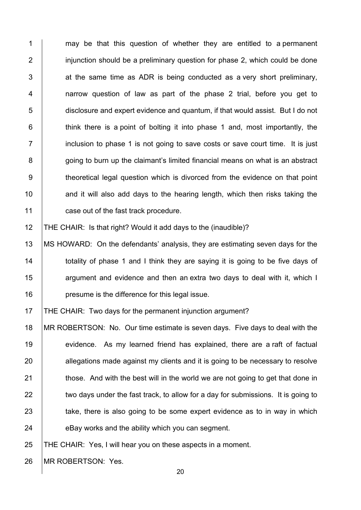1 may be that this question of whether they are entitled to a permanent 2 injunction should be a preliminary question for phase 2, which could be done  $\vert$  at the same time as ADR is being conducted as a very short preliminary, 4 | narrow question of law as part of the phase 2 trial, before you get to 5 disclosure and expert evidence and quantum, if that would assist. But I do not  $\vert$  think there is a point of bolting it into phase 1 and, most importantly, the inclusion to phase 1 is not going to save costs or save court time. It is just **going to burn up the claimant's limited financial means on what is an abstract** 9 | theoretical legal question which is divorced from the evidence on that point  $\parallel$  and it will also add days to the hearing length, which then risks taking the **case out of the fast track procedure.** 

THE CHAIR: Is that right? Would it add days to the (inaudible)?

 MS HOWARD: On the defendants' analysis, they are estimating seven days for the **totality of phase 1 and I think they are saying it is going to be five days of Fig.** argument and evidence and then an extra two days to deal with it, which I **presume is the difference for this legal issue.** 

**THE CHAIR:** Two days for the permanent injunction argument?

 MR ROBERTSON: No. Our time estimate is seven days. Five days to deal with the 19 evidence. As my learned friend has explained, there are a raft of factual 20 allegations made against my clients and it is going to be necessary to resolve 21 those. And with the best will in the world we are not going to get that done in two days under the fast track, to allow for a day for submissions. It is going to 23 take, there is also going to be some expert evidence as to in way in which eBay works and the ability which you can segment.

THE CHAIR: Yes, I will hear you on these aspects in a moment.

26 | MR ROBERTSON: Yes.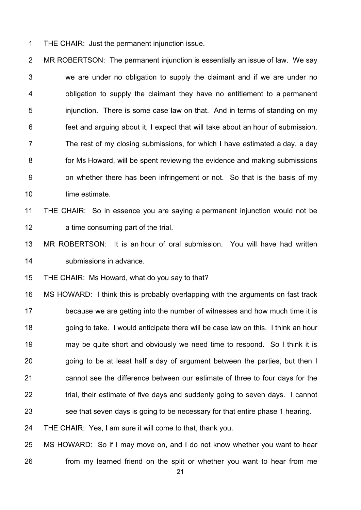1 THE CHAIR: Just the permanent injunction issue.

2 MR ROBERTSON: The permanent injunction is essentially an issue of law. We say  $\vert$  we are under no obligation to supply the claimant and if we are under no **b** obligation to supply the claimant they have no entitlement to a permanent **inimiliangle in in** injunction. There is some case law on that. And in terms of standing on my **feet and arguing about it, I expect that will take about an hour of submission.**  The rest of my closing submissions, for which I have estimated a day, a day **for Ms Howard, will be spent reviewing the evidence and making submissions** 9 on whether there has been infringement or not. So that is the basis of my 10 | time estimate.

## THE CHAIR: So in essence you are saying a permanent injunction would not be

**a** time consuming part of the trial.

 MR ROBERTSON: It is an hour of oral submission. You will have had written 14 | submissions in advance.

THE CHAIR: Ms Howard, what do you say to that?

16 | MS HOWARD: I think this is probably overlapping with the arguments on fast track 17 because we are getting into the number of witnesses and how much time it is 18 going to take. I would anticipate there will be case law on this. I think an hour 19 may be quite short and obviously we need time to respond. So I think it is  $\Box$  going to be at least half a day of argument between the parties, but then I **cannot see the difference between our estimate of three to four days for the trial, their estimate of five days and suddenly going to seven days.** I cannot **Solut** See that seven days is going to be necessary for that entire phase 1 hearing. 24 THE CHAIR: Yes, I am sure it will come to that, thank you.

 MS HOWARD: So if I may move on, and I do not know whether you want to hear **from my learned friend on the split or whether you want to hear from me**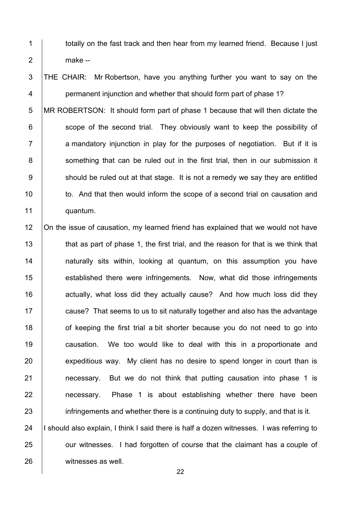1 | totally on the fast track and then hear from my learned friend. Because I just 2 make --

3 THE CHAIR: Mr Robertson, have you anything further you want to say on the 4 **permanent injunction and whether that should form part of phase 1?** 

5 MR ROBERTSON: It should form part of phase 1 because that will then dictate the 6 **Solut** scope of the second trial. They obviously want to keep the possibility of  $7$  | a mandatory injunction in play for the purposes of negotiation. But if it is 8 Something that can be ruled out in the first trial, then in our submission it  $9 \mid$  should be ruled out at that stage. It is not a remedy we say they are entitled 10 to. And that then would inform the scope of a second trial on causation and 11 quantum.

12 | On the issue of causation, my learned friend has explained that we would not have 13 that as part of phase 1, the first trial, and the reason for that is we think that 14 | naturally sits within, looking at quantum, on this assumption you have 15 **established there were infringements.** Now, what did those infringements 16 **16** actually, what loss did they actually cause? And how much loss did they 17 **cause?** That seems to us to sit naturally together and also has the advantage 18 **18** of keeping the first trial a bit shorter because you do not need to go into 19 **causation.** We too would like to deal with this in a proportionate and 20 expeditious way. My client has no desire to spend longer in court than is 21 **necessary.** But we do not think that putting causation into phase 1 is 22 **necessary.** Phase 1 is about establishing whether there have been 23 infringements and whether there is a continuing duty to supply, and that is it. 24 | I should also explain, I think I said there is half a dozen witnesses. I was referring to 25 **J** our witnesses. I had forgotten of course that the claimant has a couple of 26 witnesses as well.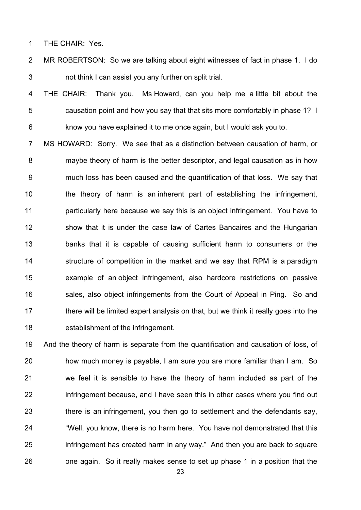1 | THE CHAIR: Yes.

2 MR ROBERTSON: So we are talking about eight witnesses of fact in phase 1. I do 3 **b** not think I can assist you any further on split trial.

4 THE CHAIR: Thank you. Ms Howard, can you help me a little bit about the 5 **Fig. 2** causation point and how you say that that sits more comfortably in phase 1? I 6 **know you have explained it to me once again, but I would ask you to.** 

7 MS HOWARD: Sorry. We see that as a distinction between causation of harm, or 8 maybe theory of harm is the better descriptor, and legal causation as in how 9 | much loss has been caused and the quantification of that loss. We say that 10 the theory of harm is an inherent part of establishing the infringement, 11 **particularly here because we say this is an object infringement.** You have to 12 Show that it is under the case law of Cartes Bancaires and the Hungarian 13 banks that it is capable of causing sufficient harm to consumers or the 14 Structure of competition in the market and we say that RPM is a paradigm 15 example of an object infringement, also hardcore restrictions on passive 16 Sales, also object infringements from the Court of Appeal in Ping. So and 17 there will be limited expert analysis on that, but we think it really goes into the 18 **establishment of the infringement.** 

19 And the theory of harm is separate from the quantification and causation of loss, of 20 how much money is payable, I am sure you are more familiar than I am. So 21 we feel it is sensible to have the theory of harm included as part of the 22 infringement because, and I have seen this in other cases where you find out 23 there is an infringement, you then go to settlement and the defendants say, 24 **Well, you know, there is no harm here.** You have not demonstrated that this 25 infringement has created harm in any way." And then you are back to square  $26$  one again. So it really makes sense to set up phase 1 in a position that the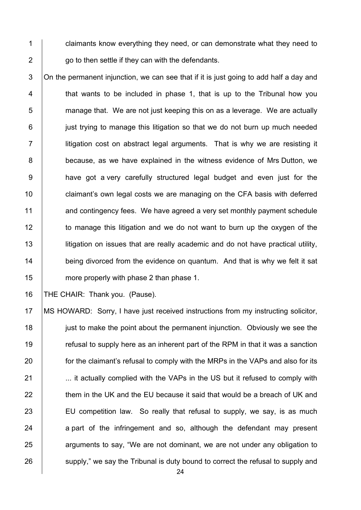1 claimants know everything they need, or can demonstrate what they need to  $2 \mid$  go to then settle if they can with the defendants.

  $\Box$  On the permanent injunction, we can see that if it is just going to add half a day and 4 | that wants to be included in phase 1, that is up to the Tribunal how you  $\parallel$  manage that. We are not just keeping this on as a leverage. We are actually 6 just trying to manage this litigation so that we do not burn up much needed 7 | litigation cost on abstract legal arguments. That is why we are resisting it **because, as we have explained in the witness evidence of Mrs Dutton, we have got a very carefully structured legal budget and even just for the claimant's own legal costs we are managing on the CFA basis with deferred** 11 and contingency fees. We have agreed a very set monthly payment schedule 12 to manage this litigation and we do not want to burn up the oxygen of the **ligation on issues that are really academic and do not have practical utility, being divorced from the evidence on quantum.** And that is why we felt it sat **more properly with phase 2 than phase 1.** 

16 | THE CHAIR: Thank you. (Pause).

 MS HOWARD: Sorry, I have just received instructions from my instructing solicitor, **just to make the point about the permanent injunction.** Obviously we see the **Fig.** refusal to supply here as an inherent part of the RPM in that it was a sanction **for the claimant's refusal to comply with the MRPs in the VAPs and also for its ...** it actually complied with the VAPs in the US but it refused to comply with them in the UK and the EU because it said that would be a breach of UK and 23 EU competition law. So really that refusal to supply, we say, is as much a part of the infringement and so, although the defendant may present 25 arguments to say, "We are not dominant, we are not under any obligation to 26 supply," we say the Tribunal is duty bound to correct the refusal to supply and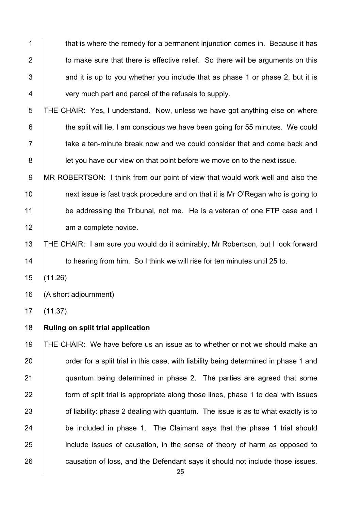1 that is where the remedy for a permanent injunction comes in. Because it has 2 to make sure that there is effective relief. So there will be arguments on this  $\vert$  and it is up to you whether you include that as phase 1 or phase 2, but it is **very much part and parcel of the refusals to supply.** 

5 THE CHAIR: Yes, I understand. Now, unless we have got anything else on where **the split will lie, I am conscious we have been going for 55 minutes. We could**  $7 \mid$  take a ten-minute break now and we could consider that and come back and **let you have our view on that point before we move on to the next issue.** 

9 | MR ROBERTSON: I think from our point of view that would work well and also the **next issue is fast track procedure and on that it is Mr O'Regan who is going to** 11 be addressing the Tribunal, not me. He is a veteran of one FTP case and I 12 am a complete novice.

 THE CHAIR: I am sure you would do it admirably, Mr Robertson, but I look forward **to hearing from him.** So I think we will rise for ten minutes until 25 to.

(11.26)

(A short adjournment)

(11.37)

## **Ruling on split trial application**

 THE CHAIR: We have before us an issue as to whether or not we should make an **Fig. 20** order for a split trial in this case, with liability being determined in phase 1 and **quantum being determined in phase 2.** The parties are agreed that some **form of split trial is appropriate along those lines, phase 1 to deal with issues Fig. 3** of liability: phase 2 dealing with quantum. The issue is as to what exactly is to 24 be included in phase 1. The Claimant says that the phase 1 trial should 25 include issues of causation, in the sense of theory of harm as opposed to **causation of loss, and the Defendant says it should not include those issues.**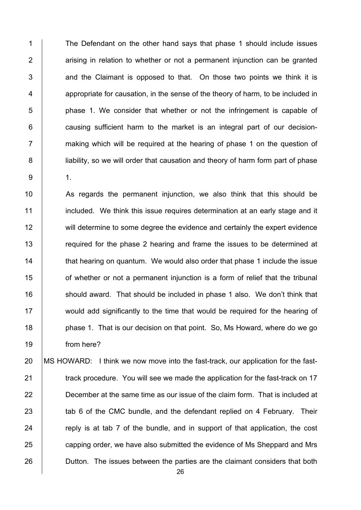1 The Defendant on the other hand says that phase 1 should include issues  $2$  | arising in relation to whether or not a permanent injunction can be granted  $3$   $\vert$  and the Claimant is opposed to that. On those two points we think it is 4 appropriate for causation, in the sense of the theory of harm, to be included in 5 b phase 1. We consider that whether or not the infringement is capable of  $6$  | causing sufficient harm to the market is an integral part of our decision-7 **T** making which will be required at the hearing of phase 1 on the question of 8 **lignts** liability, so we will order that causation and theory of harm form part of phase 9 1.

10 As regards the permanent injunction, we also think that this should be 11 **included.** We think this issue requires determination at an early stage and it 12 will determine to some degree the evidence and certainly the expert evidence 13 The required for the phase 2 hearing and frame the issues to be determined at 14 **that hearing on quantum.** We would also order that phase 1 include the issue 15 **or** of whether or not a permanent injunction is a form of relief that the tribunal 16 should award. That should be included in phase 1 also. We don't think that 17 would add significantly to the time that would be required for the hearing of 18 **phase 1.** That is our decision on that point. So, Ms Howard, where do we go 19 from here?

20 MS HOWARD: I think we now move into the fast-track, our application for the fast-**track procedure. You will see we made the application for the fast-track on 17 December at the same time as our issue of the claim form. That is included at** 23 a tab 6 of the CMC bundle, and the defendant replied on 4 February. Their  $\parallel$  reply is at tab 7 of the bundle, and in support of that application, the cost **capping order, we have also submitted the evidence of Ms Sheppard and Mrs Dutton.** The issues between the parties are the claimant considers that both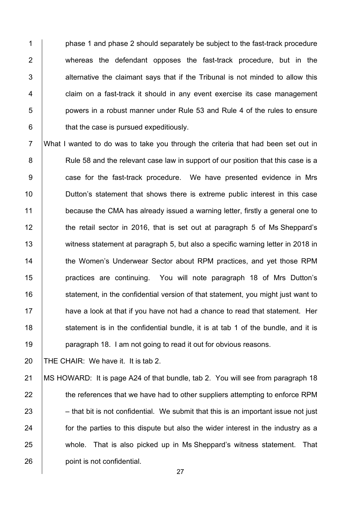**phase 1 and phase 2 should separately be subiect to the fast-track procedure** 2 whereas the defendant opposes the fast-track procedure, but in the  $\vert$  alternative the claimant savs that if the Tribunal is not minded to allow this **claim on a fast-track it should in any event exercise its case management budge 5** bowers in a robust manner under Rule 53 and Rule 4 of the rules to ensure | that the case is pursued expeditiously.

7 What I wanted to do was to take you through the criteria that had been set out in 8 | Rule 58 and the relevant case law in support of our position that this case is a 9 **case for the fast-track procedure.** We have presented evidence in Mrs 10 **Dutton's statement that shows there is extreme public interest in this case** 11 because the CMA has already issued a warning letter, firstly a general one to 12 the retail sector in 2016, that is set out at paragraph 5 of Ms Sheppard's 13 witness statement at paragraph 5, but also a specific warning letter in 2018 in 14 **the Women's Underwear Sector about RPM practices, and yet those RPM** 15 | practices are continuing. You will note paragraph 18 of Mrs Dutton's 16 | statement, in the confidential version of that statement, you might just want to  $17$  have a look at that if you have not had a chance to read that statement. Her 18 statement is in the confidential bundle, it is at tab 1 of the bundle, and it is 19 **paragraph 18. I am not going to read it out for obvious reasons.** 

20 THE CHAIR: We have it. It is tab 2.

21 | MS HOWARD: It is page A24 of that bundle, tab 2. You will see from paragraph 18 22 the references that we have had to other suppliers attempting to enforce RPM  $23$  – that bit is not confidential. We submit that this is an important issue not just 24 **for the parties to this dispute but also the wider interest in the industry as a** 25 whole. That is also picked up in Ms Sheppard's witness statement. That 26 **point is not confidential.**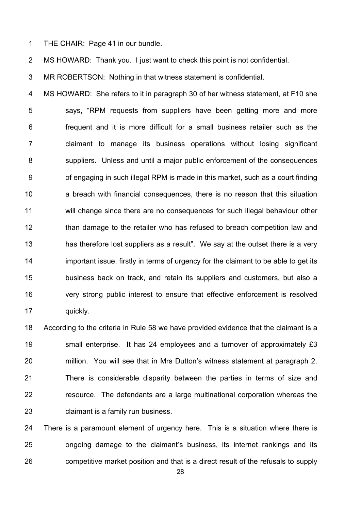1 THE CHAIR: Page 41 in our bundle.

2 MS HOWARD: Thank you. I just want to check this point is not confidential.

3 MR ROBERTSON: Nothing in that witness statement is confidential.

4 MS HOWARD: She refers to it in paragraph 30 of her witness statement, at F10 she 5 says, "RPM requests from suppliers have been getting more and more 6 **frequent and it is more difficult for a small business retailer such as the** 7 | claimant to manage its business operations without losing significant 8 Suppliers. Unless and until a major public enforcement of the consequences  $9 \mid$  of engaging in such illegal RPM is made in this market, such as a court finding 10 a breach with financial consequences, there is no reason that this situation 11 will change since there are no consequences for such illegal behaviour other 12 than damage to the retailer who has refused to breach competition law and 13 has therefore lost suppliers as a result". We say at the outset there is a very 14 important issue, firstly in terms of urgency for the claimant to be able to get its 15 **business back on track, and retain its suppliers and customers, but also a** 16 very strong public interest to ensure that effective enforcement is resolved 17 | quickly.

18 According to the criteria in Rule 58 we have provided evidence that the claimant is a 19 Small enterprise. It has 24 employees and a turnover of approximately £3 20 | million. You will see that in Mrs Dutton's witness statement at paragraph 2. 21 There is considerable disparity between the parties in terms of size and 22 **Fig.** 7.1 resource. The defendants are a large multinational corporation whereas the 23 **claimant is a family run business.** 

24 There is a paramount element of urgency here. This is a situation where there is 25 **ongoing damage to the claimant's business, its internet rankings and its** 26 competitive market position and that is a direct result of the refusals to supply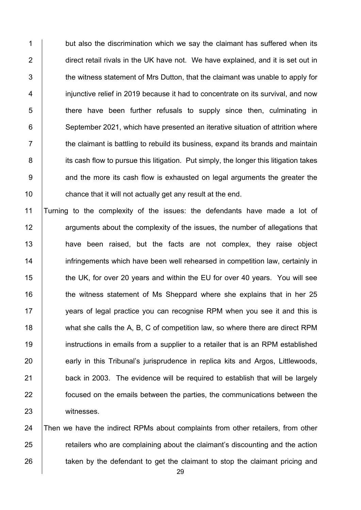1 but also the discrimination which we say the claimant has suffered when its 2 direct retail rivals in the UK have not. We have explained, and it is set out in 3 the witness statement of Mrs Dutton, that the claimant was unable to apply for 4 **injunctive relief in 2019 because it had to concentrate on its survival, and now** 5 **there have been further refusals to supply since then, culminating in** 6 September 2021, which have presented an iterative situation of attrition where  $7 \mid$  the claimant is battling to rebuild its business, expand its brands and maintain 8 iddision its cash flow to pursue this litigation. Put simply, the longer this litigation takes 9 and the more its cash flow is exhausted on legal arguments the greater the 10 **chance that it will not actually get any result at the end.** 

 Turning to the complexity of the issues: the defendants have made a lot of **12 arguments about the complexity of the issues, the number of allegations that have been raised, but the facts are not complex, they raise object infringements which have been well rehearsed in competition law, certainly in the UK, for over 20 years and within the EU for over 40 years. You will see the witness statement of Ms Sheppard where she explains that in her 25** 17 years of legal practice you can recognise RPM when you see it and this is 18 what she calls the A, B, C of competition law, so where there are direct RPM instructions in emails from a supplier to a retailer that is an RPM established 20 early in this Tribunal's jurisprudence in replica kits and Argos, Littlewoods, back in 2003. The evidence will be required to establish that will be largely **focused on the emails between the parties, the communications between the** witnesses.

24 Then we have the indirect RPMs about complaints from other retailers, from other 25 **Fig.** retailers who are complaining about the claimant's discounting and the action 26 **taken by the defendant to get the claimant to stop the claimant pricing and**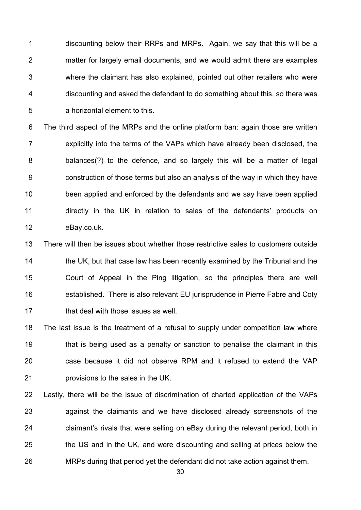1 discounting below their RRPs and MRPs. Again, we say that this will be a 2 matter for largely email documents, and we would admit there are examples 3 where the claimant has also explained, pointed out other retailers who were 4 discounting and asked the defendant to do something about this, so there was 5 a horizontal element to this.

6 The third aspect of the MRPs and the online platform ban: again those are written  $7$  | explicitly into the terms of the VAPs which have already been disclosed, the 8 balances(?) to the defence, and so largely this will be a matter of legal 9 **b** construction of those terms but also an analysis of the way in which they have 10 **been applied and enforced by the defendants and we say have been applied** 11 directly in the UK in relation to sales of the defendants' products on 12 eBay.co.uk.

 There will then be issues about whether those restrictive sales to customers outside 14 the UK, but that case law has been recently examined by the Tribunal and the Court of Appeal in the Ping litigation, so the principles there are well **established.** There is also relevant EU jurisprudence in Pierre Fabre and Coty **that deal with those issues as well.** 

 The last issue is the treatment of a refusal to supply under competition law where 19 that is being used as a penalty or sanction to penalise the claimant in this **case because it did not observe RPM and it refused to extend the VAP provisions to the sales in the UK.** 

22 Lastly, there will be the issue of discrimination of charted application of the VAPs 23 against the claimants and we have disclosed already screenshots of the  $24$   $\vert$  claimant's rivals that were selling on eBay during the relevant period, both in 25 the US and in the UK, and were discounting and selling at prices below the 26 MRPs during that period yet the defendant did not take action against them.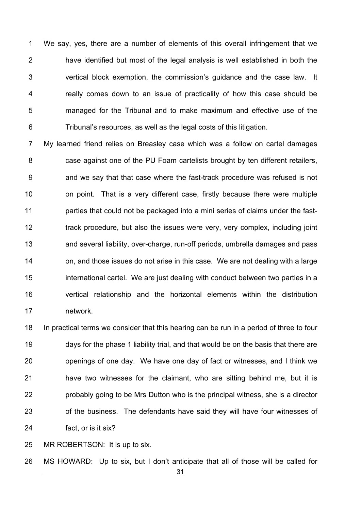1 We say, yes, there are a number of elements of this overall infringement that we  $\parallel$  have identified but most of the legal analysis is well established in both the 3 vertical block exemption, the commission's guidance and the case law. It **Figure 2** really comes down to an issue of practicality of how this case should be managed for the Tribunal and to make maximum and effective use of the | Tribunal's resources, as well as the legal costs of this litigation.

7 My learned friend relies on Breasley case which was a follow on cartel damages **case against one of the PU Foam cartelists brought by ten different retailers,**   $\vert$  and we say that that case where the fast-track procedure was refused is not **10** on point. That is a very different case, firstly because there were multiple **parties that could not be packaged into a mini series of claims under the fast-**12 The track procedure, but also the issues were very, very complex, including joint 13 and several liability, over-charge, run-off periods, umbrella damages and pass **14** on, and those issues do not arise in this case. We are not dealing with a large **international cartel.** We are just dealing with conduct between two parties in a vertical relationship and the horizontal elements within the distribution 17 network.

 In practical terms we consider that this hearing can be run in a period of three to four 19 days for the phase 1 liability trial, and that would be on the basis that there are **b** openings of one day. We have one day of fact or witnesses, and I think we **have two witnesses for the claimant, who are sitting behind me, but it is probably going to be Mrs Dutton who is the principal witness, she is a director J** of the business. The defendants have said they will have four witnesses of **fact**, or is it six?

25 | MR ROBERTSON: It is up to six.

MS HOWARD: Up to six, but I don't anticipate that all of those will be called for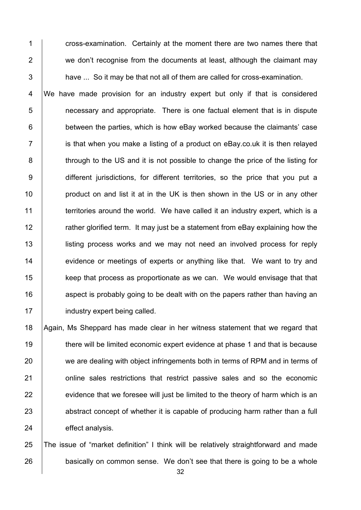1 cross-examination. Certainly at the moment there are two names there that 2 we don't recognise from the documents at least, although the claimant may  $3$  have ... So it may be that not all of them are called for cross-examination.

4 We have made provision for an industry expert but only if that is considered **1** necessary and appropriate. There is one factual element that is in dispute **between the parties, which is how eBay worked because the claimants' case**  $7 \mid$  is that when you make a listing of a product on eBay.co.uk it is then relayed 8 through to the US and it is not possible to change the price of the listing for 9 different jurisdictions, for different territories, so the price that you put a **product on and list it at in the UK is then shown in the US or in any other territories around the world.** We have called it an industry expert, which is a **Fig.** rather glorified term. It may just be a statement from eBay explaining how the **listing process works and we may not need an involved process for reply** 14 evidence or meetings of experts or anything like that. We want to try and **keep that process as proportionate as we can.** We would envisage that that **16** aspect is probably going to be dealt with on the papers rather than having an **industry expert being called.** 

18 Again, Ms Sheppard has made clear in her witness statement that we regard that 19 there will be limited economic expert evidence at phase 1 and that is because 20 we are dealing with object infringements both in terms of RPM and in terms of 21 **1** online sales restrictions that restrict passive sales and so the economic  $22$  evidence that we foresee will just be limited to the theory of harm which is an 23 abstract concept of whether it is capable of producing harm rather than a full 24 effect analysis.

25 The issue of "market definition" I think will be relatively straightforward and made 26 basically on common sense. We don't see that there is going to be a whole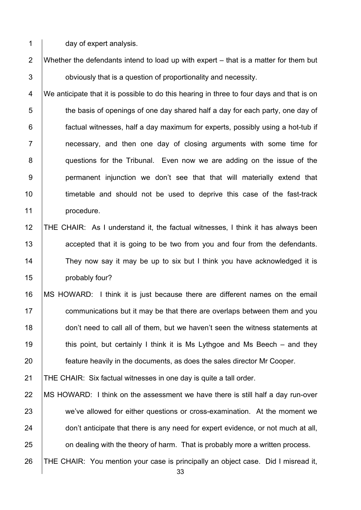1 day of expert analysis.

2 Whether the defendants intend to load up with expert  $-$  that is a matter for them but 3 **b** obviously that is a question of proportionality and necessity.

4 We anticipate that it is possible to do this hearing in three to four days and that is on  $5 \mid$  the basis of openings of one day shared half a day for each party, one day of 6 **factual witnesses, half a day maximum for experts, possibly using a hot-tub if** 7 **Fig.** 2 necessary, and then one day of closing arguments with some time for 8 questions for the Tribunal. Even now we are adding on the issue of the 9 | permanent injunction we don't see that that will materially extend that 10 **timetable and should not be used to deprive this case of the fast-track** 11 | procedure.

- 12 THE CHAIR: As I understand it, the factual witnesses, I think it has always been 13 **accepted that it is going to be two from you and four from the defendants.** 14 They now say it may be up to six but I think you have acknowledged it is 15 **probably four?**
- 16 MS HOWARD: I think it is just because there are different names on the email 17 **communications but it may be that there are overlaps between them and you** 18 don't need to call all of them, but we haven't seen the witness statements at 19 **this point, but certainly I think it is Ms Lythgoe and Ms Beech – and they** 20 **feature heavily in the documents, as does the sales director Mr Cooper.**

21 THE CHAIR: Six factual witnesses in one day is quite a tall order.

- 22 | MS HOWARD: I think on the assessment we have there is still half a day run-over 23 we've allowed for either questions or cross-examination. At the moment we 24 don't anticipate that there is any need for expert evidence, or not much at all, 25 **on dealing with the theory of harm.** That is probably more a written process.
- 26 THE CHAIR: You mention your case is principally an object case. Did I misread it,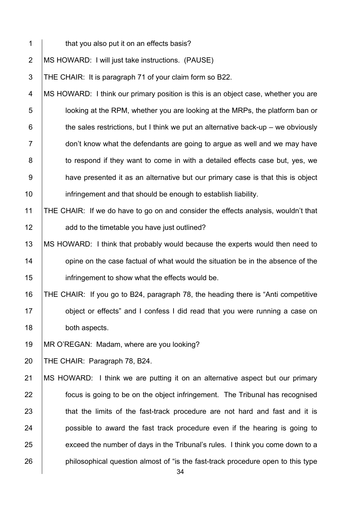| $\mathbf 1$    | that you also put it on an effects basis?                                             |
|----------------|---------------------------------------------------------------------------------------|
| $\overline{2}$ | MS HOWARD: I will just take instructions. (PAUSE)                                     |
| 3              | THE CHAIR: It is paragraph 71 of your claim form so B22.                              |
| 4              | MS HOWARD: I think our primary position is this is an object case, whether you are    |
| 5              | looking at the RPM, whether you are looking at the MRPs, the platform ban or          |
| 6              | the sales restrictions, but I think we put an alternative back-up $-$ we obviously    |
| $\overline{7}$ | don't know what the defendants are going to argue as well and we may have             |
| 8              | to respond if they want to come in with a detailed effects case but, yes, we          |
| $9\,$          | have presented it as an alternative but our primary case is that this is object       |
| 10             | infringement and that should be enough to establish liability.                        |
| 11             | THE CHAIR: If we do have to go on and consider the effects analysis, wouldn't that    |
| 12             | add to the timetable you have just outlined?                                          |
| 13             | MS HOWARD: I think that probably would because the experts would then need to         |
| 14             | opine on the case factual of what would the situation be in the absence of the        |
| 15             | infringement to show what the effects would be.                                       |
| 16             | THE CHAIR: If you go to B24, paragraph 78, the heading there is "Anti competitive     |
| 17             | object or effects" and I confess I did read that you were running a case on           |
| 18             | both aspects.                                                                         |
| 19             | MR O'REGAN: Madam, where are you looking?                                             |
| 20             | THE CHAIR: Paragraph 78, B24.                                                         |
| 21             | MS HOWARD: I think we are putting it on an alternative aspect but our primary         |
| 22             | focus is going to be on the object infringement. The Tribunal has recognised          |
| 23             | that the limits of the fast-track procedure are not hard and fast and it is           |
| 24             | possible to award the fast track procedure even if the hearing is going to            |
| 25             | exceed the number of days in the Tribunal's rules. I think you come down to a         |
| 26             | philosophical question almost of "is the fast-track procedure open to this type<br>34 |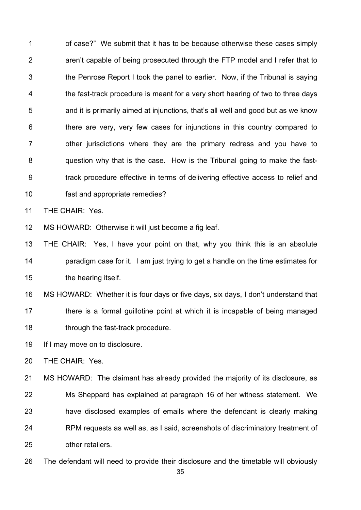**1** of case?" We submit that it has to be because otherwise these cases simply **Fig.** aren't capable of being prosecuted through the FTP model and I refer that to  $\parallel$  the Penrose Report I took the panel to earlier. Now, if the Tribunal is saying 4 the fast-track procedure is meant for a very short hearing of two to three days  $\overline{5}$  and it is primarily aimed at injunctions, that's all well and good but as we know | there are very, very few cases for injunctions in this country compared to **1** other jurisdictions where they are the primary redress and you have to **question why that is the case.** How is the Tribunal going to make the fast-9 Track procedure effective in terms of delivering effective access to relief and fast and appropriate remedies? 11 | THE CHAIR: Yes. MS HOWARD: Otherwise it will just become a fig leaf. THE CHAIR: Yes, I have your point on that, why you think this is an absolute **paradigm case for it. I am just trying to get a handle on the time estimates for the hearing itself.** 16 | MS HOWARD: Whether it is four days or five days, six days, I don't understand that

17 **there is a formal guillotine point at which it is incapable of being managed** 18 **through the fast-track procedure.** 

19 | If I may move on to disclosure.

20 | THE CHAIR: Yes.

21 | MS HOWARD: The claimant has already provided the majority of its disclosure, as 22 Ms Sheppard has explained at paragraph 16 of her witness statement. We 23 **have disclosed examples of emails where the defendant is clearly making** 24 RPM requests as well as, as I said, screenshots of discriminatory treatment of 25 **other retailers.** 

26 The defendant will need to provide their disclosure and the timetable will obviously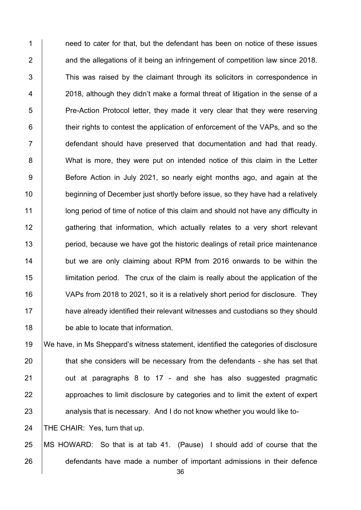1 1 need to cater for that, but the defendant has been on notice of these issues **2** and the allegations of it being an infringement of competition law since 2018. 3 This was raised by the claimant through its solicitors in correspondence in 4 | 2018, although they didn't make a formal threat of litigation in the sense of a 5 Pre-Action Protocol letter, they made it very clear that they were reserving **their rights to contest the application of enforcement of the VAPs, and so the** 7 defendant should have preserved that documentation and had that ready. 8 What is more, they were put on intended notice of this claim in the Letter 9 Before Action in July 2021, so nearly eight months ago, and again at the **beginning of December just shortly before issue, so they have had a relatively letch** long period of time of notice of this claim and should not have any difficulty in **gathering that information, which actually relates to a very short relevant period, because we have got the historic dealings of retail price maintenance but we are only claiming about RPM from 2016 onwards to be within the**  limitation period. The crux of the claim is really about the application of the VAPs from 2018 to 2021, so it is a relatively short period for disclosure. They **have already identified their relevant witnesses and custodians so they should be able to locate that information.** 

 We have, in Ms Sheppard's witness statement, identified the categories of disclosure  $\parallel$  that she considers will be necessary from the defendants - she has set that  $\vert$  out at paragraphs 8 to 17 - and she has also suggested pragmatic **approaches to limit disclosure by categories and to limit the extent of expert** 23 analysis that is necessary. And I do not know whether you would like to-

24 | THE CHAIR: Yes, turn that up.

 MS HOWARD: So that is at tab 41. (Pause) I should add of course that the 26 defendants have made a number of important admissions in their defence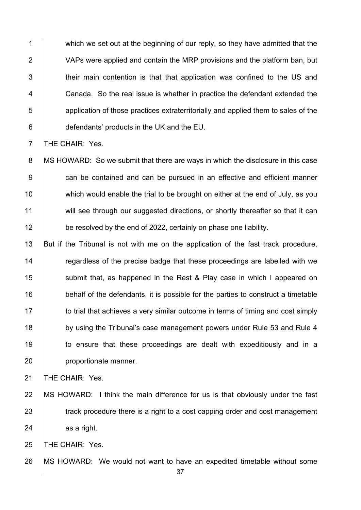1 which we set out at the beginning of our reply, so they have admitted that the 2 VAPs were applied and contain the MRP provisions and the platform ban, but 3 their main contention is that that application was confined to the US and 4 Canada. So the real issue is whether in practice the defendant extended the 5 **b** application of those practices extraterritorially and applied them to sales of the 6 **defendants' products in the UK and the EU.** 

7 **THE CHAIR: Yes.** 

8 | MS HOWARD: So we submit that there are ways in which the disclosure in this case 9 can be contained and can be pursued in an effective and efficient manner 10 which would enable the trial to be brought on either at the end of July, as you 11 will see through our suggested directions, or shortly thereafter so that it can 12 **be resolved by the end of 2022, certainly on phase one liability.** 

13 But if the Tribunal is not with me on the application of the fast track procedure, 14 Tegardless of the precise badge that these proceedings are labelled with we 15 Submit that, as happened in the Rest & Play case in which I appeared on 16 behalf of the defendants, it is possible for the parties to construct a timetable 17 to trial that achieves a very similar outcome in terms of timing and cost simply 18 by using the Tribunal's case management powers under Rule 53 and Rule 4 19 to ensure that these proceedings are dealt with expeditiously and in a 20 **proportionate manner.** 

21 | THE CHAIR: Yes.

22 | MS HOWARD: I think the main difference for us is that obviously under the fast 23 **track procedure there is a right to a cost capping order and cost management**  $24$  as a right.

25 | THE CHAIR: Yes.

26 | MS HOWARD: We would not want to have an expedited timetable without some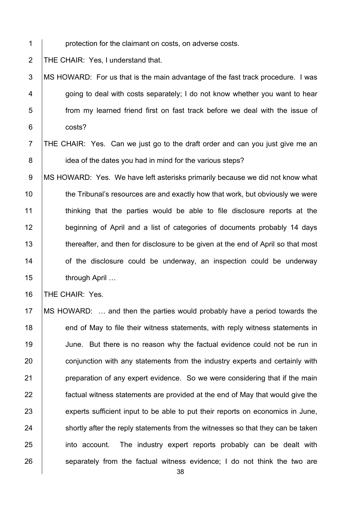1 **protection for the claimant on costs, on adverse costs.** 

2 THE CHAIR: Yes, I understand that.

3 MS HOWARD: For us that is the main advantage of the fast track procedure. I was  $4$   $\vert$  going to deal with costs separately; I do not know whether you want to hear 5 from my learned friend first on fast track before we deal with the issue of 6 costs?

7 | THE CHAIR: Yes. Can we just go to the draft order and can you just give me an 8 **idea of the dates you had in mind for the various steps?** 

9 MS HOWARD: Yes. We have left asterisks primarily because we did not know what 10 the Tribunal's resources are and exactly how that work, but obviously we were 11 | thinking that the parties would be able to file disclosure reports at the 12 beginning of April and a list of categories of documents probably 14 days 13 thereafter, and then for disclosure to be given at the end of April so that most  $14$   $\vert$  of the disclosure could be underway, an inspection could be underway 15 through April ...

16 | THE CHAIR: Yes.

17 MS HOWARD: … and then the parties would probably have a period towards the 18 end of May to file their witness statements, with reply witness statements in 19 June. But there is no reason why the factual evidence could not be run in 20 conjunction with any statements from the industry experts and certainly with 21 **preparation of any expert evidence.** So we were considering that if the main 22 **factual witness statements are provided at the end of May that would give the** 23 experts sufficient input to be able to put their reports on economics in June,  $24$  shortly after the reply statements from the witnesses so that they can be taken 25 into account. The industry expert reports probably can be dealt with 26 separately from the factual witness evidence; I do not think the two are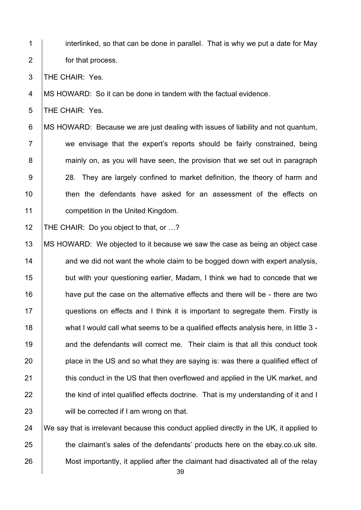1 interlinked, so that can be done in parallel. That is why we put a date for May 2 **for that process.** 

3 THE CHAIR: Yes.

4 MS HOWARD: So it can be done in tandem with the factual evidence.

5 | THE CHAIR: Yes.

6 MS HOWARD: Because we are just dealing with issues of liability and not quantum, 7 we envisage that the expert's reports should be fairly constrained, being 8 **mainly on, as you will have seen, the provision that we set out in paragraph** 9 28. They are largely confined to market definition, the theory of harm and 10 **then the defendants have asked for an assessment of the effects on** 11 **competition in the United Kingdom.** 

12 | THE CHAIR: Do you object to that, or ...?

13 | MS HOWARD: We objected to it because we saw the case as being an object case and we did not want the whole claim to be bogged down with expert analysis, **but with your questioning earlier, Madam, I think we had to concede that we** 16 have put the case on the alternative effects and there will be - there are two **questions on effects and I think it is important to segregate them. Firstly is** 18 what I would call what seems to be a qualified effects analysis here, in little 3 -**19** and the defendants will correct me. Their claim is that all this conduct took **place in the US and so what they are saying is: was there a qualified effect of this conduct in the US that then overflowed and applied in the UK market, and the kind of intel qualified effects doctrine.** That is my understanding of it and I **will be corrected if I am wrong on that.** 

24  $\parallel$  We say that is irrelevant because this conduct applied directly in the UK, it applied to 25 the claimant's sales of the defendants' products here on the ebay.co.uk site. 26 Most importantly, it applied after the claimant had disactivated all of the relay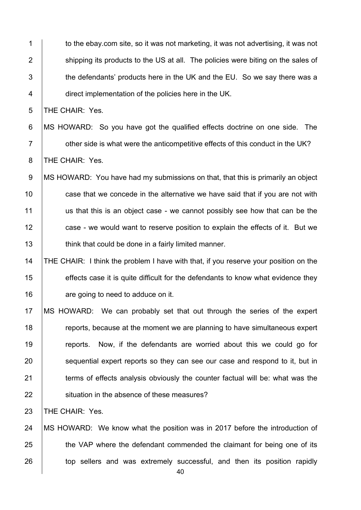1 to the ebay.com site, so it was not marketing, it was not advertising, it was not 2 Shipping its products to the US at all. The policies were biting on the sales of  $\parallel$  the defendants' products here in the UK and the EU. So we say there was a **direct implementation of the policies here in the UK.** 

5 | THE CHAIR: Yes.

6 MS HOWARD: So you have got the qualified effects doctrine on one side. The **Fig. 2** other side is what were the anticompetitive effects of this conduct in the UK? 8 THE CHAIR: Yes.

9 MS HOWARD: You have had my submissions on that, that this is primarily an object **case that we concede in the alternative we have said that if you are not with**  us that this is an object case - we cannot possibly see how that can be the **case - we would want to reserve position to explain the effects of it. But we think that could be done in a fairly limited manner.** 

## THE CHAIR: I think the problem I have with that, if you reserve your position on the **effects case it is quite difficult for the defendants to know what evidence they are going to need to adduce on it.**

 MS HOWARD: We can probably set that out through the series of the expert **Fig. 2** reports, because at the moment we are planning to have simultaneous expert 19 The ports. Now, if the defendants are worried about this we could go for **Sequential expert reports so they can see our case and respond to it, but in terms of effects analysis obviously the counter factual will be: what was the Struation in the absence of these measures?** 

**THE CHAIR: Yes.** 

 MS HOWARD: We know what the position was in 2017 before the introduction of 25 the VAP where the defendant commended the claimant for being one of its 26 top sellers and was extremely successful, and then its position rapidly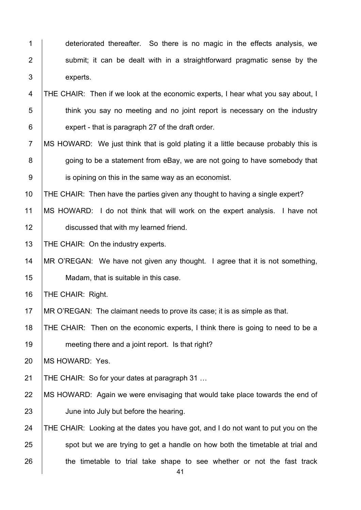| $\mathbf 1$    | deteriorated thereafter. So there is no magic in the effects analysis, we          |
|----------------|------------------------------------------------------------------------------------|
| $\overline{2}$ | submit; it can be dealt with in a straightforward pragmatic sense by the           |
| 3              | experts.                                                                           |
| 4              | THE CHAIR: Then if we look at the economic experts, I hear what you say about, I   |
| 5              | think you say no meeting and no joint report is necessary on the industry          |
| 6              | expert - that is paragraph 27 of the draft order.                                  |
| $\overline{7}$ | MS HOWARD: We just think that is gold plating it a little because probably this is |
| 8              | going to be a statement from eBay, we are not going to have somebody that          |
| $9\,$          | is opining on this in the same way as an economist.                                |
| 10             | THE CHAIR: Then have the parties given any thought to having a single expert?      |
| 11             | MS HOWARD: I do not think that will work on the expert analysis. I have not        |
| 12             | discussed that with my learned friend.                                             |
| 13             | THE CHAIR: On the industry experts.                                                |
| 14             | MR O'REGAN: We have not given any thought. I agree that it is not something,       |
| 15             | Madam, that is suitable in this case.                                              |
| 16             | THE CHAIR: Right.                                                                  |
| 17             | MR O'REGAN: The claimant needs to prove its case; it is as simple as that.         |
| 18             | THE CHAIR: Then on the economic experts, I think there is going to need to be a    |
| 19             | meeting there and a joint report. Is that right?                                   |
| 20             | MS HOWARD: Yes.                                                                    |
| 21             | THE CHAIR: So for your dates at paragraph 31                                       |
| 22             | MS HOWARD: Again we were envisaging that would take place towards the end of       |
| 23             | June into July but before the hearing.                                             |
| 24             | THE CHAIR: Looking at the dates you have got, and I do not want to put you on the  |
| 25             | spot but we are trying to get a handle on how both the timetable at trial and      |
| 26             | the timetable to trial take shape to see whether or not the fast track<br>41       |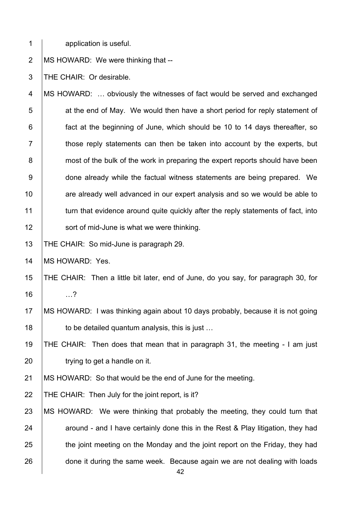1 application is useful.

2 | MS HOWARD: We were thinking that --

3 THE CHAIR: Or desirable.

4 MS HOWARD: … obviously the witnesses of fact would be served and exchanged  $\vert$  at the end of May. We would then have a short period for reply statement of **fact at the beginning of June, which should be 10 to 14 days thereafter, so**   $\parallel$  those reply statements can then be taken into account by the experts, but **1** most of the bulk of the work in preparing the expert reports should have been **done already while the factual witness statements are being prepared.** We **Fig.** are already well advanced in our expert analysis and so we would be able to 11 turn that evidence around quite quickly after the reply statements of fact, into **Sort of mid-June is what we were thinking.** 

13 | THE CHAIR: So mid-June is paragraph 29.

14 | MS HOWARD: Yes.

15 THE CHAIR: Then a little bit later, end of June, do you say, for paragraph 30, for 16 …?

17 MS HOWARD: I was thinking again about 10 days probably, because it is not going 18  $\vert$  to be detailed quantum analysis, this is just ...

19 THE CHAIR: Then does that mean that in paragraph 31, the meeting - I am just 20 **trying to get a handle on it.** 

21 | MS HOWARD: So that would be the end of June for the meeting.

22 | THE CHAIR: Then July for the joint report, is it?

23 | MS HOWARD: We were thinking that probably the meeting, they could turn that 24  $\parallel$  around - and I have certainly done this in the Rest & Play litigation, they had  $25$  the joint meeting on the Monday and the joint report on the Friday, they had 26 done it during the same week. Because again we are not dealing with loads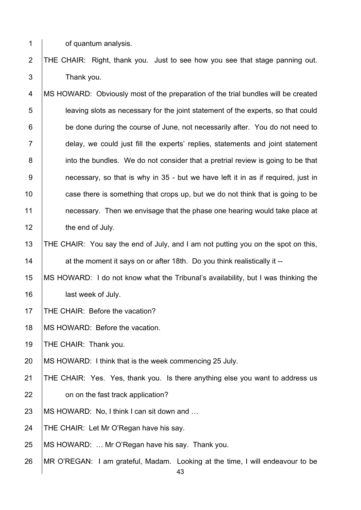1 **component** of quantum analysis.

2 THE CHAIR: Right, thank you. Just to see how you see that stage panning out. 3 Thank you.

4 MS HOWARD: Obviously most of the preparation of the trial bundles will be created 5 leaving slots as necessary for the joint statement of the experts, so that could 6 **be done during the course of June, not necessarily after.** You do not need to 7 delay, we could just fill the experts' replies, statements and joint statement 8 into the bundles. We do not consider that a pretrial review is going to be that 9 **9** necessary, so that is why in 35 - but we have left it in as if required, just in 10 **case there is something that crops up, but we do not think that is going to be** 11 **1** necessary. Then we envisage that the phase one hearing would take place at 12 **the end of July.** 

13 THE CHAIR: You say the end of July, and I am not putting you on the spot on this, 14 **14** at the moment it says on or after 18th. Do you think realistically it --

15 MS HOWARD: I do not know what the Tribunal's availability, but I was thinking the 16 | last week of July.

- 17 | THE CHAIR: Before the vacation?
- 18 | MS HOWARD: Before the vacation.

19 | THE CHAIR: Thank you.

20 MS HOWARD: I think that is the week commencing 25 July.

21 THE CHAIR: Yes. Yes, thank you. Is there anything else you want to address us 22 **on on the fast track application?** 

- 23 | MS HOWARD: No, I think I can sit down and ...
- 24 | THE CHAIR: Let Mr O'Regan have his say.
- 25 MS HOWARD: ... Mr O'Regan have his say. Thank you.
- 26 MR O'REGAN: I am grateful, Madam. Looking at the time, I will endeavour to be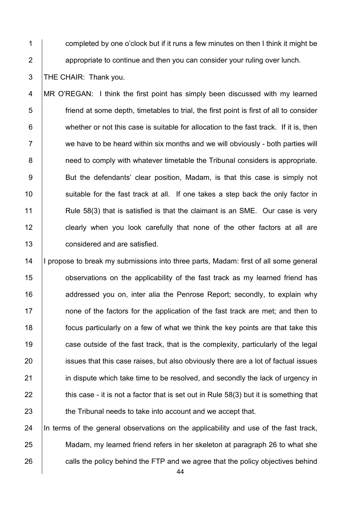1 completed by one o'clock but if it runs a few minutes on then I think it might be 2 **2** appropriate to continue and then you can consider your ruling over lunch.

3 | THE CHAIR: Thank you.

4 | MR O'REGAN: I think the first point has simply been discussed with my learned 5 friend at some depth, timetables to trial, the first point is first of all to consider 6 whether or not this case is suitable for allocation to the fast track. If it is, then  $7 \mid$  we have to be heard within six months and we will obviously - both parties will 8 **8** need to comply with whatever timetable the Tribunal considers is appropriate. 9 | But the defendants' clear position, Madam, is that this case is simply not 10 Suitable for the fast track at all. If one takes a step back the only factor in 11 **Rule 58(3)** that is satisfied is that the claimant is an SME. Our case is very 12 clearly when you look carefully that none of the other factors at all are 13 **considered and are satisfied.** 

14 | | propose to break my submissions into three parts, Madam: first of all some general **b** observations on the applicability of the fast track as my learned friend has **Alter and and resear you on, inter alia the Penrose Report; secondly, to explain why none of the factors for the application of the fast track are met: and then to focus particularly on a few of what we think the key points are that take this case outside of the fast track, that is the complexity, particularly of the legal** 20 issues that this case raises, but also obviously there are a lot of factual issues **in dispute which take time to be resolved, and secondly the lack of urgency in**  $\parallel$  this case - it is not a factor that is set out in Rule 58(3) but it is something that **the Tribunal needs to take into account and we accept that.** 

 $24$  In terms of the general observations on the applicability and use of the fast track, 25 Madam, my learned friend refers in her skeleton at paragraph 26 to what she 26 calls the policy behind the FTP and we agree that the policy objectives behind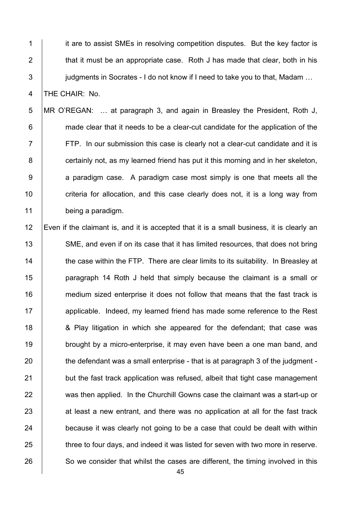**it are to assist SMEs in resolving competition disputes. But the key factor is**  $\parallel$  that it must be an appropriate case. Roth J has made that clear, both in his **judgments in Socrates - I do not know if I need to take you to that. Madam ...** 4 THE CHAIR: No.

5 MR O'REGAN: … at paragraph 3, and again in Breasley the President, Roth J, 6 **made clear that it needs to be a clear-cut candidate for the application of the** 7 FTP. In our submission this case is clearly not a clear-cut candidate and it is 8 **certainly not, as my learned friend has put it this morning and in her skeleton,**  $9$  a paradigm case. A paradigm case most simply is one that meets all the 10 **criteria for allocation, and this case clearly does not, it is a long way from** 11 being a paradigm.

12 Even if the claimant is, and it is accepted that it is a small business, it is clearly an 13 SME, and even if on its case that it has limited resources, that does not bring 14 The case within the FTP. There are clear limits to its suitability. In Breasley at 15 **paragraph 14 Roth J held that simply because the claimant is a small or** 16 **medium sized enterprise it does not follow that means that the fast track is** 17 **a**pplicable. Indeed, my learned friend has made some reference to the Rest 18 **6** A Play litigation in which she appeared for the defendant; that case was 19 brought by a micro-enterprise, it may even have been a one man band, and  $20$  the defendant was a small enterprise - that is at paragraph 3 of the judgment -21 but the fast track application was refused, albeit that tight case management 22 was then applied. In the Churchill Gowns case the claimant was a start-up or  $23$  at least a new entrant, and there was no application at all for the fast track  $24$  because it was clearly not going to be a case that could be dealt with within 25 three to four days, and indeed it was listed for seven with two more in reserve. 26 So we consider that whilst the cases are different, the timing involved in this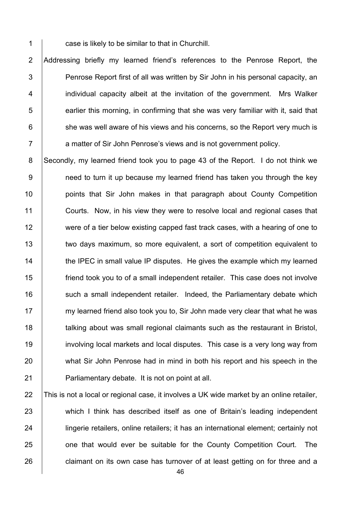1 case is likely to be similar to that in Churchill.

2 Addressing briefly my learned friend's references to the Penrose Report, the 3 Penrose Report first of all was written by Sir John in his personal capacity, an 4 | individual capacity albeit at the invitation of the government. Mrs Walker  $5$  | earlier this morning, in confirming that she was very familiar with it, said that  $6$  she was well aware of his views and his concerns, so the Report very much is 7 a matter of Sir John Penrose's views and is not government policy.

8 Secondly, my learned friend took you to page 43 of the Report. I do not think we 9 9 need to turn it up because my learned friend has taken you through the key 10 | points that Sir John makes in that paragraph about County Competition 11 Courts. Now, in his view they were to resolve local and regional cases that 12 were of a tier below existing capped fast track cases, with a hearing of one to 13 two days maximum, so more equivalent, a sort of competition equivalent to 14 **the IPEC** in small value IP disputes. He gives the example which my learned 15 friend took you to of a small independent retailer. This case does not involve 16 | such a small independent retailer. Indeed, the Parliamentary debate which 17 my learned friend also took you to, Sir John made very clear that what he was 18 **talking about was small regional claimants such as the restaurant in Bristol,** 19 involving local markets and local disputes. This case is a very long way from 20 what Sir John Penrose had in mind in both his report and his speech in the 21 | Parliamentary debate. It is not on point at all.

22 This is not a local or regional case, it involves a UK wide market by an online retailer, 23 which I think has described itself as one of Britain's leading independent 24 **lingerie retailers, online retailers**; it has an international element; certainly not 25 **one that would ever be suitable for the County Competition Court.** The 26 **claimant on its own case has turnover of at least getting on for three and a**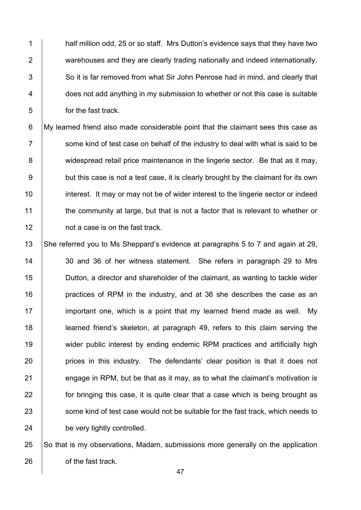1 half million odd, 25 or so staff. Mrs Dutton's evidence says that they have two 2 **warehouses and they are clearly trading nationally and indeed internationally.**  $3$  So it is far removed from what Sir John Penrose had in mind, and clearly that 4 does not add anything in my submission to whether or not this case is suitable 5 for the fast track.

6 My learned friend also made considerable point that the claimant sees this case as  $7 \mid$  some kind of test case on behalf of the industry to deal with what is said to be 8 | widespread retail price maintenance in the lingerie sector. Be that as it may, 9 but this case is not a test case, it is clearly brought by the claimant for its own 10 **interest.** It may or may not be of wider interest to the lingerie sector or indeed 11 the community at large, but that is not a factor that is relevant to whether or 12 **12** not a case is on the fast track.

 She referred you to Ms Sheppard's evidence at paragraphs 5 to 7 and again at 29, 14 30 and 36 of her witness statement. She refers in paragraph 29 to Mrs Dutton, a director and shareholder of the claimant, as wanting to tackle wider **practices of RPM** in the industry, and at 36 she describes the case as an **important one, which is a point that my learned friend made as well.** My learned friend's skeleton, at paragraph 49, refers to this claim serving the wider public interest by ending endemic RPM practices and artificially high **prices in this industry.** The defendants' clear position is that it does not  $\parallel$  engage in RPM, but be that as it may, as to what the claimant's motivation is **for bringing this case, it is quite clear that a case which is being brought as** 23 Some kind of test case would not be suitable for the fast track, which needs to 24 be very tightly controlled.

25 So that is my observations, Madam, submissions more generally on the application 26 **b** of the fast track.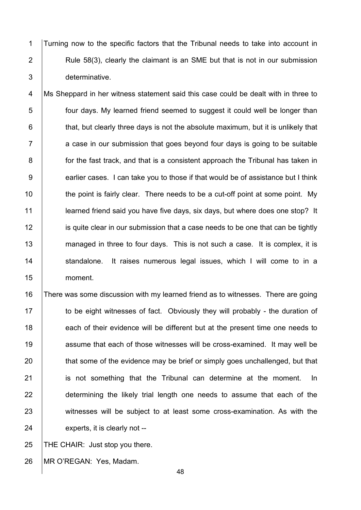1 Turning now to the specific factors that the Tribunal needs to take into account in 2  $\vert$  Rule 58(3), clearly the claimant is an SME but that is not in our submission 3 determinative.

4 | Ms Sheppard in her witness statement said this case could be dealt with in three to 5 **four days.** My learned friend seemed to suggest it could well be longer than  $6$   $\vert$  that, but clearly three days is not the absolute maximum, but it is unlikely that  $7$   $\vert$  a case in our submission that goes bevond four days is going to be suitable 8 **for the fast track, and that is a consistent approach the Tribunal has taken in** 9 earlier cases. I can take you to those if that would be of assistance but I think 10 **the point is fairly clear.** There needs to be a cut-off point at some point. My 11 **learned friend said you have five days, six days, but where does one stop?** It 12 is quite clear in our submission that a case needs to be one that can be tightly 13 managed in three to four days. This is not such a case. It is complex, it is 14 Standalone. It raises numerous legal issues, which I will come to in a 15 moment.

16 There was some discussion with my learned friend as to witnesses. There are going 17 The to be eight witnesses of fact. Obviously they will probably - the duration of 18 each of their evidence will be different but at the present time one needs to 19 **19** assume that each of those witnesses will be cross-examined. It may well be 20 that some of the evidence may be brief or simply goes unchallenged, but that 21 | is not something that the Tribunal can determine at the moment. In 22 determining the likely trial length one needs to assume that each of the 23 witnesses will be subject to at least some cross-examination. As with the 24 experts, it is clearly not --

25  $\vert$  THE CHAIR: Just stop you there.

26 MR O'REGAN: Yes, Madam.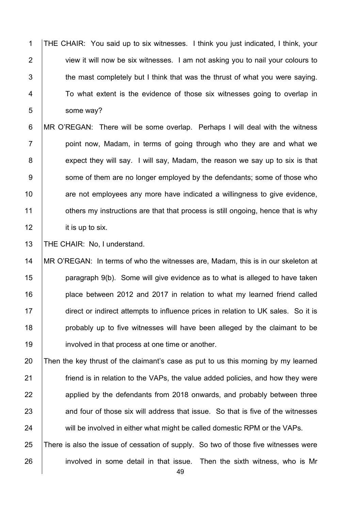1 THE CHAIR: You said up to six witnesses. I think you just indicated, I think, your 2 **view it will now be six witnesses.** I am not asking you to nail your colours to  $3$   $\parallel$  the mast completely but I think that was the thrust of what you were saying. 4 To what extent is the evidence of those six witnesses going to overlap in 5 some way?

6 MR O'REGAN: There will be some overlap. Perhaps I will deal with the witness  $7$  | point now, Madam, in terms of going through who they are and what we 8 expect they will say. I will say, Madam, the reason we say up to six is that 9 Some of them are no longer employed by the defendants; some of those who 10 **are not employees any more have indicated a willingness to give evidence,** 11 **1** others my instructions are that that process is still ongoing, hence that is why 12 it is up to six.

13 | THE CHAIR: No, I understand.

 MR O'REGAN: In terms of who the witnesses are, Madam, this is in our skeleton at 15 | paragraph  $9(b)$ . Some will give evidence as to what is alleged to have taken **place between 2012 and 2017 in relation to what my learned friend called** 17 direct or indirect attempts to influence prices in relation to UK sales. So it is **probably up to five witnesses will have been alleged by the claimant to be involved in that process at one time or another.** 

20 Then the key thrust of the claimant's case as put to us this morning by my learned 21 **Figure 1** friend is in relation to the VAPs, the value added policies, and how they were 22 applied by the defendants from 2018 onwards, and probably between three  $23$  and four of those six will address that issue. So that is five of the witnesses 24 will be involved in either what might be called domestic RPM or the VAPs.

25 There is also the issue of cessation of supply. So two of those five witnesses were 26 involved in some detail in that issue. Then the sixth witness, who is Mr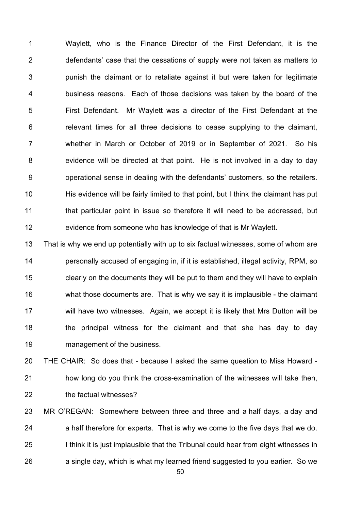1 Waylett, who is the Finance Director of the First Defendant, it is the **defendants** case that the cessations of supply were not taken as matters to | punish the claimant or to retaliate against it but were taken for legitimate 4 business reasons. Each of those decisions was taken by the board of the 5 First Defendant. Mr Waylett was a director of the First Defendant at the | relevant times for all three decisions to cease supplying to the claimant, 7 whether in March or October of 2019 or in September of 2021. So his 8 evidence will be directed at that point. He is not involved in a day to day **operational sense in dealing with the defendants' customers, so the retailers.** 10 His evidence will be fairly limited to that point, but I think the claimant has put **that particular point in issue so therefore it will need to be addressed, but Fig. 4** evidence from someone who has knowledge of that is Mr Waylett.

13 That is why we end up potentially with up to six factual witnesses, some of whom are **personally accused of engaging in, if it is established, illegal activity, RPM, so clearly on the documents they will be put to them and they will have to explain** 16 what those documents are. That is why we say it is implausible - the claimant 17 Will have two witnesses. Again, we accept it is likely that Mrs Dutton will be **the principal witness for the claimant and that she has day to day management of the business.** 

 THE CHAIR: So does that - because I asked the same question to Miss Howard - **how long do you think the cross-examination of the witnesses will take then, the factual witnesses?** 

- MR O'REGAN: Somewhere between three and three and a half days, a day and a half therefore for experts. That is why we come to the five days that we do. 25 I imit is just implausible that the Tribunal could hear from eight witnesses in a single day, which is what my learned friend suggested to you earlier. So we
	-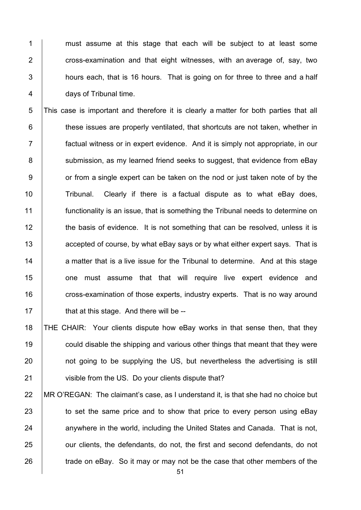1 must assume at this stage that each will be subiect to at least some **cross-examination and that eight witnesses, with an average of, say, two**  | hours each, that is 16 hours. That is going on for three to three and a half **days of Tribunal time.** 

5 This case is important and therefore it is clearly a matter for both parties that all **these issues are properly ventilated, that shortcuts are not taken, whether in** 7 factual witness or in expert evidence. And it is simply not appropriate, in our 8 Submission, as my learned friend seeks to suggest, that evidence from eBay **b** or from a single expert can be taken on the nod or just taken note of by the 10 Tribunal. Clearly if there is a factual dispute as to what eBay does, functionality is an issue, that is something the Tribunal needs to determine on 12 the basis of evidence. It is not something that can be resolved, unless it is **accepted of course, by what eBay says or by what either expert says. That is**  $\parallel$  a matter that is a live issue for the Tribunal to determine. And at this stage **one must assume that that will require live expert evidence and cross-examination of those experts, industry experts.** That is no way around **that at this stage. And there will be --**

 THE CHAIR: Your clients dispute how eBay works in that sense then, that they **could disable the shipping and various other things that meant that they were not going to be supplying the US, but nevertheless the advertising is still** 21 visible from the US. Do your clients dispute that?

22 MR O'REGAN: The claimant's case, as I understand it, is that she had no choice but 23 to set the same price and to show that price to every person using eBay 24 anywhere in the world, including the United States and Canada. That is not, 25 **J** our clients, the defendants, do not, the first and second defendants, do not 26  $\parallel$  trade on eBay. So it may or may not be the case that other members of the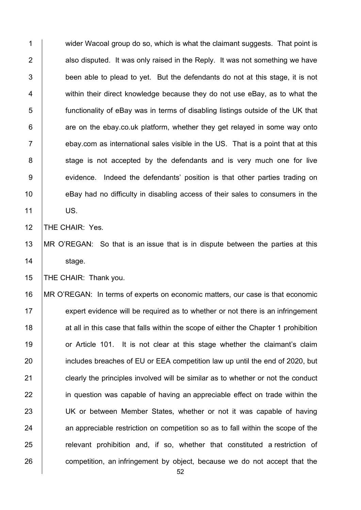1 wider Wacoal group do so, which is what the claimant suggests. That point is  $2$  | also disputed. It was only raised in the Reply. It was not something we have  $3$  | been able to plead to yet. But the defendants do not at this stage, it is not 4 within their direct knowledge because they do not use eBay, as to what the 5 functionality of eBay was in terms of disabling listings outside of the UK that  $6$  | are on the ebay.co.uk platform, whether they get relayed in some way onto  $7$  ebay.com as international sales visible in the US. That is a point that at this 8 Stage is not accepted by the defendants and is very much one for live 9 evidence. Indeed the defendants' position is that other parties trading on 10 **EDAY** had no difficulty in disabling access of their sales to consumers in the 11 US.

12 | THE CHAIR: Yes.

13 MR O'REGAN: So that is an issue that is in dispute between the parties at this 14 | stage.

15 | THE CHAIR: Thank you.

16 MR O'REGAN: In terms of experts on economic matters, our case is that economic  $17$  expert evidence will be required as to whether or not there is an infringement 18 at all in this case that falls within the scope of either the Chapter 1 prohibition 19 **or Article 101.** It is not clear at this stage whether the claimant's claim 20 **includes breaches of EU or EEA competition law up until the end of 2020, but** 21 **clearly the principles involved will be similar as to whether or not the conduct** 22 in question was capable of having an appreciable effect on trade within the 23 | UK or between Member States, whether or not it was capable of having 24 an appreciable restriction on competition so as to fall within the scope of the 25 **Fig.** relevant prohibition and, if so, whether that constituted a restriction of 26 competition, an infringement by object, because we do not accept that the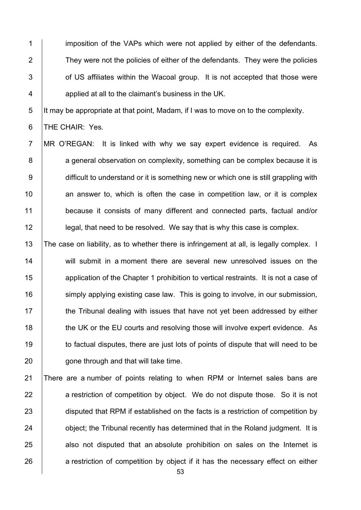1 imposition of the VAPs which were not applied by either of the defendants. 2 They were not the policies of either of the defendants. They were the policies 3 **1** of US affiliates within the Wacoal group. It is not accepted that those were 4 **A** applied at all to the claimant's business in the UK.

5 It may be appropriate at that point, Madam, if I was to move on to the complexity.

6 THE CHAIR: Yes.

7 MR O'REGAN: It is linked with why we say expert evidence is required. As 8 a general observation on complexity, something can be complex because it is 9 difficult to understand or it is something new or which one is still grappling with  $10$  an answer to, which is often the case in competition law, or it is complex 11 because it consists of many different and connected parts, factual and/or 12 **legal, that need to be resolved.** We say that is why this case is complex.

13 The case on liability, as to whether there is infringement at all, is legally complex. I 14 will submit in a moment there are several new unresolved issues on the 15 **Ault application of the Chapter 1 prohibition to vertical restraints. It is not a case of** 16 **Soluty 16** Simply applying existing case law. This is going to involve, in our submission, 17 the Tribunal dealing with issues that have not yet been addressed by either 18 the UK or the EU courts and resolving those will involve expert evidence. As 19 to factual disputes, there are just lots of points of dispute that will need to be 20 **gone through and that will take time.** 

21 There are a number of points relating to when RPM or Internet sales bans are 22 a restriction of competition by object. We do not dispute those. So it is not 23 disputed that RPM if established on the facts is a restriction of competition by 24 **bulge 1** object; the Tribunal recently has determined that in the Roland judgment. It is  $25$  also not disputed that an absolute prohibition on sales on the Internet is 26 a restriction of competition by object if it has the necessary effect on either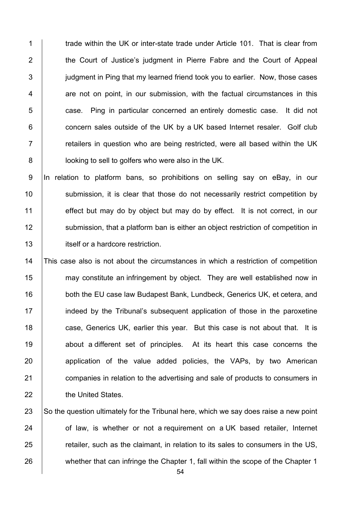1 trade within the UK or inter-state trade under Article 101. That is clear from **the Court of Justice's judgment in Pierre Fabre and the Court of Appeal judgment in Ping that my learned friend took you to earlier. Now, those cases**   $\vert$  are not on point, in our submission, with the factual circumstances in this **case.** Ping in particular concerned an entirely domestic case. It did not **concern sales outside of the UK by a UK based Internet resaler.** Golf club  $\parallel$  retailers in question who are being restricted, were all based within the UK **b** looking to sell to golfers who were also in the UK.

9 In relation to platform bans, so prohibitions on selling say on eBay, in our 10 | submission, it is clear that those do not necessarily restrict competition by 11 effect but may do by object but may do by effect. It is not correct, in our 12 Submission, that a platform ban is either an object restriction of competition in 13 **itself or a hardcore restriction.** 

 This case also is not about the circumstances in which a restriction of competition 15 may constitute an infringement by object. They are well established now in **both the EU case law Budapest Bank, Lundbeck, Generics UK, et cetera, and**  indeed by the Tribunal's subsequent application of those in the paroxetine **case, Generics UK, earlier this year.** But this case is not about that. It is 19 about a different set of principles. At its heart this case concerns the 20 application of the value added policies, the VAPs, by two American **companies in relation to the advertising and sale of products to consumers in the United States.** 

23  $\vert$  So the question ultimately for the Tribunal here, which we say does raise a new point 24 of law, is whether or not a requirement on a UK based retailer, Internet 25 **Fig. 3** retailer, such as the claimant, in relation to its sales to consumers in the US, 26 whether that can infringe the Chapter 1, fall within the scope of the Chapter 1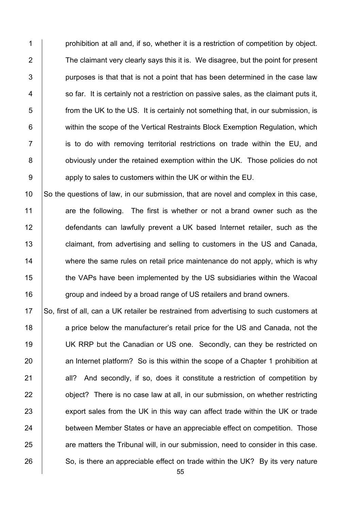**prohibition at all and, if so, whether it is a restriction of competition by object.** 2 The claimant very clearly says this it is. We disagree, but the point for present | purposes is that that is not a point that has been determined in the case law  $4 \mid$  so far. It is certainly not a restriction on passive sales, as the claimant puts it, **from the UK to the US. It is certainly not something that, in our submission, is When** within the scope of the Vertical Restraints Block Exemption Regulation, which **i** is to do with removing territorial restrictions on trade within the EU, and **budge 3** obviously under the retained exemption within the UK. Those policies do not **b** apply to sales to customers within the UK or within the EU.

10 So the questions of law, in our submission, that are novel and complex in this case, 11  $\vert$  are the following. The first is whether or not a brand owner such as the 12 defendants can lawfully prevent a UK based Internet retailer, such as the 13 **claimant, from advertising and selling to customers in the US and Canada,** 14 where the same rules on retail price maintenance do not apply, which is why 15 the VAPs have been implemented by the US subsidiaries within the Wacoal 16 group and indeed by a broad range of US retailers and brand owners.

17 So, first of all, can a UK retailer be restrained from advertising to such customers at 18 a price below the manufacturer's retail price for the US and Canada, not the 19 | UK RRP but the Canadian or US one. Secondly, can they be restricted on 20 an Internet platform? So is this within the scope of a Chapter 1 prohibition at 21 all? And secondly, if so, does it constitute a restriction of competition by 22 **b** object? There is no case law at all, in our submission, on whether restricting 23 export sales from the UK in this way can affect trade within the UK or trade 24 between Member States or have an appreciable effect on competition. Those 25 are matters the Tribunal will, in our submission, need to consider in this case.  $26$  So, is there an appreciable effect on trade within the UK? By its very nature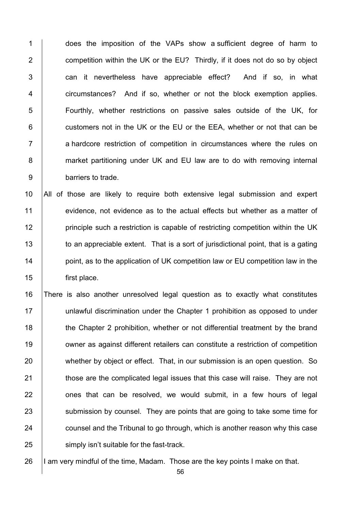1 does the imposition of the VAPs show a sufficient degree of harm to 2 **competition within the UK or the EU?** Thirdly, if it does not do so by object 3 can it nevertheless have appreciable effect? And if so, in what 4 **Fig. 2** circumstances? And if so, whether or not the block exemption applies. 5 Fourthly, whether restrictions on passive sales outside of the UK, for 6 **customers not in the UK or the EU or the EEA, whether or not that can be** 7 a hardcore restriction of competition in circumstances where the rules on 8 **market partitioning under UK and EU law are to do with removing internal** 9 barriers to trade.

 All of those are likely to require both extensive legal submission and expert 11 evidence, not evidence as to the actual effects but whether as a matter of **principle such a restriction is capable of restricting competition within the UK** 13 to an appreciable extent. That is a sort of jurisdictional point, that is a gating **point, as to the application of UK competition law or EU competition law in the** first place.

16 There is also another unresolved legal question as to exactly what constitutes 17 | unlawful discrimination under the Chapter 1 prohibition as opposed to under 18 the Chapter 2 prohibition, whether or not differential treatment by the brand 19 **owner as against different retailers can constitute a restriction of competition** 20 whether by object or effect. That, in our submission is an open question. So 21 **those are the complicated legal issues that this case will raise. They are not**  $22$   $\sim$  ones that can be resolved, we would submit, in a few hours of legal 23 Submission by counsel. They are points that are going to take some time for 24 **counsel and the Tribunal to go through, which is another reason why this case** 25 **Supply 120** simply isn't suitable for the fast-track.

26  $\parallel$  1 am very mindful of the time, Madam. Those are the key points I make on that.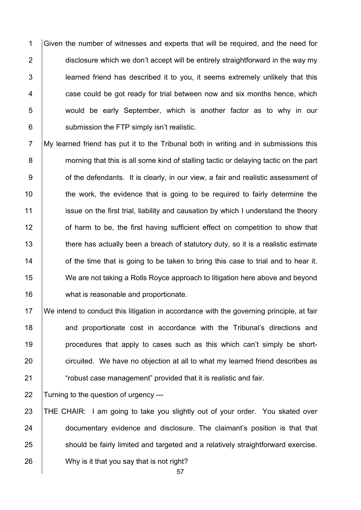1 Given the number of witnesses and experts that will be required, and the need for 2 disclosure which we don't accept will be entirely straightforward in the way my 3 **learned friend has described it to you, it seems extremely unlikely that this**  $4$   $\vert$  case could be got ready for trial between now and six months hence, which 5 would be early September, which is another factor as to why in our 6 **Submission the FTP simply isn't realistic.** 

7 My learned friend has put it to the Tribunal both in writing and in submissions this 8 morning that this is all some kind of stalling tactic or delaying tactic on the part 9 **of the defendants.** It is clearly, in our view, a fair and realistic assessment of 10 the work, the evidence that is going to be required to fairly determine the 11 issue on the first trial, liability and causation by which I understand the theory 12 **1** of harm to be, the first having sufficient effect on competition to show that 13 there has actually been a breach of statutory duty, so it is a realistic estimate 14 **14** of the time that is going to be taken to bring this case to trial and to hear it. 15 We are not taking a Rolls Royce approach to litigation here above and beyond 16 **what is reasonable and proportionate.** 

 We intend to conduct this litigation in accordance with the governing principle, at fair **and proportionate cost in accordance with the Tribunal's directions and procedures that apply to cases such as this which can't simply be short-**20 circuited. We have no objection at all to what my learned friend describes as **Fig. 21** "robust case management" provided that it is realistic and fair.

22 Turning to the question of urgency ---

23 THE CHAIR: I am going to take you slightly out of your order. You skated over 24 **documentary evidence and disclosure.** The claimant's position is that that 25 should be fairly limited and targeted and a relatively straightforward exercise. 26 Why is it that you say that is not right?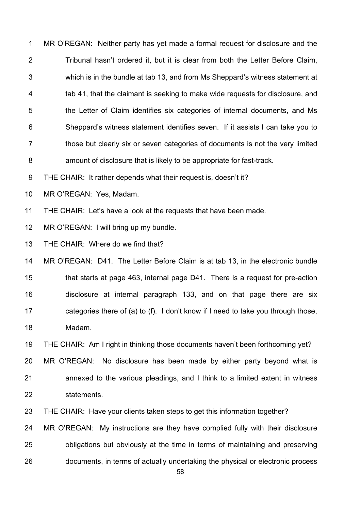| $\mathbf{1}$   | MR O'REGAN: Neither party has yet made a formal request for disclosure and the       |
|----------------|--------------------------------------------------------------------------------------|
| $\overline{2}$ | Tribunal hasn't ordered it, but it is clear from both the Letter Before Claim,       |
| $\mathfrak{B}$ | which is in the bundle at tab 13, and from Ms Sheppard's witness statement at        |
| 4              | tab 41, that the claimant is seeking to make wide requests for disclosure, and       |
| 5              | the Letter of Claim identifies six categories of internal documents, and Ms          |
| $\,6$          | Sheppard's witness statement identifies seven. If it assists I can take you to       |
| $\overline{7}$ | those but clearly six or seven categories of documents is not the very limited       |
| 8              | amount of disclosure that is likely to be appropriate for fast-track.                |
| $9\,$          | THE CHAIR: It rather depends what their request is, doesn't it?                      |
| 10             | MR O'REGAN: Yes, Madam.                                                              |
| 11             | THE CHAIR: Let's have a look at the requests that have been made.                    |
| 12             | MR O'REGAN: I will bring up my bundle.                                               |
| 13             | THE CHAIR: Where do we find that?                                                    |
| 14             | MR O'REGAN: D41. The Letter Before Claim is at tab 13, in the electronic bundle      |
| 15             | that starts at page 463, internal page D41. There is a request for pre-action        |
| 16             | disclosure at internal paragraph 133, and on that page there are six                 |
| 17             | categories there of (a) to (f). I don't know if I need to take you through those,    |
| 18             | Madam.                                                                               |
| 19             | THE CHAIR: Am I right in thinking those documents haven't been forthcoming yet?      |
| 20             | MR O'REGAN: No disclosure has been made by either party beyond what is               |
| 21             | annexed to the various pleadings, and I think to a limited extent in witness         |
| 22             | statements.                                                                          |
| 23             | THE CHAIR: Have your clients taken steps to get this information together?           |
| 24             | MR O'REGAN: My instructions are they have complied fully with their disclosure       |
| 25             | obligations but obviously at the time in terms of maintaining and preserving         |
| 26             | documents, in terms of actually undertaking the physical or electronic process<br>58 |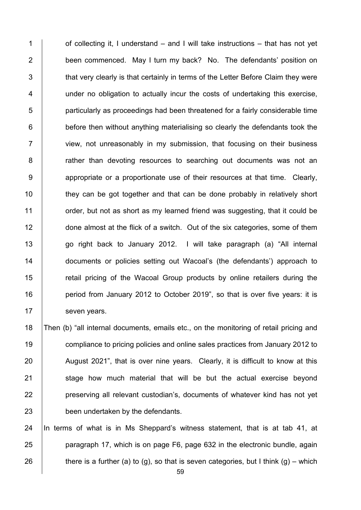1  $\vert$  of collecting it. I understand – and I will take instructions – that has not vet 2 **been commenced.** May I turn my back? No. The defendants' position on 3 that very clearly is that certainly in terms of the Letter Before Claim they were 4 | under no obligation to actually incur the costs of undertaking this exercise, 5 **particularly as proceedings had been threatened for a fairly considerable time**  $6$  | before then without anything materialising so clearly the defendants took the 7 View, not unreasonably in my submission, that focusing on their business 8 Tather than devoting resources to searching out documents was not an 9 **9** appropriate or a proportionate use of their resources at that time. Clearly, 10 they can be got together and that can be done probably in relatively short 11 **1** order, but not as short as my learned friend was suggesting, that it could be 12 done almost at the flick of a switch. Out of the six categories, some of them 13 | go right back to January 2012. I will take paragraph (a) "All internal 14 **documents or policies setting out Wacoal's (the defendants') approach to** 15 The retail pricing of the Wacoal Group products by online retailers during the 16 **period from January 2012 to October 2019**", so that is over five years: it is 17 | seven years.

 Then (b) "all internal documents, emails etc., on the monitoring of retail pricing and compliance to pricing policies and online sales practices from January 2012 to 20 August 2021", that is over nine years. Clearly, it is difficult to know at this 21 Stage how much material that will be but the actual exercise beyond **preserving all relevant custodian's, documents of whatever kind has not yet been undertaken by the defendants.** 

24 In terms of what is in Ms Sheppard's witness statement, that is at tab 41, at 25 **paragraph 17, which is on page F6, page 632 in the electronic bundle, again** 26 there is a further (a) to (g), so that is seven categories, but I think (g) – which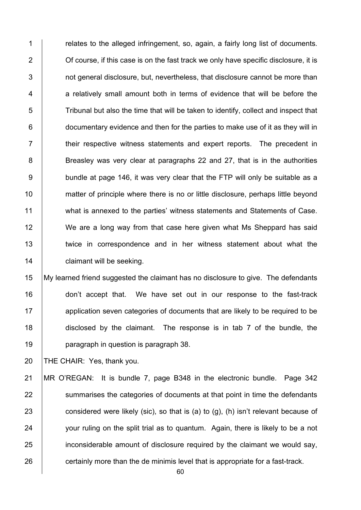1 **Fig. 4** relates to the alleged infringement, so, again, a fairly long list of documents. 2 **Contatates** of course, if this case is on the fast track we only have specific disclosure, it is  $3$   $\parallel$  not general disclosure, but, nevertheless, that disclosure cannot be more than  $4$  a relatively small amount both in terms of evidence that will be before the  $\overline{5}$  Tribunal but also the time that will be taken to identify, collect and inspect that  $6 \mid$  documentary evidence and then for the parties to make use of it as they will in 7 T inter respective witness statements and expert reports. The precedent in 8 S Breasley was very clear at paragraphs 22 and 27, that is in the authorities 9 bundle at page 146, it was very clear that the FTP will only be suitable as a 10 matter of principle where there is no or little disclosure, perhaps little beyond 11 what is annexed to the parties' witness statements and Statements of Case. 12 We are a long way from that case here given what Ms Sheppard has said 13 **twice in correspondence and in her witness statement about what the** 14 **claimant will be seeking.** 

 My learned friend suggested the claimant has no disclosure to give. The defendants **don't accept that.** We have set out in our response to the fast-track application seven categories of documents that are likely to be required to be disclosed by the claimant. The response is in tab 7 of the bundle, the **paragraph in question is paragraph 38.** 

20 THE CHAIR: Yes, thank you.

21 MR O'REGAN: It is bundle 7, page B348 in the electronic bundle. Page 342 22 Summarises the categories of documents at that point in time the defendants 23 considered were likely (sic), so that is (a) to (g), (h) isn't relevant because of 24 your ruling on the split trial as to quantum. Again, there is likely to be a not 25 inconsiderable amount of disclosure required by the claimant we would say, 26 certainly more than the de minimis level that is appropriate for a fast-track.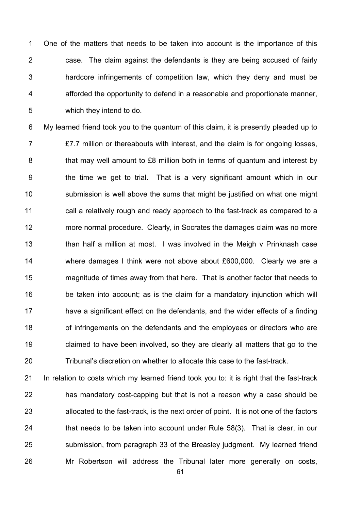1 One of the matters that needs to be taken into account is the importance of this 2  $\parallel$  case. The claim against the defendants is they are being accused of fairly 3 **hardcore infringements of competition law, which they deny and must be**  $4 \mid$  afforded the opportunity to defend in a reasonable and proportionate manner, 5 which they intend to do.

6 My learned friend took you to the quantum of this claim, it is presently pleaded up to 7 £7.7 million or thereabouts with interest, and the claim is for ongoing losses, 8 **that may well amount to £8 million both in terms of quantum and interest by** 9 the time we get to trial. That is a very significant amount which in our 10 | submission is well above the sums that might be justified on what one might 11  $\parallel$  call a relatively rough and ready approach to the fast-track as compared to a 12 more normal procedure. Clearly, in Socrates the damages claim was no more 13 | than half a million at most. I was involved in the Meigh v Prinknash case 14 where damages I think were not above about £600,000. Clearly we are a 15 **magnitude of times away from that here.** That is another factor that needs to 16 be taken into account; as is the claim for a mandatory injunction which will  $17$  have a significant effect on the defendants, and the wider effects of a finding 18 **18** of infringements on the defendants and the employees or directors who are 19 claimed to have been involved, so they are clearly all matters that go to the 20 Tribunal's discretion on whether to allocate this case to the fast-track.

21 In relation to costs which my learned friend took you to: it is right that the fast-track  $22$  | has mandatory cost-capping but that is not a reason why a case should be 23 allocated to the fast-track, is the next order of point. It is not one of the factors 24  $\parallel$  that needs to be taken into account under Rule 58(3). That is clear, in our 25 Submission, from paragraph 33 of the Breasley judgment. My learned friend 26 | Mr Robertson will address the Tribunal later more generally on costs,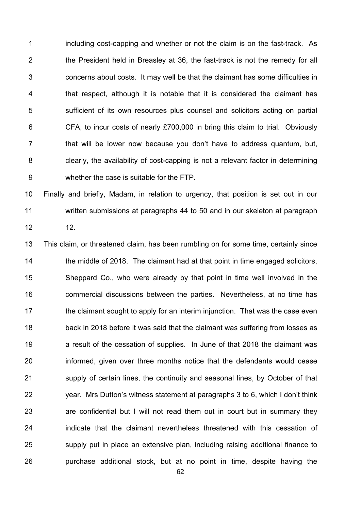1 including cost-capping and whether or not the claim is on the fast-track. As 2 The President held in Breasley at 36, the fast-track is not the remedy for all 3 **Fig. 2** concerns about costs. It may well be that the claimant has some difficulties in 4 that respect, although it is notable that it is considered the claimant has 5 Sufficient of its own resources plus counsel and solicitors acting on partial 6 **CFA**, to incur costs of nearly £700,000 in bring this claim to trial. Obviously  $7$   $\parallel$  that will be lower now because you don't have to address quantum, but, 8 **clearly, the availability of cost-capping is not a relevant factor in determining** 9 whether the case is suitable for the FTP.

10 Finally and briefly, Madam, in relation to urgency, that position is set out in our 11 written submissions at paragraphs 44 to 50 and in our skeleton at paragraph  $12$  12.

13 This claim, or threatened claim, has been rumbling on for some time, certainly since 14 the middle of 2018. The claimant had at that point in time engaged solicitors, 15 Sheppard Co., who were already by that point in time well involved in the 16 **commercial discussions between the parties.** Nevertheless, at no time has  $17$  the claimant sought to apply for an interim injunction. That was the case even 18 **back in 2018 before it was said that the claimant was suffering from losses as** 19 a result of the cessation of supplies. In June of that 2018 the claimant was 20 informed, given over three months notice that the defendants would cease 21 Supply of certain lines, the continuity and seasonal lines, by October of that 22  $\parallel$  vear. Mrs Dutton's witness statement at paragraphs 3 to 6, which I don't think 23 are confidential but I will not read them out in court but in summary they 24 **indicate that the claimant nevertheless threatened with this cessation of** 25 supply put in place an extensive plan, including raising additional finance to 26 **purchase additional stock, but at no point in time, despite having the**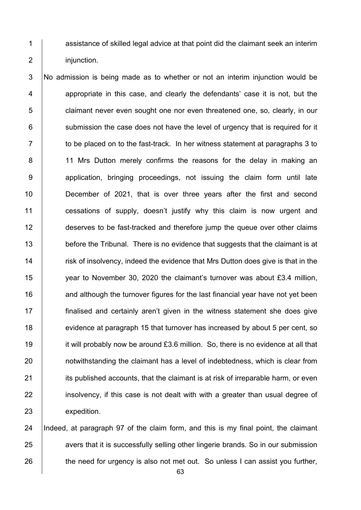1 assistance of skilled legal advice at that point did the claimant seek an interim 2 injunction.

3 No admission is being made as to whether or not an interim injunction would be 4 appropriate in this case, and clearly the defendants' case it is not, but the 5 claimant never even sought one nor even threatened one, so, clearly, in our  $6$  submission the case does not have the level of urgency that is required for it  $7 \mid$  to be placed on to the fast-track. In her witness statement at paragraphs 3 to 8 | 11 Mrs Dutton merely confirms the reasons for the delay in making an 9 application, bringing proceedings, not issuing the claim form until late 10 December of 2021, that is over three years after the first and second 11 **cessations of supply, doesn't justify why this claim is now urgent and** 12 deserves to be fast-tracked and therefore jump the queue over other claims 13 before the Tribunal. There is no evidence that suggests that the claimant is at 14 **Fig.** risk of insolvency, indeed the evidence that Mrs Dutton does give is that in the 15 year to November 30, 2020 the claimant's turnover was about £3.4 million,  $16$  and although the turnover figures for the last financial year have not yet been 17 finalised and certainly aren't given in the witness statement she does give 18 evidence at paragraph 15 that turnover has increased by about 5 per cent, so 19 it will probably now be around £3.6 million. So, there is no evidence at all that 20 **notwithstanding the claimant has a level of indebtedness, which is clear from** 21 **its published accounts, that the claimant is at risk of irreparable harm, or even** 22 insolvency, if this case is not dealt with with a greater than usual degree of 23 expedition.

24 Indeed, at paragraph 97 of the claim form, and this is my final point, the claimant 25 avers that it is successfully selling other lingerie brands. So in our submission 26 the need for urgency is also not met out. So unless I can assist you further,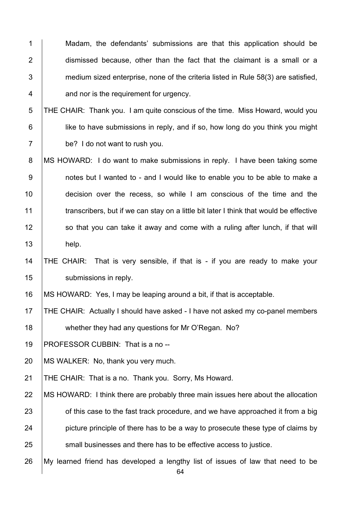1 Madam, the defendants' submissions are that this application should be 2 dismissed because, other than the fact that the claimant is a small or a  $3$  | medium sized enterprise, none of the criteria listed in Rule 58(3) are satisfied, 4 **4 and nor is the requirement for urgency.** 

5 THE CHAIR: Thank you. I am quite conscious of the time. Miss Howard, would you 6 **i** like to have submissions in reply, and if so, how long do you think you might 7 be? I do not want to rush you.

8 | MS HOWARD: I do want to make submissions in reply. I have been taking some 9 | notes but I wanted to - and I would like to enable you to be able to make a 10 **decision over the recess, so while I am conscious of the time and the** 11 transcribers, but if we can stay on a little bit later I think that would be effective 12 so that you can take it away and come with a ruling after lunch, if that will 13 help.

## 14 THE CHAIR: That is very sensible, if that is - if you are ready to make your 15 | submissions in reply.

16 | MS HOWARD: Yes, I may be leaping around a bit, if that is acceptable.

17 THE CHAIR: Actually I should have asked - I have not asked my co-panel members 18 whether they had any questions for Mr O'Regan. No?

19 | PROFESSOR CUBBIN: That is a no --

20 | MS WALKER: No, thank you very much.

21 THE CHAIR: That is a no. Thank you. Sorry, Ms Howard.

- 22 | MS HOWARD: I think there are probably three main issues here about the allocation 23 **Fig. 23** of this case to the fast track procedure, and we have approached it from a big 24 picture principle of there has to be a way to prosecute these type of claims by 25 **SMALL** 25 small businesses and there has to be effective access to justice.
- 26 My learned friend has developed a lengthy list of issues of law that need to be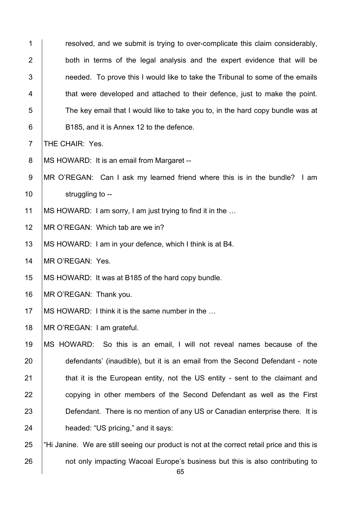| $\mathbf 1$    | resolved, and we submit is trying to over-complicate this claim considerably,              |
|----------------|--------------------------------------------------------------------------------------------|
| $\overline{2}$ | both in terms of the legal analysis and the expert evidence that will be                   |
| 3              | needed. To prove this I would like to take the Tribunal to some of the emails              |
| 4              | that were developed and attached to their defence, just to make the point.                 |
| 5              | The key email that I would like to take you to, in the hard copy bundle was at             |
| 6              | B185, and it is Annex 12 to the defence.                                                   |
| $\overline{7}$ | THE CHAIR: Yes.                                                                            |
| 8              | MS HOWARD: It is an email from Margaret --                                                 |
| $9\,$          | MR O'REGAN: Can I ask my learned friend where this is in the bundle? I am                  |
| 10             | struggling to --                                                                           |
| 11             | MS HOWARD: I am sorry, I am just trying to find it in the                                  |
| 12             | MR O'REGAN: Which tab are we in?                                                           |
| 13             | MS HOWARD: I am in your defence, which I think is at B4.                                   |
| 14             | MR O'REGAN: Yes.                                                                           |
| 15             | MS HOWARD: It was at B185 of the hard copy bundle.                                         |
| 16             | MR O'REGAN: Thank you.                                                                     |
| 17             | MS HOWARD: I think it is the same number in the                                            |
| 18             | MR O'REGAN: I am grateful.                                                                 |
| 19             | MS HOWARD: So this is an email, I will not reveal names because of the                     |
| 20             | defendants' (inaudible), but it is an email from the Second Defendant - note               |
| 21             | that it is the European entity, not the US entity - sent to the claimant and               |
| 22             | copying in other members of the Second Defendant as well as the First                      |
| 23             | Defendant. There is no mention of any US or Canadian enterprise there. It is               |
| 24             | headed: "US pricing," and it says:                                                         |
| 25             | "Hi Janine. We are still seeing our product is not at the correct retail price and this is |
| 26             | not only impacting Wacoal Europe's business but this is also contributing to               |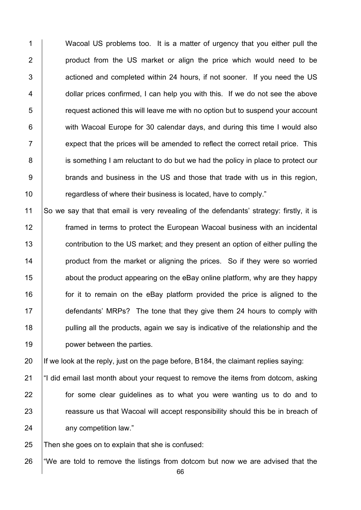1 Wacoal US problems too. It is a matter of urgency that you either pull the **product from the US market or align the price which would need to be Fig.** actioned and completed within 24 hours, if not sooner. If you need the US 4 dollar prices confirmed, I can help you with this. If we do not see the above  $\parallel$  request actioned this will leave me with no option but to suspend your account **with Wacoal Europe for 30 calendar days, and during this time I would also**   $\parallel$  expect that the prices will be amended to reflect the correct retail price. This 8 is something I am reluctant to do but we had the policy in place to protect our **brands and business in the US and those that trade with us in this region, Figure 2** regardless of where their business is located, have to comply."

 So we say that that email is very revealing of the defendants' strategy: firstly, it is framed in terms to protect the European Wacoal business with an incidental **contribution to the US market; and they present an option of either pulling the product from the market or aligning the prices.** So if they were so worried **15** about the product appearing on the eBay online platform, why are they happy **for it to remain on the eBay platform provided the price is aligned to the** 17 defendants' MRPs? The tone that they give them 24 hours to comply with **pulling all the products, again we say is indicative of the relationship and the power between the parties.** 

20 If we look at the reply, just on the page before, B184, the claimant replies saying:

 $\parallel$  "I did email last month about your request to remove the items from dotcom, asking **for some clear guidelines as to what you were wanting us to do and to Fig. 23 reassure us that Wacoal will accept responsibility should this be in breach of** 24 any competition law."

Then she goes on to explain that she is confused:

26  $\,$  "We are told to remove the listings from dotcom but now we are advised that the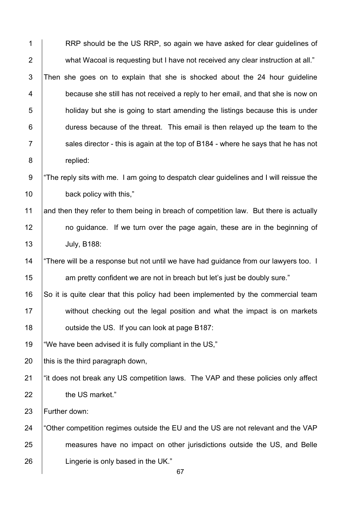| $\mathbf 1$    | RRP should be the US RRP, so again we have asked for clear guidelines of                |
|----------------|-----------------------------------------------------------------------------------------|
| $\overline{2}$ | what Wacoal is requesting but I have not received any clear instruction at all."        |
| $\mathfrak{S}$ | Then she goes on to explain that she is shocked about the 24 hour guideline             |
| 4              | because she still has not received a reply to her email, and that she is now on         |
| 5              | holiday but she is going to start amending the listings because this is under           |
| 6              | duress because of the threat. This email is then relayed up the team to the             |
| $\overline{7}$ | sales director - this is again at the top of B184 - where he says that he has not       |
| $\bf 8$        | replied:                                                                                |
| $9\,$          | "The reply sits with me. I am going to despatch clear guidelines and I will reissue the |
| 10             | back policy with this,"                                                                 |
| 11             | and then they refer to them being in breach of competition law. But there is actually   |
| 12             | no guidance. If we turn over the page again, these are in the beginning of              |
| 13             | <b>July, B188:</b>                                                                      |
| 14             | "There will be a response but not until we have had guidance from our lawyers too. I    |
| 15             | am pretty confident we are not in breach but let's just be doubly sure."                |
| 16             | So it is quite clear that this policy had been implemented by the commercial team       |
| 17             | without checking out the legal position and what the impact is on markets               |
| 18             | outside the US. If you can look at page B187:                                           |
| 19             | "We have been advised it is fully compliant in the US,"                                 |
| 20             | this is the third paragraph down,                                                       |
| 21             | "it does not break any US competition laws. The VAP and these policies only affect      |
| 22             | the US market."                                                                         |
| 23             | Further down:                                                                           |
| 24             | "Other competition regimes outside the EU and the US are not relevant and the VAP       |
| 25             | measures have no impact on other jurisdictions outside the US, and Belle                |
| 26             | Lingerie is only based in the UK."<br>67                                                |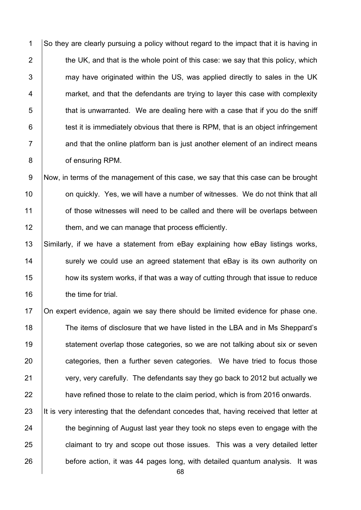1 So they are clearly pursuing a policy without regard to the impact that it is having in  $\parallel$  the UK, and that is the whole point of this case: we say that this policy, which 3 may have originated within the US, was applied directly to sales in the UK **Fig.** market, and that the defendants are trying to layer this case with complexity that is unwarranted. We are dealing here with a case that if you do the sniff  $\vert$  test it is immediately obvious that there is RPM, that is an object infringement 7 | and that the online platform ban is just another element of an indirect means **of ensuring RPM.** 

9 Now, in terms of the management of this case, we say that this case can be brought **on quickly.** Yes, we will have a number of witnesses. We do not think that all **1** of those witnesses will need to be called and there will be overlaps between **them, and we can manage that process efficiently.** 

 Similarly, if we have a statement from eBay explaining how eBay listings works, 14 Surely we could use an agreed statement that eBay is its own authority on **how its system works, if that was a way of cutting through that issue to reduce the time for trial.** 

17 | On expert evidence, again we say there should be limited evidence for phase one. 18 The items of disclosure that we have listed in the LBA and in Ms Sheppard's 19 Statement overlap those categories, so we are not talking about six or seven 20 categories, then a further seven categories. We have tried to focus those 21 very, very carefully. The defendants say they go back to 2012 but actually we 22 have refined those to relate to the claim period, which is from 2016 onwards.

23 It is very interesting that the defendant concedes that, having received that letter at 24 the beginning of August last year they took no steps even to engage with the 25 **claimant to try and scope out those issues.** This was a very detailed letter 26 before action, it was 44 pages long, with detailed quantum analysis. It was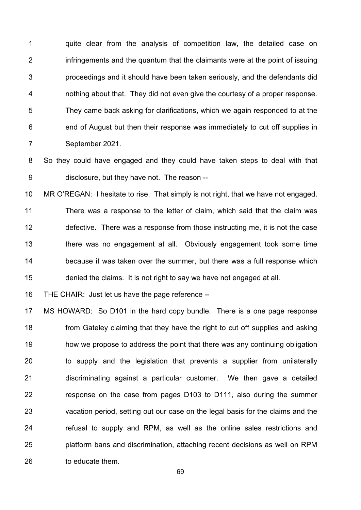1 quite clear from the analysis of competition law, the detailed case on infringements and the quantum that the claimants were at the point of issuing **proceedings and it should have been taken seriously, and the defendants did 1** nothing about that. They did not even give the courtesy of a proper response. 5 They came back asking for clarifications, which we again responded to at the end of August but then their response was immediately to cut off supplies in 7 September 2021.

8 So they could have engaged and they could have taken steps to deal with that **disclosure, but they have not. The reason** --

 MR O'REGAN: I hesitate to rise. That simply is not right, that we have not engaged. 11 There was a response to the letter of claim, which said that the claim was 12 defective. There was a response from those instructing me, it is not the case **there was no engagement at all.** Obviously engagement took some time **because it was taken over the summer, but there was a full response which denied the claims.** It is not right to say we have not engaged at all.

THE CHAIR: Just let us have the page reference --

 MS HOWARD: So D101 in the hard copy bundle. There is a one page response **from Gateley claiming that they have the right to cut off supplies and asking how we propose to address the point that there was any continuing obligation** 20 to supply and the legislation that prevents a supplier from unilaterally discriminating against a particular customer. We then gave a detailed **Fig.** 7.10 response on the case from pages D103 to D111, also during the summer 23 vacation period, setting out our case on the legal basis for the claims and the **The Step Step Step Step Step 3** refusal to supply and RPM, as well as the online sales restrictions and **platform bans and discrimination, attaching recent decisions as well on RPM b** to educate them.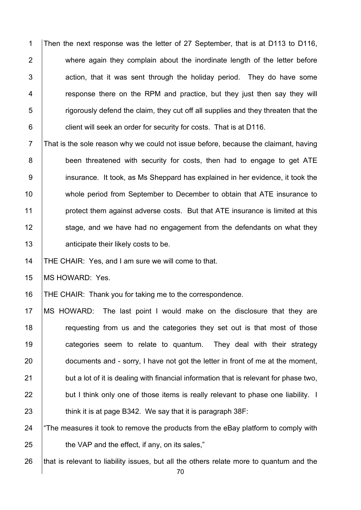1 Then the next response was the letter of 27 September, that is at D113 to D116, 2 where again they complain about the inordinate length of the letter before  $3$  action, that it was sent through the holiday period. They do have some 4 Thereform is response there on the RPM and practice, but they just then say they will  $5$  rigorously defend the claim, they cut off all supplies and they threaten that the 6 **client will seek an order for security for costs. That is at D116.** 

 $7$  That is the sole reason why we could not issue before, because the claimant, having 8 been threatened with security for costs, then had to engage to get ATE 9 insurance. It took, as Ms Sheppard has explained in her evidence, it took the 10 whole period from September to December to obtain that ATE insurance to 11 **protect them against adverse costs. But that ATE insurance is limited at this** 12 Stage, and we have had no engagement from the defendants on what they 13 **Arror** anticipate their likely costs to be.

14 | THE CHAIR: Yes, and I am sure we will come to that.

15 | MS HOWARD: Yes.

16 | THE CHAIR: Thank you for taking me to the correspondence.

17 MS HOWARD: The last point I would make on the disclosure that they are 18 The requesting from us and the categories they set out is that most of those 19 | categories seem to relate to quantum. They deal with their strategy 20 documents and - sorry, I have not got the letter in front of me at the moment,  $21$  but a lot of it is dealing with financial information that is relevant for phase two, 22 **but I think only one of those items is really relevant to phase one liability.** I 23  $\parallel$  think it is at page B342. We say that it is paragraph 38F:

24  $\parallel$  The measures it took to remove the products from the eBay platform to comply with  $25$   $\parallel$  the VAP and the effect, if any, on its sales,"

26 that is relevant to liability issues, but all the others relate more to quantum and the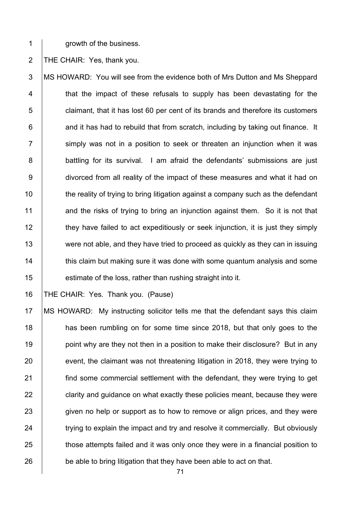1 crowth of the business.

2 | THE CHAIR: Yes, thank you.

3 MS HOWARD: You will see from the evidence both of Mrs Dutton and Ms Sheppard 4 T that the impact of these refusals to supply has been devastating for the 5 **claimant, that it has lost 60 per cent of its brands and therefore its customers**  $6$  | and it has had to rebuild that from scratch, including by taking out finance. It 7 Simply was not in a position to seek or threaten an injunction when it was 8 battling for its survival. I am afraid the defendants' submissions are just 9 divorced from all reality of the impact of these measures and what it had on 10 the reality of trying to bring litigation against a company such as the defendant 11 and the risks of trying to bring an injunction against them. So it is not that 12 they have failed to act expeditiously or seek injunction, it is just they simply 13 were not able, and they have tried to proceed as quickly as they can in issuing 14 **this claim but making sure it was done with some quantum analysis and some** 15 **estimate of the loss, rather than rushing straight into it.** 

16 THE CHAIR: Yes. Thank you. (Pause)

17 MS HOWARD: My instructing solicitor tells me that the defendant says this claim 18 **has been rumbling on for some time since 2018, but that only goes to the** 19 **point why are they not then in a position to make their disclosure?** But in any 20 event, the claimant was not threatening litigation in 2018, they were trying to 21 **find some commercial settlement with the defendant, they were trying to get** 22 **clarity and guidance on what exactly these policies meant, because they were** 23 given no help or support as to how to remove or align prices, and they were 24 trying to explain the impact and try and resolve it commercially. But obviously 25 those attempts failed and it was only once they were in a financial position to 26 be able to bring litigation that they have been able to act on that.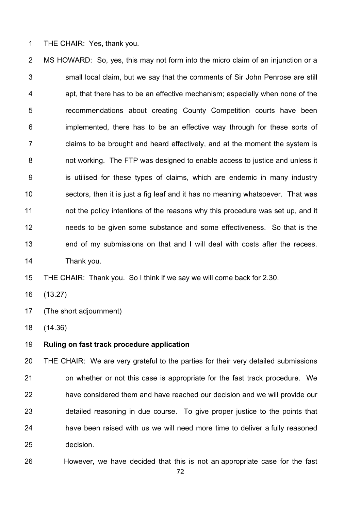1 THE CHAIR: Yes, thank you.

2 MS HOWARD: So, yes, this may not form into the micro claim of an injunction or a small local claim, but we say that the comments of Sir John Penrose are still apt, that there has to be an effective mechanism; especially when none of the **Fig.** recommendations about creating County Competition courts have been **implemented, there has to be an effective way through for these sorts of**   $\vert$  claims to be brought and heard effectively, and at the moment the system is **b** not working. The FTP was designed to enable access to justice and unless it 9 is utilised for these types of claims, which are endemic in many industry  $\parallel$  sectors, then it is just a fig leaf and it has no meaning whatsoever. That was **1** not the policy intentions of the reasons why this procedure was set up, and it **needs to be given some substance and some effectiveness.** So that is the 13 end of my submissions on that and I will deal with costs after the recess. 14 | Thank you.

THE CHAIR: Thank you. So I think if we say we will come back for 2.30.

(13.27)

(The short adjournment)

(14.36)

## **Ruling on fast track procedure application**

 THE CHAIR: We are very grateful to the parties for their very detailed submissions **1** on whether or not this case is appropriate for the fast track procedure. We 22 have considered them and have reached our decision and we will provide our 23 detailed reasoning in due course. To give proper justice to the points that 24 have been raised with us we will need more time to deliver a fully reasoned decision.

**However, we have decided that this is not an appropriate case for the fast**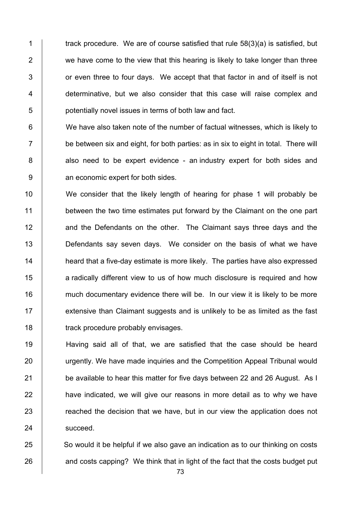$\parallel$  track procedure. We are of course satisfied that rule 58(3)(a) is satisfied, but  $\vert$  we have come to the view that this hearing is likely to take longer than three  $\vert$  or even three to four days. We accept that that factor in and of itself is not 4 determinative, but we also consider that this case will raise complex and **b** potentially novel issues in terms of both law and fact.

6 We have also taken note of the number of factual witnesses, which is likely to  $7 \mid$  be between six and eight, for both parties: as in six to eight in total. There will 8 also need to be expert evidence - an industry expert for both sides and 9 **an economic expert for both sides.** 

10 We consider that the likely length of hearing for phase 1 will probably be 11 between the two time estimates put forward by the Claimant on the one part 12 and the Defendants on the other. The Claimant says three days and the 13 **Defendants say seven days.** We consider on the basis of what we have 14 **heard that a five-day estimate is more likely.** The parties have also expressed 15 **a** radically different view to us of how much disclosure is required and how 16 much documentary evidence there will be. In our view it is likely to be more 17 **Extensive than Claimant suggests and is unlikely to be as limited as the fast** 18 **track procedure probably envisages.** 

19 Having said all of that, we are satisfied that the case should be heard 20 urgently. We have made inquiries and the Competition Appeal Tribunal would 21 be available to hear this matter for five days between 22 and 26 August. As I  $22$  have indicated, we will give our reasons in more detail as to why we have  $23$   $\parallel$  reached the decision that we have, but in our view the application does not 24 succeed.

25 So would it be helpful if we also gave an indication as to our thinking on costs  $26$  and costs capping? We think that in light of the fact that the costs budget put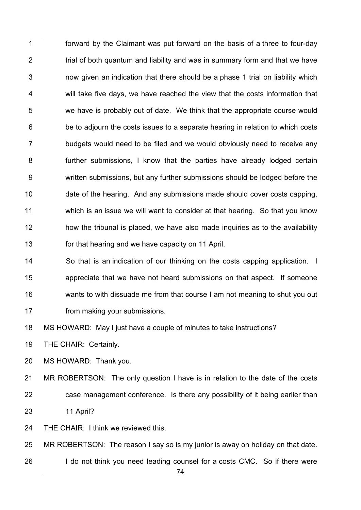1 forward by the Claimant was put forward on the basis of a three to four-day 2  $\parallel$  trial of both quantum and liability and was in summary form and that we have  $3$  | now given an indication that there should be a phase 1 trial on liability which 4 Will take five days, we have reached the view that the costs information that 5 we have is probably out of date. We think that the appropriate course would  $6$   $\vert$  be to adjourn the costs issues to a separate hearing in relation to which costs  $7$   $\vert$  budgets would need to be filed and we would obviously need to receive any 8 | further submissions, I know that the parties have already lodged certain 9 written submissions, but any further submissions should be lodged before the 10 date of the hearing. And any submissions made should cover costs capping, 11 which is an issue we will want to consider at that hearing. So that you know 12 how the tribunal is placed, we have also made inquiries as to the availability 13 **for that hearing and we have capacity on 11 April.** 

14 So that is an indication of our thinking on the costs capping application. I 15 **a**ppreciate that we have not heard submissions on that aspect. If someone 16 wants to with dissuade me from that course I am not meaning to shut you out 17 **from making your submissions.** 

18 | MS HOWARD: May I just have a couple of minutes to take instructions?

19 | THE CHAIR: Certainly.

20 MS HOWARD: Thank you.

21 MR ROBERTSON: The only question I have is in relation to the date of the costs 22 **case management conference.** Is there any possibility of it being earlier than 23 11 April?

24 THE CHAIR: I think we reviewed this.

25 MR ROBERTSON: The reason I say so is my junior is away on holiday on that date. 26 **I** I do not think you need leading counsel for a costs CMC. So if there were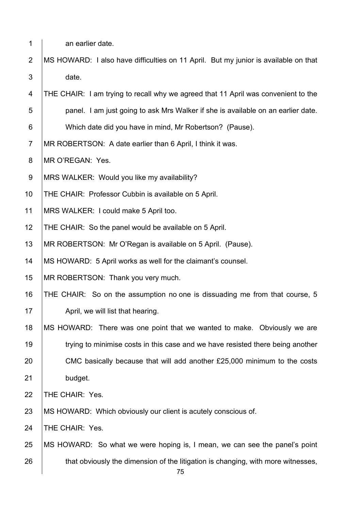- 1 an earlier date.
- 2 MS HOWARD: I also have difficulties on 11 April. But my junior is available on that 3 date.

4 THE CHAIR: I am trying to recall why we agreed that 11 April was convenient to the 5 **b** panel. I am just going to ask Mrs Walker if she is available on an earlier date.

- 6 Which date did you have in mind, Mr Robertson? (Pause).
- 7 | MR ROBERTSON: A date earlier than 6 April, I think it was.
- 8 | MR O'REGAN: Yes.
- 9 MRS WALKER: Would you like my availability?
- 10 THE CHAIR: Professor Cubbin is available on 5 April.
- 11 | MRS WALKER: I could make 5 April too.
- 12 THE CHAIR: So the panel would be available on 5 April.
- 13 | MR ROBERTSON: Mr O'Regan is available on 5 April. (Pause).
- 14 | MS HOWARD: 5 April works as well for the claimant's counsel.
- 15 | MR ROBERTSON: Thank you very much.

16 THE CHAIR: So on the assumption no one is dissuading me from that course, 5

- 17 | April, we will list that hearing.
- 18 | MS HOWARD: There was one point that we wanted to make. Obviously we are 19 trying to minimise costs in this case and we have resisted there being another 20 CMC basically because that will add another £25,000 minimum to the costs
- 21 budget.
- 22 **THE CHAIR: Yes.**
- 23 MS HOWARD: Which obviously our client is acutely conscious of.
- 24 | THE CHAIR: Yes.
- 25 MS HOWARD: So what we were hoping is, I mean, we can see the panel's point 26 that obviously the dimension of the litigation is changing, with more witnesses,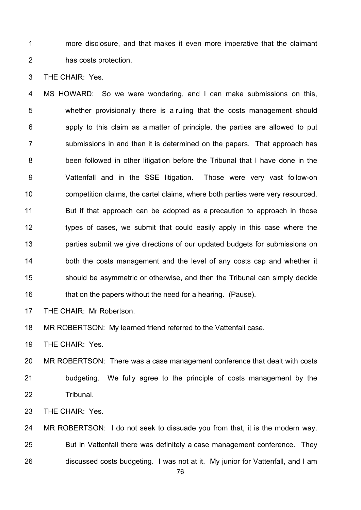1 more disclosure, and that makes it even more imperative that the claimant 2 **has costs protection.** 

3 THE CHAIR: Yes.

4 MS HOWARD: So we were wondering, and I can make submissions on this, 5 whether provisionally there is a ruling that the costs management should  $6$  | apply to this claim as a matter of principle, the parties are allowed to put  $7$   $\parallel$  submissions in and then it is determined on the papers. That approach has 8 **been followed in other litigation before the Tribunal that I have done in the** 9 Vattenfall and in the SSE litigation. Those were very vast follow-on 10 **competition claims, the cartel claims, where both parties were very resourced.** 11 But if that approach can be adopted as a precaution to approach in those 12 types of cases, we submit that could easily apply in this case where the 13 **parties submit we give directions of our updated budgets for submissions on** 14 both the costs management and the level of any costs cap and whether it 15 Should be asymmetric or otherwise, and then the Tribunal can simply decide 16 **that on the papers without the need for a hearing.** (Pause).

17 **THE CHAIR: Mr Robertson.** 

18 | MR ROBERTSON: My learned friend referred to the Vattenfall case.

19 | THE CHAIR: Yes.

20 MR ROBERTSON: There was a case management conference that dealt with costs 21 **budgeting.** We fully agree to the principle of costs management by the 22 | Tribunal.

23 **THE CHAIR: Yes.** 

24 MR ROBERTSON: I do not seek to dissuade you from that, it is the modern way. 25 **But in Vattenfall there was definitely a case management conference.** They 26 discussed costs budgeting. I was not at it. My junior for Vattenfall, and I am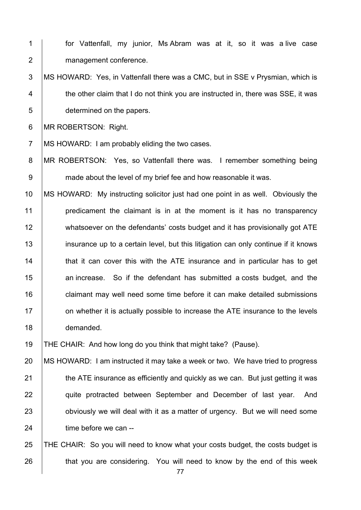1 for Vattenfall, my junior, Ms Abram was at it, so it was a live case 2 | management conference.

3 MS HOWARD: Yes, in Vattenfall there was a CMC, but in SSE v Prysmian, which is 4 the other claim that I do not think you are instructed in, there was SSE, it was 5 determined on the papers.

6 MR ROBERTSON: Right.

7 MS HOWARD: I am probably eliding the two cases.

8 | MR ROBERTSON: Yes, so Vattenfall there was. I remember something being 9 made about the level of my brief fee and how reasonable it was.

 MS HOWARD: My instructing solicitor just had one point in as well. Obviously the **predicament the claimant is in at the moment is it has no transparency** 12 whatsoever on the defendants' costs budget and it has provisionally got ATE 13 insurance up to a certain level, but this litigation can only continue if it knows **that it can cover this with the ATE insurance and in particular has to get an increase.** So if the defendant has submitted a costs budget, and the 16 claimant may well need some time before it can make detailed submissions **Fig.** On whether it is actually possible to increase the ATE insurance to the levels demanded.

19 THE CHAIR: And how long do you think that might take? (Pause).

 MS HOWARD: I am instructed it may take a week or two. We have tried to progress  $\parallel$  the ATE insurance as efficiently and quickly as we can. But just getting it was 22 | quite protracted between September and December of last year. And **b** obviously we will deal with it as a matter of urgency. But we will need some **time before we can --**

25 THE CHAIR: So you will need to know what your costs budget, the costs budget is 26 that you are considering. You will need to know by the end of this week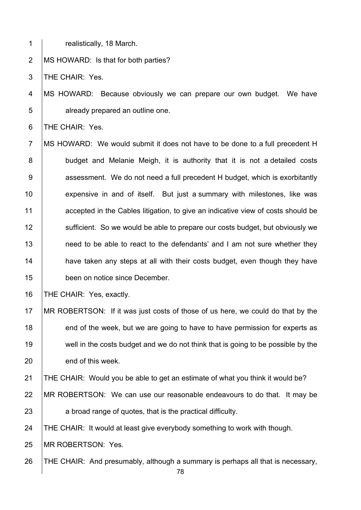1 realistically, 18 March.

2 | MS HOWARD: Is that for both parties?

3 THE CHAIR: Yes.

4 MS HOWARD: Because obviously we can prepare our own budget. We have 5 **b** already prepared an outline one.

6 THE CHAIR: Yes.

7 MS HOWARD: We would submit it does not have to be done to a full precedent H 8 budget and Melanie Meigh, it is authority that it is not a detailed costs 9 | assessment. We do not need a full precedent H budget, which is exorbitantly 10 expensive in and of itself. But just a summary with milestones, like was 11 accepted in the Cables litigation, to give an indicative view of costs should be 12 Sufficient. So we would be able to prepare our costs budget, but obviously we 13 need to be able to react to the defendants' and I am not sure whether they 14 **have taken any steps at all with their costs budget, even though they have** 15 **been on notice since December.** 

16 | THE CHAIR: Yes, exactly.

17 MR ROBERTSON: If it was just costs of those of us here, we could do that by the 18 end of the week, but we are going to have to have permission for experts as 19 well in the costs budget and we do not think that is going to be possible by the 20 end of this week.

21 THE CHAIR: Would you be able to get an estimate of what you think it would be?

22 MR ROBERTSON: We can use our reasonable endeavours to do that. It may be

23 a broad range of quotes, that is the practical difficulty.

24 THE CHAIR: It would at least give everybody something to work with though.

25 **IMR ROBERTSON: Yes.** 

26 THE CHAIR: And presumably, although a summary is perhaps all that is necessary,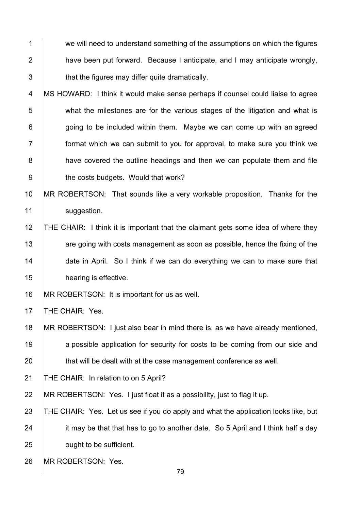1 we will need to understand something of the assumptions on which the figures 2 **have been put forward.** Because I anticipate, and I may anticipate wrongly,  $3$   $\parallel$  that the figures may differ quite dramatically.

4 MS HOWARD: I think it would make sense perhaps if counsel could liaise to agree 5 what the milestones are for the various stages of the litigation and what is  $6$  | going to be included within them. Maybe we can come up with an agreed 7 format which we can submit to you for approval, to make sure you think we 8 **have covered the outline headings and then we can populate them and file** 9 **b** the costs budgets. Would that work?

10 MR ROBERTSON: That sounds like a very workable proposition. Thanks for the 11 | suggestion.

 THE CHAIR: I think it is important that the claimant gets some idea of where they **are going with costs management as soon as possible, hence the fixing of the** 14 date in April. So I think if we can do everything we can to make sure that **hearing is effective.** 

16 | MR ROBERTSON: It is important for us as well.

17 **THE CHAIR: Yes.** 

18 MR ROBERTSON: I just also bear in mind there is, as we have already mentioned, 19 a possible application for security for costs to be coming from our side and 20 that will be dealt with at the case management conference as well.

21 THE CHAIR: In relation to on 5 April?

22 | MR ROBERTSON: Yes. I just float it as a possibility, just to flag it up.

23 THE CHAIR: Yes. Let us see if you do apply and what the application looks like, but 24 it may be that that has to go to another date. So 5 April and I think half a day 25 **ought to be sufficient.** 

26 | MR ROBERTSON: Yes.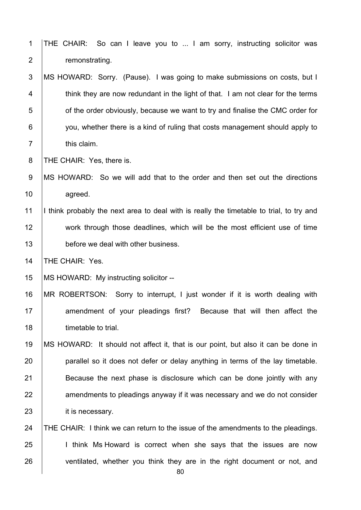| $\mathbf{1}$     | So can I leave you to  I am sorry, instructing solicitor was<br>THE CHAIR:               |
|------------------|------------------------------------------------------------------------------------------|
| $\overline{2}$   | remonstrating.                                                                           |
| 3                | MS HOWARD: Sorry. (Pause). I was going to make submissions on costs, but I               |
| 4                | think they are now redundant in the light of that. I am not clear for the terms          |
| 5                | of the order obviously, because we want to try and finalise the CMC order for            |
| 6                | you, whether there is a kind of ruling that costs management should apply to             |
| $\overline{7}$   | this claim.                                                                              |
| 8                | THE CHAIR: Yes, there is.                                                                |
| $\boldsymbol{9}$ | MS HOWARD: So we will add that to the order and then set out the directions              |
| 10               | agreed.                                                                                  |
| 11               | I think probably the next area to deal with is really the timetable to trial, to try and |
| 12               | work through those deadlines, which will be the most efficient use of time               |
| 13               | before we deal with other business.                                                      |
| 14               | THE CHAIR: Yes.                                                                          |
| 15               | MS HOWARD: My instructing solicitor --                                                   |
| 16               | MR ROBERTSON: Sorry to interrupt, I just wonder if it is worth dealing with              |
| 17               | amendment of your pleadings first? Because that will then affect the                     |
| 18               | timetable to trial.                                                                      |
| 19               | MS HOWARD: It should not affect it, that is our point, but also it can be done in        |
| 20               | parallel so it does not defer or delay anything in terms of the lay timetable.           |
| 21               | Because the next phase is disclosure which can be done jointly with any                  |
| 22               | amendments to pleadings anyway if it was necessary and we do not consider                |
| 23               | it is necessary.                                                                         |
| 24               | THE CHAIR: I think we can return to the issue of the amendments to the pleadings.        |
| 25               | I think Ms Howard is correct when she says that the issues are now                       |
| 26               | ventilated, whether you think they are in the right document or not, and<br>80           |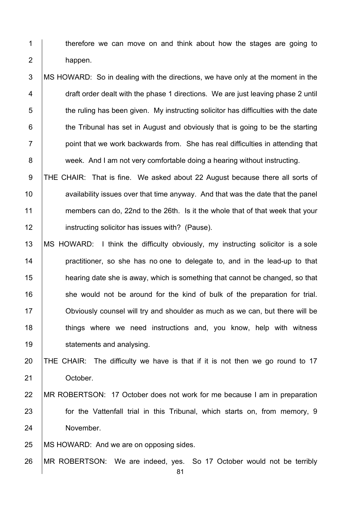**therefore we can move on and think about how the stages are going to** 2 happen.

## 3 MS HOWARD: So in dealing with the directions, we have only at the moment in the 4 draft order dealt with the phase 1 directions. We are just leaving phase 2 until  $\parallel$  the ruling has been given. My instructing solicitor has difficulties with the date **the Tribunal has set in August and obviously that is going to be the starting**  $7 \mid$  point that we work backwards from. She has real difficulties in attending that 8 week. And I am not very comfortable doing a hearing without instructing.

9 THE CHAIR: That is fine. We asked about 22 August because there all sorts of **availability issues over that time anyway.** And that was the date that the panel 11 members can do, 22nd to the 26th. Is it the whole that of that week that your **instructing solicitor has issues with?** (Pause).

 MS HOWARD: I think the difficulty obviously, my instructing solicitor is a sole **practitioner, so she has no one to delegate to, and in the lead-up to that hearing date she is away, which is something that cannot be changed, so that** 16 she would not be around for the kind of bulk of the preparation for trial. Obviously counsel will try and shoulder as much as we can, but there will be **things where we need instructions and, you know, help with witness Statements and analysing.** 

20  $\vert$  THE CHAIR: The difficulty we have is that if it is not then we go round to 17 **October.** 

## MR ROBERTSON: 17 October does not work for me because I am in preparation **for the Vattenfall trial in this Tribunal, which starts on, from memory, 9** November.

25 | MS HOWARD: And we are on opposing sides.

MR ROBERTSON: We are indeed, yes. So 17 October would not be terribly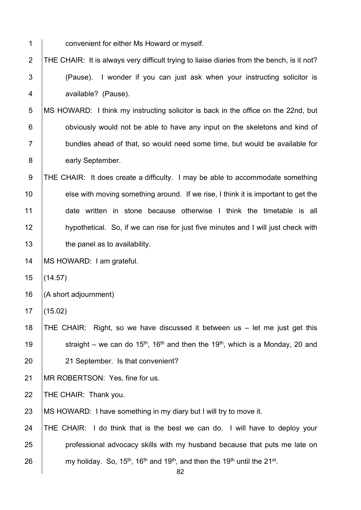1 convenient for either Ms Howard or myself.

2  $\vert$  THE CHAIR: It is always very difficult trying to liaise diaries from the bench, is it not? 3 (Pause). I wonder if you can just ask when your instructing solicitor is 4 | available? (Pause).

5 MS HOWARD: I think my instructing solicitor is back in the office on the 22nd, but 6 **budge 1** obviously would not be able to have any input on the skeletons and kind of 7 **bundles ahead of that, so would need some time, but would be available for** 8 early September.

9 THE CHAIR: It does create a difficulty. I may be able to accommodate something 10 else with moving something around. If we rise, I think it is important to get the 11 date written in stone because otherwise I think the timetable is all 12 hypothetical. So, if we can rise for just five minutes and I will just check with 13 **the panel as to availability**.

14 | MS HOWARD: I am grateful.

15 (14.57)

16  $(A \text{ short adjour number})$ 

17 (15.02)

18 THE CHAIR: Right, so we have discussed it between us – let me just get this 19 Straight – we can do 15<sup>th</sup>, 16<sup>th</sup> and then the 19<sup>th</sup>, which is a Monday, 20 and 20 21 September. Is that convenient?

21 | MR ROBERTSON: Yes, fine for us.

22 | THE CHAIR: Thank you.

23 | MS HOWARD: I have something in my diary but I will try to move it.

24 THE CHAIR: I do think that is the best we can do. I will have to deploy your 25 **professional advocacy skills with my husband because that puts me late on** 26  $\blacksquare$  my holiday. So, 15<sup>th</sup>, 16<sup>th</sup> and 19<sup>th</sup>, and then the 19<sup>th</sup> until the 21<sup>st</sup>.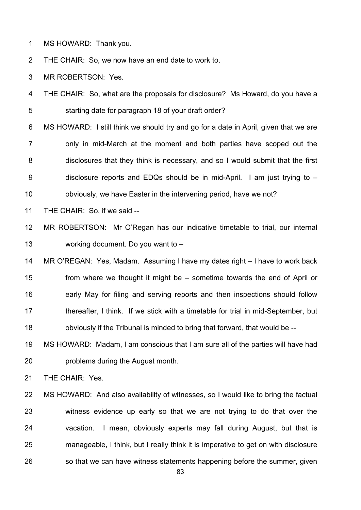- 1 **MS HOWARD: Thank you.**
- 2 THE CHAIR: So, we now have an end date to work to.
- 3 MR ROBERTSON: Yes.
- 4 THE CHAIR: So, what are the proposals for disclosure? Ms Howard, do you have a 5 **S** starting date for paragraph 18 of your draft order?
- 6 MS HOWARD: I still think we should try and go for a date in April, given that we are  $7$   $\vert$  only in mid-March at the moment and both parties have scoped out the 8 disclosures that they think is necessary, and so I would submit that the first 9 disclosure reports and EDQs should be in mid-April. I am just trying to – 10 **b** obviously, we have Easter in the intervening period, have we not?
- 11 THE CHAIR: So, if we said --
- 12 MR ROBERTSON: Mr O'Regan has our indicative timetable to trial, our internal 13 working document. Do you want to –
- 14 MR O'REGAN: Yes, Madam. Assuming I have my dates right I have to work back 15 from where we thought it might be – sometime towards the end of April or 16 **early May for filing and serving reports and then inspections should follow** 17 thereafter, I think. If we stick with a timetable for trial in mid-September, but 18 **budge 18** obviously if the Tribunal is minded to bring that forward, that would be --
- 19 MS HOWARD: Madam, I am conscious that I am sure all of the parties will have had 20 **problems during the August month.**

21 | THE CHAIR: Yes.

22 | MS HOWARD: And also availability of witnesses, so I would like to bring the factual 23 witness evidence up early so that we are not trying to do that over the 24 vacation. I mean, obviously experts may fall during August, but that is 25 manageable, I think, but I really think it is imperative to get on with disclosure  $26$  so that we can have witness statements happening before the summer, given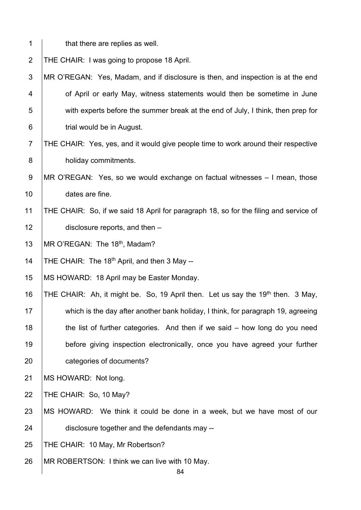$1 \mid$  that there are replies as well. 2 | THE CHAIR: I was going to propose 18 April. 3 MR O'REGAN: Yes, Madam, and if disclosure is then, and inspection is at the end 4 **1** of April or early May, witness statements would then be sometime in June 5 with experts before the summer break at the end of July, I think, then prep for 6 **b** trial would be in August. 7 THE CHAIR: Yes, yes, and it would give people time to work around their respective 8 **holiday commitments.** 9 MR O'REGAN: Yes, so we would exchange on factual witnesses – I mean, those 10 dates are fine. 11 THE CHAIR: So, if we said 18 April for paragraph 18, so for the filing and service of 12 **disclosure reports, and then** – 13  $\parallel$  MR O'REGAN: The 18<sup>th</sup>, Madam? 14 | THE CHAIR: The  $18<sup>th</sup>$  April, and then 3 May --15 | MS HOWARD: 18 April may be Easter Monday. 16  $\vert$ THE CHAIR: Ah, it might be. So, 19 April then. Let us say the 19<sup>th</sup> then. 3 May, 17 which is the day after another bank holiday, I think, for paragraph 19, agreeing 18 the list of further categories. And then if we said – how long do you need 19 before giving inspection electronically, once you have agreed your further 20 **categories of documents?** 21 | MS HOWARD: Not long. 22 | THE CHAIR: So, 10 May? 23 MS HOWARD: We think it could be done in a week, but we have most of our 24 disclosure together and the defendants may --25 | THE CHAIR: 10 May, Mr Robertson? 26 | MR ROBERTSON: I think we can live with 10 May.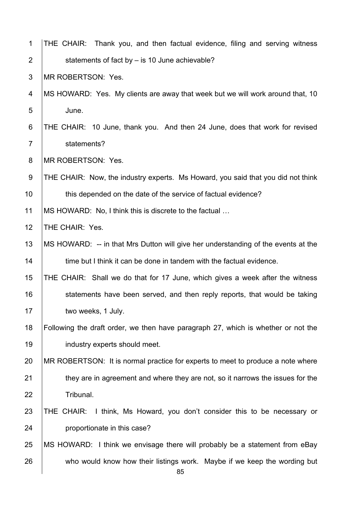| $\mathbf 1$      | THE CHAIR: Thank you, and then factual evidence, filing and serving witness       |
|------------------|-----------------------------------------------------------------------------------|
| $\overline{2}$   | statements of fact by - is 10 June achievable?                                    |
| $\mathfrak{S}$   | MR ROBERTSON: Yes.                                                                |
| 4                | MS HOWARD: Yes. My clients are away that week but we will work around that, 10    |
| 5                | June.                                                                             |
| 6                | THE CHAIR: 10 June, thank you. And then 24 June, does that work for revised       |
| $\overline{7}$   | statements?                                                                       |
| 8                | MR ROBERTSON: Yes.                                                                |
| $\boldsymbol{9}$ | THE CHAIR: Now, the industry experts. Ms Howard, you said that you did not think  |
| 10               | this depended on the date of the service of factual evidence?                     |
| 11               | MS HOWARD: No, I think this is discrete to the factual                            |
| 12               | THE CHAIR: Yes.                                                                   |
| 13               | MS HOWARD: -- in that Mrs Dutton will give her understanding of the events at the |
| 14               | time but I think it can be done in tandem with the factual evidence.              |
| 15               | THE CHAIR: Shall we do that for 17 June, which gives a week after the witness     |
| 16               | statements have been served, and then reply reports, that would be taking         |
| 17               | two weeks, 1 July.                                                                |
| 18               | Following the draft order, we then have paragraph 27, which is whether or not the |
| 19               | industry experts should meet.                                                     |
| 20               | MR ROBERTSON: It is normal practice for experts to meet to produce a note where   |
| 21               | they are in agreement and where they are not, so it narrows the issues for the    |
| 22               | Tribunal.                                                                         |
| 23               | THE CHAIR: I think, Ms Howard, you don't consider this to be necessary or         |
| 24               | proportionate in this case?                                                       |
| 25               | MS HOWARD: I think we envisage there will probably be a statement from eBay       |
| 26               | who would know how their listings work. Maybe if we keep the wording but<br>85    |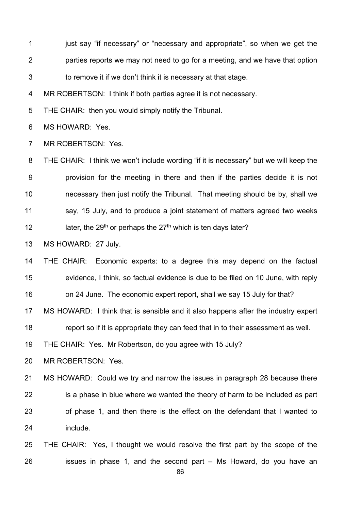1 just say "if necessary" or "necessary and appropriate", so when we get the 2 | parties reports we may not need to go for a meeting, and we have that option  $3 \mid$  to remove it if we don't think it is necessary at that stage.

4 MR ROBERTSON: I think if both parties agree it is not necessary.

5 THE CHAIR: then you would simply notify the Tribunal.

6 | MS HOWARD: Yes.

7 | MR ROBERTSON: Yes.

8 THE CHAIR: I think we won't include wording "if it is necessary" but we will keep the 9 provision for the meeting in there and then if the parties decide it is not 10 **necessary then just notify the Tribunal.** That meeting should be by, shall we 11 say, 15 July, and to produce a joint statement of matters agreed two weeks 12  $\parallel$  later, the 29<sup>th</sup> or perhaps the 27<sup>th</sup> which is ten days later?

13 | MS HOWARD: 27 July.

14 THE CHAIR: Economic experts: to a degree this may depend on the factual 15 evidence, I think, so factual evidence is due to be filed on 10 June, with reply 16 **on 24 June.** The economic expert report, shall we say 15 July for that?

17 | MS HOWARD: I think that is sensible and it also happens after the industry expert

18 **Fig. 7** report so if it is appropriate they can feed that in to their assessment as well.

19 THE CHAIR: Yes. Mr Robertson, do you agree with 15 July?

20 | MR ROBERTSON: Yes.

21 MS HOWARD: Could we try and narrow the issues in paragraph 28 because there 22 is a phase in blue where we wanted the theory of harm to be included as part 23 of phase 1, and then there is the effect on the defendant that I wanted to 24 include.

25 THE CHAIR: Yes, I thought we would resolve the first part by the scope of the  $26$  issues in phase 1, and the second part – Ms Howard, do you have an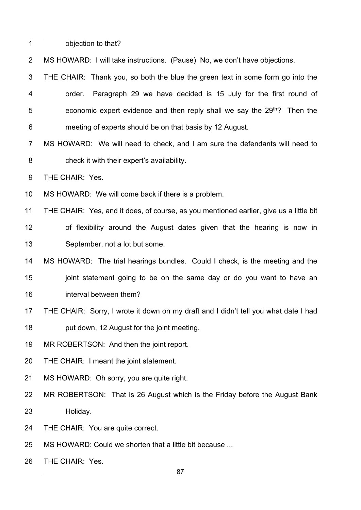1 **b** objection to that?

2 MS HOWARD: I will take instructions. (Pause) No, we don't have objections.

- 3 THE CHAIR: Thank you, so both the blue the green text in some form go into the 4 **order.** Paragraph 29 we have decided is 15 July for the first round of  $\frac{1}{5}$  economic expert evidence and then reply shall we say the 29<sup>th</sup>? Then the 6 **meeting of experts should be on that basis by 12 August.**
- 7 MS HOWARD: We will need to check, and I am sure the defendants will need to 8 check it with their expert's availability.

9 | THE CHAIR: Yes.

10 | MS HOWARD: We will come back if there is a problem.

- 11 THE CHAIR: Yes, and it does, of course, as you mentioned earlier, give us a little bit 12 **of flexibility around the August dates given that the hearing is now in** 13 | September, not a lot but some.
- 14 MS HOWARD: The trial hearings bundles. Could I check, is the meeting and the 15 **july** joint statement going to be on the same day or do you want to have an 16 **interval between them?**
- 17 THE CHAIR: Sorry, I wrote it down on my draft and I didn't tell you what date I had 18 **put down, 12 August for the joint meeting.**
- 19 | MR ROBERTSON: And then the joint report.
- 20 | THE CHAIR: I meant the joint statement.
- 21 | MS HOWARD: Oh sorry, you are quite right.
- 22 MR ROBERTSON: That is 26 August which is the Friday before the August Bank 23 Holiday.

24 | THE CHAIR: You are quite correct.

25 | MS HOWARD: Could we shorten that a little bit because ...

26 | THE CHAIR: Yes.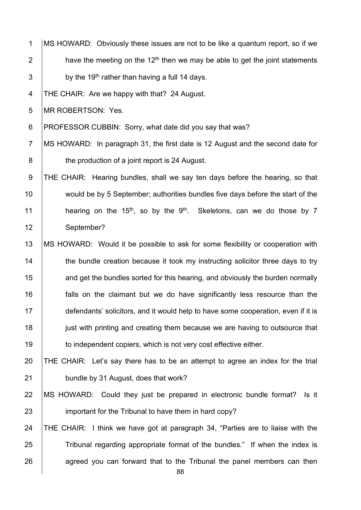1 MS HOWARD: Obviously these issues are not to be like a quantum report, so if we 2  $\parallel$  have the meeting on the 12<sup>th</sup> then we may be able to get the joint statements  $3$  by the 19<sup>th</sup> rather than having a full 14 days.

4 THE CHAIR: Are we happy with that? 24 August.

5 **IMR ROBERTSON: Yes.** 

6 | PROFESSOR CUBBIN: Sorry, what date did you say that was?

7 | MS HOWARD: In paragraph 31, the first date is 12 August and the second date for 8 **b** the production of a joint report is 24 August.

9 THE CHAIR: Hearing bundles, shall we say ten days before the hearing, so that 10 would be by 5 September; authorities bundles five days before the start of the 11 | hearing on the 15<sup>th</sup>, so by the 9<sup>th</sup>. Skeletons, can we do those by 7 12 September?

13 | MS HOWARD: Would it be possible to ask for some flexibility or cooperation with 14 the bundle creation because it took my instructing solicitor three days to try 15 **and get the bundles sorted for this hearing, and obviously the burden normally** 16 **falls** on the claimant but we do have significantly less resource than the 17 defendants' solicitors, and it would help to have some cooperation, even if it is 18 **just with printing and creating them because we are having to outsource that** 19 **to independent copiers, which is not very cost effective either.** 

20 THE CHAIR: Let's say there has to be an attempt to agree an index for the trial 21 **bundle by 31 August, does that work?** 

22 MS HOWARD: Could they just be prepared in electronic bundle format? Is it 23 **important for the Tribunal to have them in hard copy?** 

24 THE CHAIR: I think we have got at paragraph 34, "Parties are to liaise with the 25 Tribunal regarding appropriate format of the bundles." If when the index is  $26$  agreed you can forward that to the Tribunal the panel members can then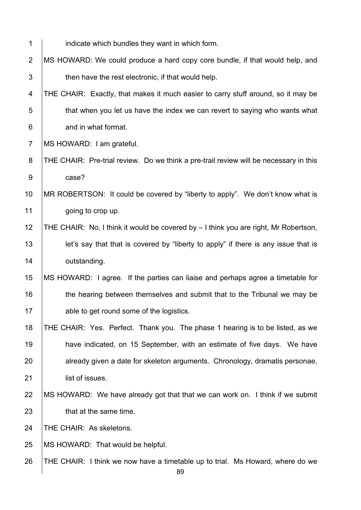| 1              | indicate which bundles they want in which form.                                       |
|----------------|---------------------------------------------------------------------------------------|
| $\overline{2}$ | MS HOWARD: We could produce a hard copy core bundle, if that would help, and          |
| 3              | then have the rest electronic, if that would help.                                    |
| 4              | THE CHAIR: Exactly, that makes it much easier to carry stuff around, so it may be     |
| 5              | that when you let us have the index we can revert to saying who wants what            |
| $\,6$          | and in what format.                                                                   |
| $\overline{7}$ | MS HOWARD: I am grateful.                                                             |
| 8              | THE CHAIR: Pre-trial review. Do we think a pre-trail review will be necessary in this |
| $9\,$          | case?                                                                                 |
| 10             | MR ROBERTSON: It could be covered by "liberty to apply". We don't know what is        |
| 11             | going to crop up.                                                                     |
| 12             | THE CHAIR: No, I think it would be covered by - I think you are right, Mr Robertson,  |
| 13             | let's say that that is covered by "liberty to apply" if there is any issue that is    |
| 14             | outstanding.                                                                          |
| 15             | MS HOWARD: I agree. If the parties can liaise and perhaps agree a timetable for       |
| 16             | the hearing between themselves and submit that to the Tribunal we may be              |
| 17             | able to get round some of the logistics.                                              |
| 18             | THE CHAIR: Yes. Perfect. Thank you. The phase 1 hearing is to be listed, as we        |
| 19             | have indicated, on 15 September, with an estimate of five days. We have               |
| 20             | already given a date for skeleton arguments. Chronology, dramatis personae,           |
| 21             | list of issues.                                                                       |
| 22             | MS HOWARD: We have already got that that we can work on. I think if we submit         |
| 23             | that at the same time.                                                                |
| 24             | THE CHAIR: As skeletons.                                                              |
| 25             | MS HOWARD: That would be helpful.                                                     |
| 26             | THE CHAIR: I think we now have a timetable up to trial. Ms Howard, where do we        |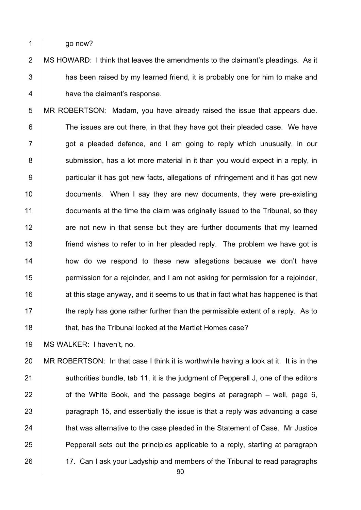1 go now?

2 | MS HOWARD: I think that leaves the amendments to the claimant's pleadings. As it  $3$   $\parallel$  has been raised by my learned friend, it is probably one for him to make and 4 **have the claimant's response.** 

5 MR ROBERTSON: Madam, you have already raised the issue that appears due. 6 The issues are out there, in that they have got their pleaded case. We have  $7$   $\vert$  got a pleaded defence, and I am going to reply which unusually, in our 8 | submission, has a lot more material in it than you would expect in a reply, in 9 **particular it has got new facts, allegations of infringement and it has got new** 10 documents. When I say they are new documents, they were pre-existing 11 documents at the time the claim was originally issued to the Tribunal, so they 12 are not new in that sense but they are further documents that my learned 13 **friend wishes to refer to in her pleaded reply.** The problem we have got is 14 **how do we respond to these new allegations because we don't have** 15 **permission for a rejoinder, and I am not asking for permission for a rejoinder,** 16  $\parallel$  at this stage anyway, and it seems to us that in fact what has happened is that 17 the reply has gone rather further than the permissible extent of a reply. As to 18 **that, has the Tribunal looked at the Martlet Homes case?** 

19 MS WALKER: I haven't, no.

20 MR ROBERTSON: In that case I think it is worthwhile having a look at it. It is in the 21 authorities bundle, tab 11, it is the judgment of Pepperall J, one of the editors 22  $\vert$  of the White Book, and the passage begins at paragraph – well, page 6, 23 **paragraph 15, and essentially the issue is that a reply was advancing a case** 24 that was alternative to the case pleaded in the Statement of Case. Mr Justice 25 **Pepperall sets out the principles applicable to a reply, starting at paragraph** 26 17. Can I ask your Ladyship and members of the Tribunal to read paragraphs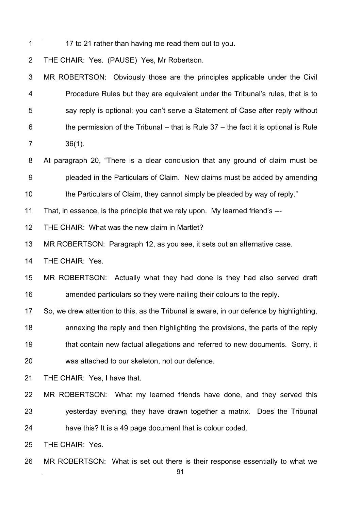- 
- 1 17 to 21 rather than having me read them out to you.

2 THE CHAIR: Yes. (PAUSE) Yes, Mr Robertson.

3 MR ROBERTSON: Obviously those are the principles applicable under the Civil 4 **Procedure Rules but they are equivalent under the Tribunal's rules, that is to**  $5$  say reply is optional; you can't serve a Statement of Case after reply without 6  $\parallel$  the permission of the Tribunal – that is Rule 37 – the fact it is optional is Rule 7 36(1).

8 At paragraph 20, "There is a clear conclusion that any ground of claim must be 9 **pleaded in the Particulars of Claim.** New claims must be added by amending 10 the Particulars of Claim, they cannot simply be pleaded by way of reply."

11 That, in essence, is the principle that we rely upon. My learned friend's ---

12 THE CHAIR: What was the new claim in Martlet?

13 | MR ROBERTSON: Paragraph 12, as you see, it sets out an alternative case.

14 | THE CHAIR: Yes.

15 MR ROBERTSON: Actually what they had done is they had also served draft 16 **Arror** amended particulars so they were nailing their colours to the reply.

 $\,$  So, we drew attention to this, as the Tribunal is aware, in our defence by highlighting, 18 annexing the reply and then highlighting the provisions, the parts of the reply **that contain new factual allegations and referred to new documents. Sorry, it was attached to our skeleton, not our defence.** 

21 | THE CHAIR: Yes, I have that.

22 MR ROBERTSON: What my learned friends have done, and they served this 23 yesterday evening, they have drawn together a matrix. Does the Tribunal 24 **have this?** It is a 49 page document that is colour coded.

25 | THE CHAIR: Yes.

26 MR ROBERTSON: What is set out there is their response essentially to what we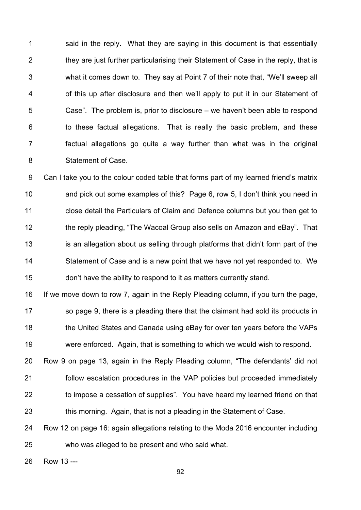1  $\vert$  said in the reply. What they are saying in this document is that essentially 2 they are just further particularising their Statement of Case in the reply, that is 3 What it comes down to. They say at Point 7 of their note that, "We'll sweep all 4 **6** of this up after disclosure and then we'll apply to put it in our Statement of  $5$   $\vert$  Case". The problem is, prior to disclosure – we haven't been able to respond  $6$   $\vert$  to these factual allegations. That is really the basic problem, and these 7 factual allegations go quite a way further than what was in the original 8 | Statement of Case.

9 Can I take you to the colour coded table that forms part of my learned friend's matrix 10 **and pick out some examples of this?** Page 6, row 5, I don't think you need in 11 **close detail the Particulars of Claim and Defence columns but you then get to** 12 the reply pleading, "The Wacoal Group also sells on Amazon and eBay". That 13 is an allegation about us selling through platforms that didn't form part of the 14 Statement of Case and is a new point that we have not yet responded to. We 15 **don't have the ability to respond to it as matters currently stand.** 

 If we move down to row 7, again in the Reply Pleading column, if you turn the page, so page 9, there is a pleading there that the claimant had sold its products in 18 the United States and Canada using eBay for over ten years before the VAPs were enforced. Again, that is something to which we would wish to respond.

20 Row 9 on page 13, again in the Reply Pleading column, "The defendants' did not 21 **Follow escalation procedures in the VAP policies but proceeded immediately** 22 to impose a cessation of supplies". You have heard my learned friend on that 23 this morning. Again, that is not a pleading in the Statement of Case.

24 Row 12 on page 16: again allegations relating to the Moda 2016 encounter including 25 who was alleged to be present and who said what.

26 | Row 13 ---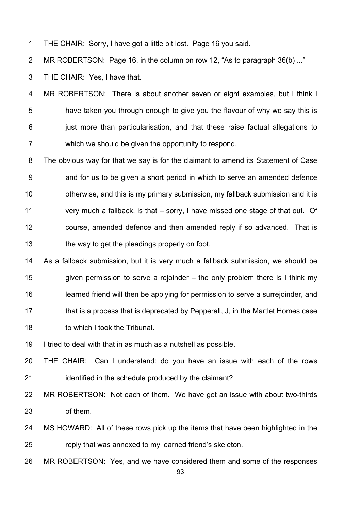1 THE CHAIR: Sorry, I have got a little bit lost. Page 16 you said.

2 MR ROBERTSON: Page 16, in the column on row 12, "As to paragraph 36(b) ..."

3 THE CHAIR: Yes, I have that.

4 MR ROBERTSON: There is about another seven or eight examples, but I think I 5 **have taken you through enough to give you the flavour of why we say this is** 6 just more than particularisation, and that these raise factual allegations to 7 which we should be given the opportunity to respond.

8 The obvious way for that we say is for the claimant to amend its Statement of Case 9 and for us to be given a short period in which to serve an amended defence 10 **diam otherwise, and this is my primary submission, my fallback submission and it is** 11 very much a fallback, is that – sorry, I have missed one stage of that out. Of 12 **course, amended defence and then amended reply if so advanced.** That is 13 **the way to get the pleadings properly on foot.** 

14  $\vert$  As a fallback submission, but it is very much a fallback submission, we should be 15 given permission to serve a rejoinder – the only problem there is I think my 16 **learned friend will then be applying for permission to serve a surrejoinder, and** 17 that is a process that is deprecated by Pepperall, J, in the Martlet Homes case 18 **to which I took the Tribunal.** 

19 I tried to deal with that in as much as a nutshell as possible.

20 THE CHAIR: Can I understand: do you have an issue with each of the rows 21 **identified in the schedule produced by the claimant?** 

22 MR ROBERTSON: Not each of them. We have got an issue with about two-thirds 23 of them.

- 24 MS HOWARD: All of these rows pick up the items that have been highlighted in the 25 **Fig. 3** reply that was annexed to my learned friend's skeleton.
- 26 MR ROBERTSON: Yes, and we have considered them and some of the responses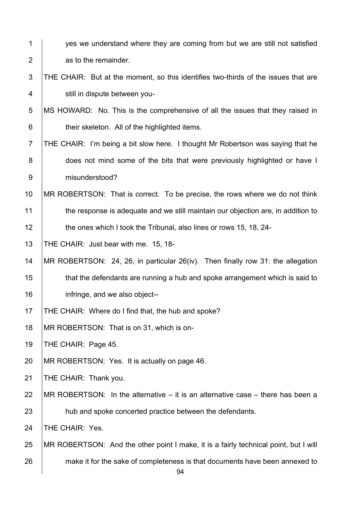| $\mathbf 1$    | yes we understand where they are coming from but we are still not satisfied          |
|----------------|--------------------------------------------------------------------------------------|
| $\overline{2}$ | as to the remainder.                                                                 |
| 3              | THE CHAIR: But at the moment, so this identifies two-thirds of the issues that are   |
| 4              | still in dispute between you-                                                        |
| 5              | MS HOWARD: No. This is the comprehensive of all the issues that they raised in       |
| 6              | their skeleton. All of the highlighted items.                                        |
| $\overline{7}$ | THE CHAIR: I'm being a bit slow here. I thought Mr Robertson was saying that he      |
| 8              | does not mind some of the bits that were previously highlighted or have I            |
| $9\,$          | misunderstood?                                                                       |
| 10             | MR ROBERTSON: That is correct. To be precise, the rows where we do not think         |
| 11             | the response is adequate and we still maintain our objection are, in addition to     |
| 12             | the ones which I took the Tribunal, also lines or rows 15, 18, 24-                   |
| 13             | THE CHAIR: Just bear with me. 15, 18-                                                |
| 14             | MR ROBERTSON: 24, 26, in particular 26(iv). Then finally row 31: the allegation      |
| 15             | that the defendants are running a hub and spoke arrangement which is said to         |
| 16             | infringe, and we also object--                                                       |
| 17             | THE CHAIR: Where do I find that, the hub and spoke?                                  |
| 18             | MR ROBERTSON: That is on 31, which is on-                                            |
| 19             | THE CHAIR: Page 45.                                                                  |
| 20             | MR ROBERTSON: Yes. It is actually on page 46.                                        |
| 21             | THE CHAIR: Thank you.                                                                |
| 22             | MR ROBERTSON: In the alternative $-$ it is an alternative case $-$ there has been a  |
| 23             | hub and spoke concerted practice between the defendants.                             |
| 24             | THE CHAIR: Yes.                                                                      |
| 25             | MR ROBERTSON: And the other point I make, it is a fairly technical point, but I will |
| 26             | make it for the sake of completeness is that documents have been annexed to<br>94    |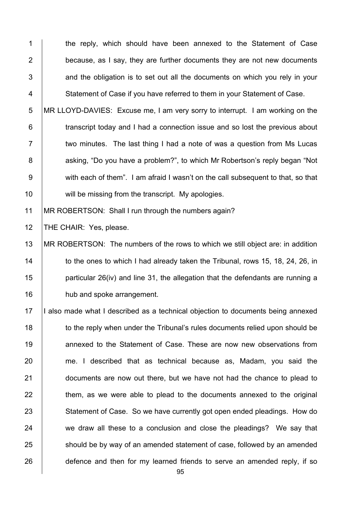1 the reply, which should have been annexed to the Statement of Case 2 **because, as I say, they are further documents they are not new documents**  $3$   $\vert$  and the obligation is to set out all the documents on which you rely in your 4 Statement of Case if you have referred to them in your Statement of Case.

5 MR LLOYD-DAVIES: Excuse me, I am very sorry to interrupt. I am working on the 6 **transcript today and I had a connection issue and so lost the previous about** 7 T two minutes. The last thing I had a note of was a question from Ms Lucas 8 asking, "Do you have a problem?", to which Mr Robertson's reply began "Not 9 with each of them". I am afraid I wasn't on the call subsequent to that, so that 10 will be missing from the transcript. My apologies.

11 | MR ROBERTSON: Shall I run through the numbers again?

12 | THE CHAIR: Yes, please.

 MR ROBERTSON: The numbers of the rows to which we still object are: in addition 14 to the ones to which I had already taken the Tribunal, rows 15, 18, 24, 26, in **particular 26(iv) and line 31, the allegation that the defendants are running a hub and spoke arrangement.** 

17 | I also made what I described as a technical objection to documents being annexed 18 to the reply when under the Tribunal's rules documents relied upon should be 19 10 annexed to the Statement of Case. These are now new observations from 20 me. I described that as technical because as, Madam, you said the 21 **documents are now out there, but we have not had the chance to plead to**  $22$   $\pm$  them, as we were able to plead to the documents annexed to the original 23 Statement of Case. So we have currently got open ended pleadings. How do 24 we draw all these to a conclusion and close the pleadings? We say that 25 should be by way of an amended statement of case, followed by an amended 26 defence and then for my learned friends to serve an amended reply, if so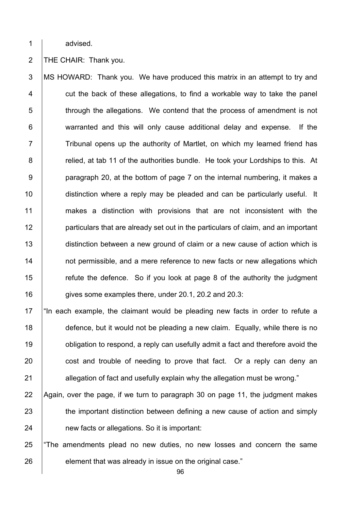1 advised.

## 2 | THE CHAIR: Thank you.

3 MS HOWARD: Thank you. We have produced this matrix in an attempt to try and  $4$   $\vert$  cut the back of these allegations, to find a workable way to take the panel 5 through the allegations. We contend that the process of amendment is not 6 warranted and this will only cause additional delay and expense. If the 7 Tribunal opens up the authority of Martlet, on which my learned friend has 8 **8** relied, at tab 11 of the authorities bundle. He took your Lordships to this. At 9 **paragraph 20, at the bottom of page 7 on the internal numbering, it makes a** 10 **distinction where a reply may be pleaded and can be particularly useful.** It 11 makes a distinction with provisions that are not inconsistent with the 12 **particulars that are already set out in the particulars of claim, and an important** 13 distinction between a new ground of claim or a new cause of action which is 14 **not permissible, and a mere reference to new facts or new allegations which** 15  $\parallel$  refute the defence. So if you look at page 8 of the authority the judgment 16 gives some examples there, under 20.1, 20.2 and 20.3:

17  $\parallel$  "In each example, the claimant would be pleading new facts in order to refute a 18 defence, but it would not be pleading a new claim. Equally, while there is no 19 **b** obligation to respond, a reply can usefully admit a fact and therefore avoid the 20 cost and trouble of needing to prove that fact. Or a reply can deny an 21 allegation of fact and usefully explain why the allegation must be wrong."

22 Again, over the page, if we turn to paragraph 30 on page 11, the judgment makes 23 the important distinction between defining a new cause of action and simply 24 **heath** new facts or allegations. So it is important:

25 The amendments plead no new duties, no new losses and concern the same 26 element that was already in issue on the original case."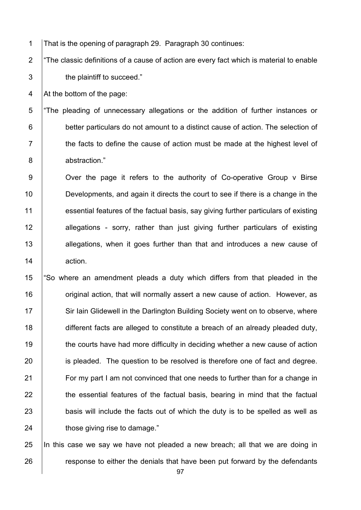1 That is the opening of paragraph 29. Paragraph 30 continues:

2  $\vert$  "The classic definitions of a cause of action are every fact which is material to enable 3 **b** the plaintiff to succeed."

4  $\vert$  At the bottom of the page:

5 "The pleading of unnecessary allegations or the addition of further instances or 6 **better particulars do not amount to a distinct cause of action. The selection of**  $7$   $\vert$  the facts to define the cause of action must be made at the highest level of 8 abstraction."

9 | Over the page it refers to the authority of Co-operative Group v Birse 10 **Developments, and again it directs the court to see if there is a change in the** 11 essential features of the factual basis, say giving further particulars of existing 12 allegations - sorry, rather than just giving further particulars of existing 13 allegations, when it goes further than that and introduces a new cause of 14 action.

15 "So where an amendment pleads a duty which differs from that pleaded in the 16 **Figure 16** original action, that will normally assert a new cause of action. However, as 17 Sir Iain Glidewell in the Darlington Building Society went on to observe, where 18 different facts are alleged to constitute a breach of an already pleaded duty, 19 the courts have had more difficulty in deciding whether a new cause of action 20 is pleaded. The question to be resolved is therefore one of fact and degree. 21 For my part I am not convinced that one needs to further than for a change in  $22$  the essential features of the factual basis, bearing in mind that the factual 23 **basis will include the facts out of which the duty is to be spelled as well as** 24 **those giving rise to damage.**"

25 In this case we say we have not pleaded a new breach; all that we are doing in 26 **response to either the denials that have been put forward by the defendants**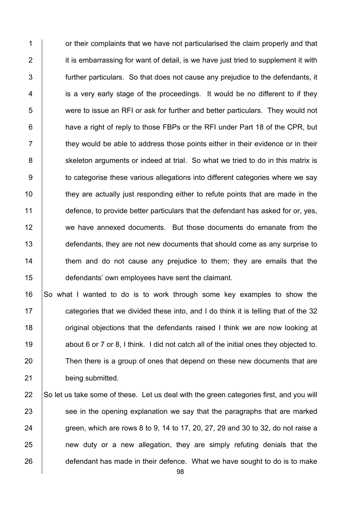1 **1** or their complaints that we have not particularised the claim properly and that  $2$  it is embarrassing for want of detail, is we have just tried to supplement it with 3 **further particulars.** So that does not cause any prejudice to the defendants, it 4 is a very early stage of the proceedings. It would be no different to if they 5 were to issue an RFI or ask for further and better particulars. They would not  $6$  | have a right of reply to those FBPs or the RFI under Part 18 of the CPR, but  $7$   $\parallel$  they would be able to address those points either in their evidence or in their 8 Socies Skeleton arguments or indeed at trial. So what we tried to do in this matrix is 9 **to categorise these various allegations into different categories where we say** 10 they are actually just responding either to refute points that are made in the 11 defence, to provide better particulars that the defendant has asked for or, yes, 12 we have annexed documents. But those documents do emanate from the 13 defendants, they are not new documents that should come as any surprise to 14 Them and do not cause any prejudice to them; they are emails that the 15 defendants' own employees have sent the claimant.

16 So what I wanted to do is to work through some key examples to show the 17 **categories that we divided these into, and I do think it is telling that of the 32** 18 **18** original objections that the defendants raised I think we are now looking at 19 about 6 or 7 or 8, I think. I did not catch all of the initial ones they objected to. 20 Then there is a group of ones that depend on these new documents that are 21 being submitted.

22 So let us take some of these. Let us deal with the green categories first, and you will  $23$  see in the opening explanation we say that the paragraphs that are marked 24 green, which are rows 8 to 9, 14 to 17, 20, 27, 29 and 30 to 32, do not raise a  $25$  | new duty or a new allegation, they are simply refuting denials that the 26 defendant has made in their defence. What we have sought to do is to make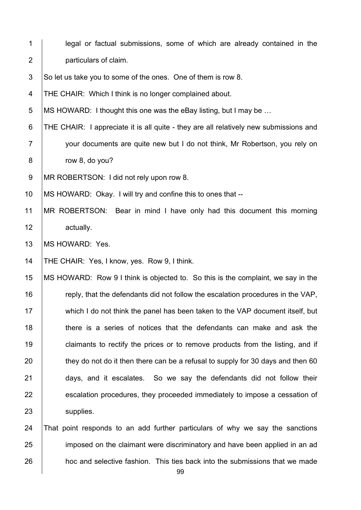| $\mathbf 1$      | legal or factual submissions, some of which are already contained in the              |
|------------------|---------------------------------------------------------------------------------------|
| $\overline{2}$   | particulars of claim.                                                                 |
| $\mathfrak{S}$   | So let us take you to some of the ones. One of them is row 8.                         |
| 4                | THE CHAIR: Which I think is no longer complained about.                               |
| $\overline{5}$   | MS HOWARD: I thought this one was the eBay listing, but I may be                      |
| 6                | THE CHAIR: I appreciate it is all quite - they are all relatively new submissions and |
| $\overline{7}$   | your documents are quite new but I do not think, Mr Robertson, you rely on            |
| 8                | row 8, do you?                                                                        |
| $\boldsymbol{9}$ | MR ROBERTSON: I did not rely upon row 8.                                              |
| 10               | MS HOWARD: Okay. I will try and confine this to ones that --                          |
| 11               | MR ROBERTSON: Bear in mind I have only had this document this morning                 |
| 12               | actually.                                                                             |
| 13               | MS HOWARD: Yes.                                                                       |
| 14               | THE CHAIR: Yes, I know, yes. Row 9, I think.                                          |
| 15               | MS HOWARD: Row 9 I think is objected to. So this is the complaint, we say in the      |
| 16               | reply, that the defendants did not follow the escalation procedures in the VAP,       |
| 17               | which I do not think the panel has been taken to the VAP document itself, but         |
| 18               | there is a series of notices that the defendants can make and ask the                 |
| 19               | claimants to rectify the prices or to remove products from the listing, and if        |
| 20               | they do not do it then there can be a refusal to supply for 30 days and then 60       |
| 21               | days, and it escalates. So we say the defendants did not follow their                 |
| 22               | escalation procedures, they proceeded immediately to impose a cessation of            |
| 23               | supplies.                                                                             |
| 24               | That point responds to an add further particulars of why we say the sanctions         |
| 25               | imposed on the claimant were discriminatory and have been applied in an ad            |
| 26               | hoc and selective fashion. This ties back into the submissions that we made           |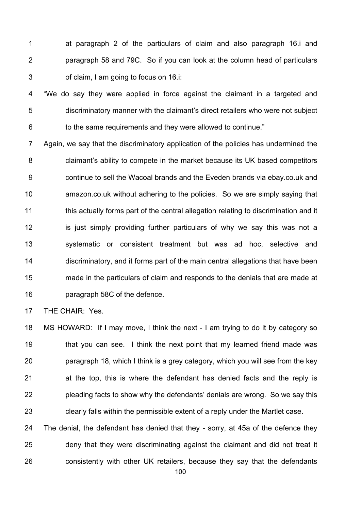1 at paragraph 2 of the particulars of claim and also paragraph 16.j and 2 **paragraph 58 and 79C.** So if you can look at the column head of particulars  $3 \mid$  of claim. I am going to focus on 16.i:

4 | We do say they were applied in force against the claimant in a targeted and 5 discriminatory manner with the claimant's direct retailers who were not subject 6 **to the same requirements and they were allowed to continue.**"

7 Again, we say that the discriminatory application of the policies has undermined the 8 **claimant's ability to compete in the market because its UK based competitors** 9 **continue to sell the Wacoal brands and the Eveden brands via ebay.co.uk and** 10 **Arror** amazon.co.uk without adhering to the policies. So we are simply saying that 11 this actually forms part of the central allegation relating to discrimination and it 12 **is just simply providing further particulars of why we say this was not a** 13 | systematic or consistent treatment but was ad hoc, selective and 14 discriminatory, and it forms part of the main central allegations that have been 15 made in the particulars of claim and responds to the denials that are made at 16 **paragraph 58C of the defence.** 

17 **THE CHAIR: Yes.** 

 MS HOWARD: If I may move, I think the next - I am trying to do it by category so **that you can see.** I think the next point that my learned friend made was **paragraph 18, which I think is a grey category, which you will see from the key**  at the top, this is where the defendant has denied facts and the reply is **pleading facts to show why the defendants' denials are wrong. So we say this clearly falls within the permissible extent of a reply under the Martlet case.** 

24  $\vert$  The denial, the defendant has denied that they - sorry, at 45a of the defence they 25 deny that they were discriminating against the claimant and did not treat it 26 consistently with other UK retailers, because they say that the defendants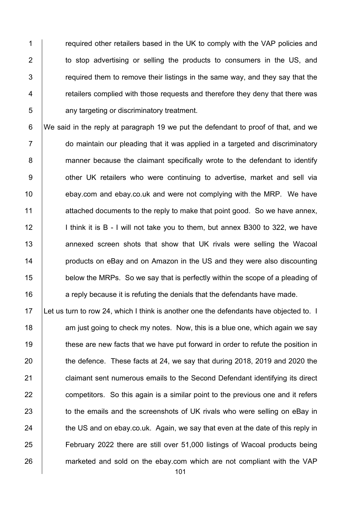**Fig. 2** required other retailers based in the UK to comply with the VAP policies and 2 to stop advertising or selling the products to consumers in the US, and  $\parallel$  required them to remove their listings in the same way, and they say that the **Fig. 2** retailers complied with those requests and therefore they deny that there was **b** any targeting or discriminatory treatment.

6 We said in the reply at paragraph 19 we put the defendant to proof of that, and we 7 do maintain our pleading that it was applied in a targeted and discriminatory 8 manner because the claimant specifically wrote to the defendant to identify 9 | other UK retailers who were continuing to advertise, market and sell via 10 **ebay.com and ebay.co.uk and were not complying with the MRP.** We have 11 attached documents to the reply to make that point good. So we have annex, 12 | I think it is B - I will not take you to them, but annex B300 to 322, we have 13 **A** annexed screen shots that show that UK rivals were selling the Wacoal 14 **products on eBay and on Amazon in the US and they were also discounting** 15 below the MRPs. So we say that is perfectly within the scope of a pleading of 16 **a** reply because it is refuting the denials that the defendants have made.

17 Let us turn to row 24, which I think is another one the defendants have objected to. I 18 **18** am just going to check my notes. Now, this is a blue one, which again we say 19 these are new facts that we have put forward in order to refute the position in 20 the defence. These facts at 24, we say that during 2018, 2019 and 2020 the 21 **claimant sent numerous emails to the Second Defendant identifying its direct** 22 competitors. So this again is a similar point to the previous one and it refers 23 to the emails and the screenshots of UK rivals who were selling on eBay in 24  $\parallel$  the US and on ebay.co.uk. Again, we say that even at the date of this reply in 25 February 2022 there are still over 51,000 listings of Wacoal products being 26 marketed and sold on the ebay.com which are not compliant with the VAP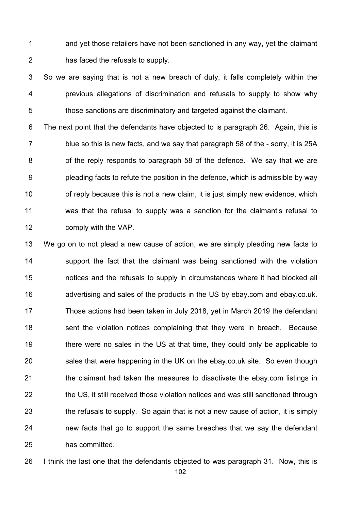1 and yet those retailers have not been sanctioned in any way, yet the claimant  $2 \mid$  has faced the refusals to supply.

 $3$  So we are saying that is not a new breach of duty, it falls completely within the 4 **previous allegations of discrimination and refusals to supply to show why** 5 those sanctions are discriminatory and targeted against the claimant.

6 The next point that the defendants have objected to is paragraph 26. Again, this is  $7 \mid$  blue so this is new facts, and we say that paragraph 58 of the - sorry, it is 25A **b** of the reply responds to paragraph 58 of the defence. We say that we are **pleading facts to refute the position in the defence, which is admissible by way find in the of reply because this is not a new claim, it is just simply new evidence, which**  was that the refusal to supply was a sanction for the claimant's refusal to **comply with the VAP.** 

13 We go on to not plead a new cause of action, we are simply pleading new facts to 14 Support the fact that the claimant was being sanctioned with the violation 15 **notices and the refusals to supply in circumstances where it had blocked all** 16 **16** advertising and sales of the products in the US by ebay.com and ebay.co.uk. 17 Those actions had been taken in July 2018, yet in March 2019 the defendant 18 Sent the violation notices complaining that they were in breach. Because 19 there were no sales in the US at that time, they could only be applicable to  $20$  sales that were happening in the UK on the ebay.co.uk site. So even though 21 **the claimant had taken the measures to disactivate the ebay.com listings in** 22 the US, it still received those violation notices and was still sanctioned through 23 the refusals to supply. So again that is not a new cause of action, it is simply 24 **new facts that go to support the same breaches that we say the defendant** 25 has committed.

26 I think the last one that the defendants objected to was paragraph 31. Now, this is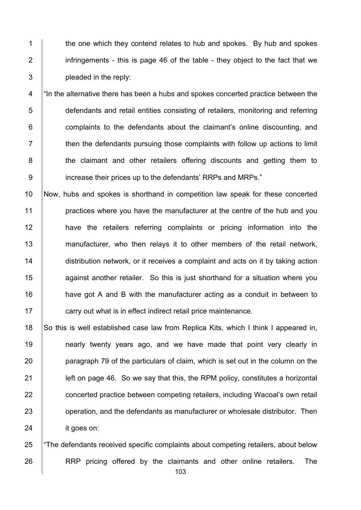1 the one which they contend relates to hub and spokes. By hub and spokes 2 infringements - this is page 46 of the table - they object to the fact that we  $3 \mid$  pleaded in the reply:

4 <sup>"</sup> In the alternative there has been a hubs and spokes concerted practice between the 5 defendants and retail entities consisting of retailers, monitoring and referring  $6$  | complaints to the defendants about the claimant's online discounting, and  $7$   $\parallel$  then the defendants pursuing those complaints with follow up actions to limit 8 **the claimant and other retailers offering discounts and getting them to** 9 | increase their prices up to the defendants' RRPs and MRPs."

 Now, hubs and spokes is shorthand in competition law speak for these concerted **practices where you have the manufacturer at the centre of the hub and you have the retailers referring complaints or pricing information into the** 13 manufacturer, who then relays it to other members of the retail network, 14 distribution network, or it receives a complaint and acts on it by taking action **15** against another retailer. So this is just shorthand for a situation where you **have got A and B with the manufacturer acting as a conduit in between to Fig. 2** carry out what is in effect indirect retail price maintenance.

18 So this is well established case law from Replica Kits, which I think I appeared in, **nearly twenty years ago, and we have made that point very clearly in paragraph 79 of the particulars of claim, which is set out in the column on the left on page 46. So we say that this, the RPM policy, constitutes a horizontal concerted practice between competing retailers, including Wacoal's own retail J** operation, and the defendants as manufacturer or wholesale distributor. Then 24 it goes on:

25 The defendants received specific complaints about competing retailers, about below 26 **RRP** pricing offered by the claimants and other online retailers. The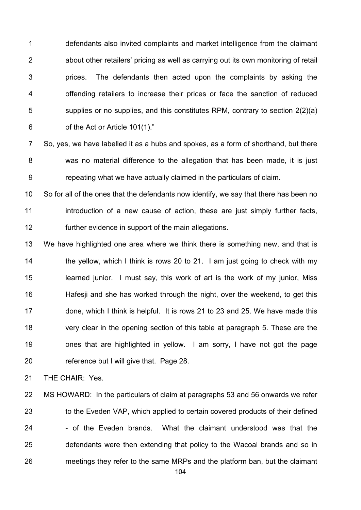1 defendants also invited complaints and market intelligence from the claimant 2 **b** about other retailers' pricing as well as carrying out its own monitoring of retail  $3$  | prices. The defendants then acted upon the complaints by asking the 4 **1** offending retailers to increase their prices or face the sanction of reduced  $\overline{5}$  supplies or no supplies, and this constitutes RPM, contrary to section 2(2)(a)  $6 \mid$  of the Act or Article 101(1)."

 $7$  So, ves, we have labelled it as a hubs and spokes, as a form of shorthand, but there 8 was no material difference to the allegation that has been made, it is just 9 **9** repeating what we have actually claimed in the particulars of claim.

10  $\vert$  So for all of the ones that the defendants now identify, we say that there has been no 11 introduction of a new cause of action, these are just simply further facts, 12 further evidence in support of the main allegations.

13 We have highlighted one area where we think there is something new, and that is  $\parallel$  the yellow, which I think is rows 20 to 21. I am just going to check with my learned junior. I must say, this work of art is the work of my junior, Miss **Hafesi** and she has worked through the night, over the weekend, to get this 17 done, which I think is helpful. It is rows 21 to 23 and 25. We have made this 18 very clear in the opening section of this table at paragraph 5. These are the **19** ones that are highlighted in yellow. I am sorry, I have not got the page **Fig.** reference but I will give that. Page 28.

21 | THE CHAIR: Yes.

22 | MS HOWARD: In the particulars of claim at paragraphs 53 and 56 onwards we refer 23 to the Eveden VAP, which applied to certain covered products of their defined  $24$   $\vert$  - of the Eveden brands. What the claimant understood was that the 25 defendants were then extending that policy to the Wacoal brands and so in 26 meetings they refer to the same MRPs and the platform ban, but the claimant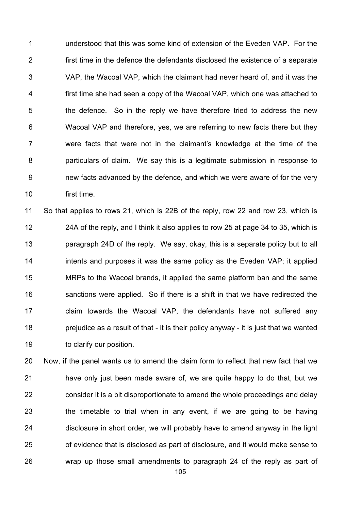1 U conderstood that this was some kind of extension of the Eveden VAP. For the **first time in the defence the defendants disclosed the existence of a separate** 3 VAP, the Wacoal VAP, which the claimant had never heard of, and it was the **first time she had seen a copy of the Wacoal VAP, which one was attached to**   $\vert$  the defence. So in the reply we have therefore tried to address the new **Wacoal VAP** and therefore, yes, we are referring to new facts there but they 7 T were facts that were not in the claimant's knowledge at the time of the **particulars of claim.** We say this is a legitimate submission in response to 9 mew facts advanced by the defence, and which we were aware of for the very first time.

 So that applies to rows 21, which is 22B of the reply, row 22 and row 23, which is 12 24A of the reply, and I think it also applies to row 25 at page 34 to 35, which is **paragraph 24D of the reply.** We say, okay, this is a separate policy but to all **intents and purposes it was the same policy as the Eveden VAP**; it applied 15 MRPs to the Wacoal brands, it applied the same platform ban and the same 16 Sanctions were applied. So if there is a shift in that we have redirected the 17 | claim towards the Wacoal VAP, the defendants have not suffered any **prejudice as a result of that - it is their policy anyway - it is just that we wanted to clarify our position.** 

 Now, if the panel wants us to amend the claim form to reflect that new fact that we **have only just been made aware of, we are quite happy to do that, but we consider it is a bit disproportionate to amend the whole proceedings and delay**  the timetable to trial when in any event, if we are going to be having 24 disclosure in short order, we will probably have to amend anyway in the light **on** of evidence that is disclosed as part of disclosure, and it would make sense to 26 wrap up those small amendments to paragraph 24 of the reply as part of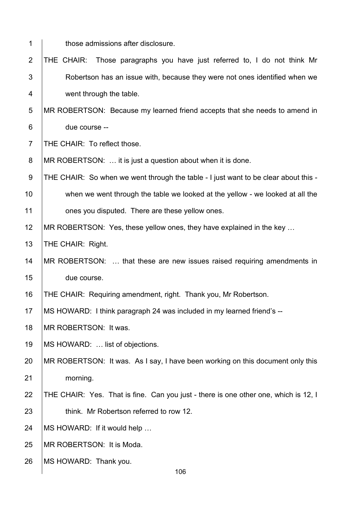| 1               | those admissions after disclosure.                                                  |
|-----------------|-------------------------------------------------------------------------------------|
| $\overline{2}$  | Those paragraphs you have just referred to, I do not think Mr<br>THE CHAIR:         |
| 3               | Robertson has an issue with, because they were not ones identified when we          |
| 4               | went through the table.                                                             |
| 5               | MR ROBERTSON: Because my learned friend accepts that she needs to amend in          |
| $6\phantom{1}6$ | due course --                                                                       |
| $\overline{7}$  | THE CHAIR: To reflect those.                                                        |
| 8               | MR ROBERTSON:  it is just a question about when it is done.                         |
| $\overline{9}$  | THE CHAIR: So when we went through the table - I just want to be clear about this - |
| 10              | when we went through the table we looked at the yellow - we looked at all the       |
| 11              | ones you disputed. There are these yellow ones.                                     |
| 12              | MR ROBERTSON: Yes, these yellow ones, they have explained in the key                |
| 13              | THE CHAIR: Right.                                                                   |
| 14              | MR ROBERTSON:  that these are new issues raised requiring amendments in             |
| 15              | due course.                                                                         |
| 16              | THE CHAIR: Requiring amendment, right. Thank you, Mr Robertson.                     |
| 17              | MS HOWARD: I think paragraph 24 was included in my learned friend's --              |
| 18              | MR ROBERTSON: It was.                                                               |
| 19              | MS HOWARD:  list of objections.                                                     |
| 20              | MR ROBERTSON: It was. As I say, I have been working on this document only this      |
| 21              | morning.                                                                            |
| 22              | THE CHAIR: Yes. That is fine. Can you just - there is one other one, which is 12, I |
| 23              | think. Mr Robertson referred to row 12.                                             |
| 24              | MS HOWARD: If it would help                                                         |
| 25              | MR ROBERTSON: It is Moda.                                                           |
| 26              | MS HOWARD: Thank you.<br>106                                                        |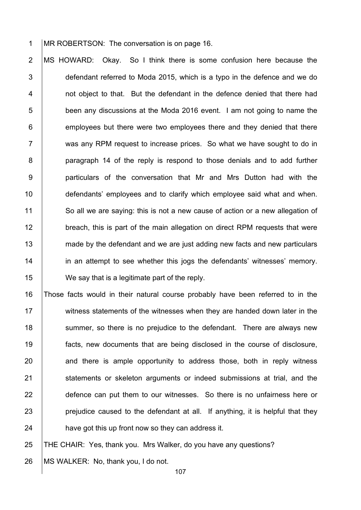1 MR ROBERTSON: The conversation is on page 16.

2 MS HOWARD: Okay. So I think there is some confusion here because the 3 defendant referred to Moda 2015, which is a typo in the defence and we do 4 **1** not object to that. But the defendant in the defence denied that there had 5 **been any discussions at the Moda 2016 event.** I am not going to name the  $6$  | employees but there were two employees there and they denied that there 7 | was any RPM request to increase prices. So what we have sought to do in 8 **paragraph 14 of the reply is respond to those denials and to add further** 9 | particulars of the conversation that Mr and Mrs Dutton had with the 10 **defendants' employees and to clarify which employee said what and when.** 11 So all we are saying: this is not a new cause of action or a new allegation of 12 **breach, this is part of the main allegation on direct RPM requests that were** 13 made by the defendant and we are just adding new facts and new particulars 14 **in an attempt to see whether this jogs the defendants' witnesses' memory.** 15 **We say that is a legitimate part of the reply.** 

16 Those facts would in their natural course probably have been referred to in the 17 Witness statements of the witnesses when they are handed down later in the 18 Summer, so there is no prejudice to the defendant. There are always new 19 facts, new documents that are being disclosed in the course of disclosure,  $20$  and there is ample opportunity to address those, both in reply witness 21 Statements or skeleton arguments or indeed submissions at trial, and the 22 defence can put them to our witnesses. So there is no unfairness here or  $23$  | prejudice caused to the defendant at all. If anything, it is helpful that they 24 **have got this up front now so they can address it.** 

25 THE CHAIR: Yes, thank you. Mrs Walker, do you have any questions?

26 | MS WALKER: No, thank you, I do not.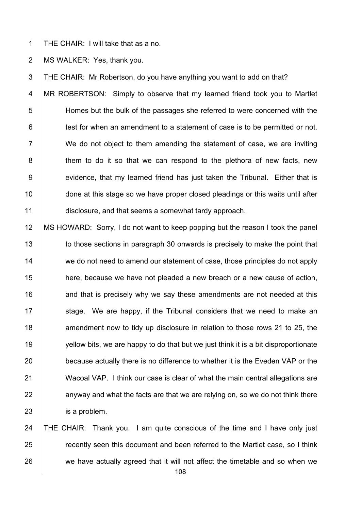1 THE CHAIR: I will take that as a no.

2 | MS WALKER: Yes, thank you.

3 THE CHAIR: Mr Robertson, do you have anything you want to add on that? 4 MR ROBERTSON: Simply to observe that my learned friend took you to Martlet 5 Homes but the bulk of the passages she referred to were concerned with the  $6$  | test for when an amendment to a statement of case is to be permitted or not. 7 We do not object to them amending the statement of case, we are inviting 8 | them to do it so that we can respond to the plethora of new facts, new 9 | evidence, that my learned friend has just taken the Tribunal. Either that is 10 done at this stage so we have proper closed pleadings or this waits until after 11 disclosure, and that seems a somewhat tardy approach.

12 MS HOWARD: Sorry, I do not want to keep popping but the reason I took the panel 13 to those sections in paragraph 30 onwards is precisely to make the point that 14 we do not need to amend our statement of case, those principles do not apply 15 **here, because we have not pleaded a new breach or a new cause of action,** 16 16 and that is precisely why we say these amendments are not needed at this 17  $\parallel$  stage. We are happy, if the Tribunal considers that we need to make an 18 **18** amendment now to tidy up disclosure in relation to those rows 21 to 25, the 19 yellow bits, we are happy to do that but we just think it is a bit disproportionate 20 because actually there is no difference to whether it is the Eveden VAP or the 21 Wacoal VAP. I think our case is clear of what the main central allegations are  $22$  anyway and what the facts are that we are relying on, so we do not think there 23 **is a problem.** 

24 THE CHAIR: Thank you. I am quite conscious of the time and I have only just 25 **Fig. 25 recently seen this document and been referred to the Martlet case, so I think**  $26$  we have actually agreed that it will not affect the timetable and so when we